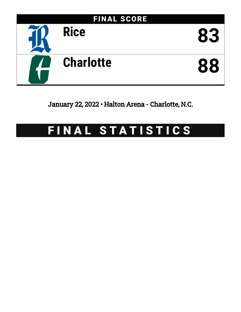

January 22, 2022 • Halton Arena - Charlotte, N.C.

# FINAL STATISTICS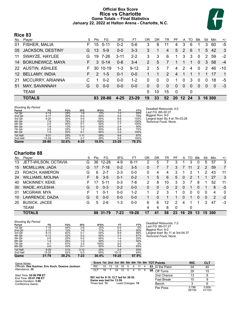# **Official Box Score Rice vs Charlotte Game Totals -- Final Statistics January 22, 2022 at Halton Arena - Charlotte, N.C.**



# **Rice 83**

| No. | Plaver                  | S  | <b>Pts</b>    | FG.      | 3FG      | FТ        | 0R            | DR       | TR            | PF             | A              | TO.      | <b>Blk</b>  | Stl           | Min      | $+/-$          |
|-----|-------------------------|----|---------------|----------|----------|-----------|---------------|----------|---------------|----------------|----------------|----------|-------------|---------------|----------|----------------|
| 01  | FISHER, MALIA           | F. | 15            | $5 - 11$ | $0 - 2$  | $5-6$     | 3             | 8        | 11            | 4              | 3              | 6        | 1           | 3             | 60       | $-5$           |
| 05  | JACKSON, DESTINY        | G  | 13            | $5-9$    | $0-0$    | $3 - 3$   | 3             |          | 4             | 5              | 2              | 6        | 1           | 5             | 42       | 3              |
| 11  | SWAYZE, HAYLEE          | G  | 19            | 7-26     | $3 - 11$ | $2 - 2$   | 3             | 3        | 6             | 1              | 3              | 3        | $\mathbf 0$ | $\mathcal{P}$ | 59       | $-2$           |
| 14  | <b>BOKUNEWICZ, MAYA</b> | F. | 3             | $0 - 14$ | $0 - 8$  | $3 - 4$   | 2             | 5        | 7             |                |                |          | $\Omega$    | 3             | 58       | $-4$           |
|     | 22 AUSTIN, ASHLEE       | F. | 30.           | $10-19$  | $1 - 3$  | $9 - 12$  | $\mathcal{P}$ | 5        | 7             | 4              | 2              | 4        | $\mathbf 0$ | 2             | 46       | $-10$          |
|     | 12 BELLAMY, INDIA       | F. | $\mathcal{P}$ | $1-5$    | $0 - 1$  | $0 - 0$   |               |          | $\mathcal{P}$ | $\overline{4}$ |                |          |             |               | 17       | $\overline{1}$ |
| 21  | <b>MCCURRY, ARIANNA</b> | C  |               | $0 - 2$  | $0 - 0$  | $1 - 2$   | 0             | $\Omega$ | 0             | 1              | 0              | 3        | $\Omega$    | $\Omega$      | 18       | -5             |
| 51  | MAY, SAVANNAH           | G  | $\Omega$      | $0 - 0$  | $0 - 0$  | $0 - 0$   | $\Omega$      | $\Omega$ | $\mathbf{0}$  | 0              | $\overline{0}$ | $\Omega$ | $\Omega$    | $\Omega$      | $\Omega$ | -3             |
|     | <b>TEAM</b>             |    |               |          |          |           | 5.            | 10       | 15            | $\mathbf 0$    |                | 0        |             |               |          |                |
|     | <b>TOTALS</b>           |    |               | 83 28-86 | $4 - 25$ | $23 - 29$ | 19            | 33       | 52            | <b>20</b>      | 12, 24         |          | 3           | 16 300        |          |                |

| <b>Shooting By Period</b> |          |       |          |       |         |       |
|---------------------------|----------|-------|----------|-------|---------|-------|
| Period                    | FG       | FG%   | 3FG      | 3FG%  | FT      | FT%   |
| 1st Qtr                   | $4 - 14$ | 29%   | $1 - 8$  | 13%   | $1 - 2$ | 50%   |
| 2nd Qtr                   | $5 - 17$ | 29%   | $0 - 3$  | 00%   | $3 - 4$ | 75%   |
| 3rd Qtr                   | $6 - 20$ | 30%   | $0 - 5$  | 00%   | $6-6$   | 100%  |
| 4th Qtr                   | $7-9$    | 78%   | $2 - 2$  | 100%  | $2 - 2$ | 100%  |
| 5th Qtr                   | $2 - 5$  | 40%   | $0 - 1$  | 00%   | $1 - 1$ | 100%  |
| 6th Qtr                   | $1 - 8$  | 13%   | $0 - 3$  | 00%   | $2 - 4$ | 50%   |
| 7th Qtr                   | $2 - 8$  | 25%   | $1 - 2$  | 50%   | $6 - 8$ | 75%   |
| 8th Qtr                   | $1 - 5$  | 20%   | $0 - 1$  | 00%   | $2 - 2$ | 100%  |
| 1st Half                  | $9 - 31$ | 29%   | $1 - 11$ | 09%   | $4-6$   | 67%   |
| 2nd Half                  | 13-29    | 45%   | $2 - 7$  | 29%   | $8 - 8$ | 100%  |
| Game                      | 28-86    | 32.6% | 4-25     | 16.0% | 23-29   | 79.3% |

*Deadball Rebounds:* 4,0 *Last FG:* 8th-00:27 *Biggest Run:* 9-0 *Largest lead:* By 4 at 7th-03:26 *Technical Fouls:* None.

# **Charlotte 88**

| No. | Player                  | S  | Pts | FG        | 3FG     | FТ       | ΟR | DR | TR       | РF            | A        | TO | Blk      | Stl      | Min    | $+/-$          |
|-----|-------------------------|----|-----|-----------|---------|----------|----|----|----------|---------------|----------|----|----------|----------|--------|----------------|
| 13  | JETT-WILSON, OCTAVIA    | G  | 36  | $12 - 28$ | $4-9$   | $8 - 11$ | 2  | 5  |          | 3             |          | 3  | 0        | 5        | 57     | 3              |
| 15  | MCMILLIAN, JADA         | G  |     | $7 - 18$  | $0 - 2$ | $3 - 5$  | 0  |    |          | 3             |          | 11 | 2        | 2        | 59     | $\overline{7}$ |
| 23  | ROACH, KAMERON          | G  | 6   | $2 - 7$   | $2 - 3$ | $0 - 0$  | 0  | 4  | 4        | 3             |          | 3  |          | 2        | 43     | 11             |
| 24  | <b>WILLIAMS, MOLINA</b> | F. | 6   | $3 - 5$   | $0 - 1$ | $0 - 2$  |    | 5  | 6        | 5             | 0        | 2  |          |          | 27     | 3              |
| 40  | <b>MCKINNEY, KEKE</b>   | F. |     | $5 - 11$  | $0 - 3$ | 7-8      | 2  | 8  | 10       | 3             | 3        |    | 8        |          | 52     | 11             |
| 00  | WADE, AYLESHA           | G  | 0   | $0 - 3$   | $0 - 2$ | $0 - 0$  | 0  | 0  | $\Omega$ | $\mathcal{P}$ | $\Omega$ |    | $\Omega$ |          | 8      | $-5$           |
| 01  | MCGRAW, MYA             | F  |     | $0 - 1$   | $0 - 0$ | $1 - 2$  | 1  | 2  | 3        |               | 0        | 0  | 0        | $\Omega$ | 4      | $\overline{0}$ |
| 10  | LAWRENCE, DAZIA         | G  | 0   | $0 - 0$   | $0 - 0$ | $0 - 0$  |    | 0  |          |               | 0        |    | $\Omega$ | 0        | 2      | $-2$           |
| 20  | <b>BUSICK, JACEE</b>    | G  | 5   | $2-6$     | 1-3     | $0 - 0$  | 6  | 6  | 12       | 2             | 4        |    |          | 3        | 47     | $-3$           |
|     | <b>TEAM</b>             |    |     |           |         |          | 4  | 4  | 8        | $\Omega$      |          | 0  |          |          |        |                |
|     | <b>TOTALS</b>           |    | 88. | -31-79    | 7-23    | 19-28    | 17 | 41 | 58       | 23            | 16       | 29 | 13       |          | 15 300 |                |

*Shooting By Period* **Period FG FG% 3FG 3FG% FT FT%** 1st Qtr 7-16 44% 2-6 33% 0-0 0% 2nd Qtr 2-13 15% 1-6 17% 2-4 50% 3rd Qtr 8-13 62% 0-1 00% 8-9 89% 4th Qtr 5-12 42% 0-2 00% 2-3 67% 5th Qtr 2-8 25% 0-2 00% 1-4 25% 6th Qtr 1-4 25% 1-2 50% 1-2 50% 7th Qtr 4-7 57% 3-3 100% 0-0 0% 8th Qtr 2-6 33% 0-1 00% 5-6 83% 1st Half 9-29 31% 3-12 25% 2-4 50% 2nd Half 13-25 52% 0-3 00% 10-12 83% **Game 31-79 39.2% 7-23 30.4% 19-28 67.9%**

*Deadball Rebounds:* 7,0 *Last FG:* 8th-01:27 *Biggest Run:* 6-0 *Largest lead:* By 11 at 3rd-04:37 *Technical Fouls:* None.

**Points RIC CLT**

0.854 41/103

| Game Notes:                                       |                                      |    |            |                |  |                  |      |  | Score 1st 2nd 3rd 4th 5th 6th 7th 8th TOT Points | <b>RIC</b> |
|---------------------------------------------------|--------------------------------------|----|------------|----------------|--|------------------|------|--|--------------------------------------------------|------------|
| Officials: Dee Kantner, Eric Koch, Deanna Jackson | RIC.                                 | 10 | 13 18 18 5 |                |  | $\overline{4}$   | 11 4 |  | 83 $\overline{\ln}$ the Paint                    | 34         |
| Attendance: 35                                    | CI T                                 | 16 |            | 24 12 5 4 11 9 |  |                  |      |  | 88 Off Turns                                     | 29         |
| Start Time: 02:00 PM ET                           | RIC led for 9:10. CLT led for 36:52. |    |            |                |  |                  |      |  | 2nd Chance                                       |            |
| End Time: 05:01 PM ET<br>Game Duration: 3:00      | Game was tied for 13:59.             |    |            |                |  |                  |      |  | <b>Fast Break</b>                                |            |
| Conference Game:                                  | Times tied: 13                       |    |            |                |  | Lead Changes: 10 |      |  | Bench                                            |            |

|              |                                      |    |    |    |                  |   |   |   |    | $\frac{1}{2}$     | NIV             | ◡∟            |
|--------------|--------------------------------------|----|----|----|------------------|---|---|---|----|-------------------|-----------------|---------------|
| ınna Jackson | <b>RIC</b>                           | 10 | 13 | 18 | 18               | 5 |   | 4 | 83 | In the Paint      | 34              | 40            |
|              | CLT                                  | 16 |    |    | 24 12            | 5 | 4 | 9 | 88 | Off Turns         | 29              | 15            |
|              | RIC led for 9:10, CLT led for 36:52. |    |    |    |                  |   |   |   |    | 2nd Chance        | 13              | 8             |
|              | Game was tied for 13:59.             |    |    |    |                  |   |   |   |    | <b>Fast Break</b> |                 | 9             |
|              | Times tied: 13                       |    |    |    | Lead Changes: 10 |   |   |   |    | Bench             |                 | 6             |
|              |                                      |    |    |    |                  |   |   |   |    | Per Poss          | 0.798<br>39/104 | 0.85<br>41/10 |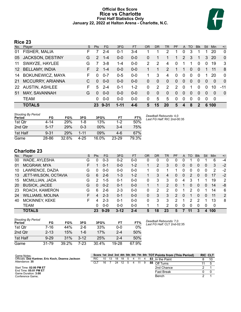# **Official Box Score Rice vs Charlotte First Half Statistics Only January 22, 2022 at Halton Arena - Charlotte, N.C.**



# **Rice 23**

| No.             | Plaver                  | S  | <b>Pts</b>    | <b>FG</b> | 3FG      | <b>FT</b> | 0R | DR       | TR            | PF            | A              | TO       | <b>BIK</b>     | Stl            | <b>Min</b>   | $+/-$        |
|-----------------|-------------------------|----|---------------|-----------|----------|-----------|----|----------|---------------|---------------|----------------|----------|----------------|----------------|--------------|--------------|
| 01              | FISHER, MALIA           | F  |               | $2 - 4$   | 0-1      | $3 - 4$   |    |          | 2             |               | 0              | 3        |                |                | 20           | 0            |
| 05              | JACKSON, DESTINY        | G  | $\mathcal{P}$ | $1 - 4$   | $0 - 0$  | $0 - 0$   | 0  |          |               |               | 2              | 3        |                | 3              | 20           | $\mathbf{0}$ |
| 11              | SWAYZE, HAYLEE          | G  |               | $3 - 8$   | $1 - 4$  | $0 - 0$   | 2  | 2        | 4             | 0             |                |          | 0              | 0              | 19           | 3            |
| 12 <sup>°</sup> | <b>BELLAMY, INDIA</b>   | F. | 2             | $1 - 4$   | $0 - 0$  | $0-0$     |    |          | $\mathcal{P}$ |               |                | $\Omega$ | $\Omega$       |                | 11           | 8            |
| 14              | <b>BOKUNEWICZ, MAYA</b> | F  | $\Omega$      | $0 - 7$   | $0 - 5$  | $0 - 0$   |    | 3        | 4             | 0             | $\mathbf{0}$   | $\Omega$ | 0              |                | 20           | 0            |
| <b>21</b>       | MCCURRY, ARIANNA        |    | $\Omega$      | $0 - 0$   | $0 - 0$  | $0 - 0$   | 0  | $\Omega$ | $\Omega$      | 0             | $\overline{0}$ | $\Omega$ | 0              | $\overline{0}$ | $\mathbf{0}$ | $\mathbf 0$  |
| 22              | <b>AUSTIN, ASHLEE</b>   | F  | 5             | $2 - 4$   | $0 - 1$  | $1 - 2$   | 0  | 2        | 2             | $\mathcal{P}$ | $\Omega$       |          | 0              | $\Omega$       | 10           | $-11$        |
| 51              | MAY, SAVANNAH           | G  | $\Omega$      | $0 - 0$   | $0 - 0$  | $0-0$     | 0  | $\Omega$ | $\Omega$      | 0             | $\Omega$       |          | 0              | $\Omega$       | 0            | $\mathbf 0$  |
|                 | <b>TEAM</b>             |    | $\Omega$      | $0-0$     | $0-0$    | $0 - 0$   | 0  | 5        | 5             | 0             | $\Omega$       | $\Omega$ | $\Omega$       | $\Omega$       | $\mathbf{0}$ |              |
|                 | <b>TOTALS</b>           |    | 23.           | $9 - 31$  | $1 - 11$ | 4-6       | 5  | 15       | 20            | 5             |                | 8        | $\overline{2}$ |                | 6 100        |              |

| Shooting By Period<br>Period | FG       | FG%   | 3FG      | 3FG%     | FT        | FT%   | D |
|------------------------------|----------|-------|----------|----------|-----------|-------|---|
| 1st Qtr                      | 4-14     | 29%   | 1-8      | 13%      | $1 - 2$   | 50%   |   |
| 2nd Qtr                      | $5 - 17$ | 29%   | $0 - 3$  | 00%      | $3 - 4$   | 75%   |   |
| 1st Half                     | $9 - 31$ | 29%   | 1-11     | 09%      | 4-6       | 67%   |   |
| Game                         | 28-86    | 32.6% | $4 - 25$ | $16.0\%$ | $23 - 29$ | 79.3% |   |

#### *Deadball Rebounds:* 4,0 *Last FG Half:* RIC 2nd-00:35

# **Charlotte 23**

| No. | Player                  | S. | <b>Pts</b>    | <b>FG</b> | 3FG      | <b>FT</b> | <b>OR</b> | DR | TR | PF       | A        | TO | <b>B</b> lk | Stl      | Min | $+/-$          |
|-----|-------------------------|----|---------------|-----------|----------|-----------|-----------|----|----|----------|----------|----|-------------|----------|-----|----------------|
| 00  | WADE, AYLESHA           | G  | 0             | $0 - 3$   | $0 - 2$  | $0 - 0$   |           | 0  |    |          |          |    | ი           |          | 6   | -4             |
| 01  | MCGRAW, MYA             | F  |               | $0 - 1$   | $0 - 0$  | $1 - 2$   |           | 2  | 3  | 0        | 0        | 0  | 0           | 0        | 3   | $-2$           |
| 10  | LAWRENCE, DAZIA         | G  | 0             | $0 - 0$   | $0 - 0$  | $0 - 0$   |           | 0  |    |          | 0        | 0  | 0           | 0        | 2   | $-2$           |
| 13  | JETT-WILSON, OCTAVIA    | G  | 6             | $2-6$     | $1 - 3$  | $1 - 2$   |           | 3  | 4  | $\Omega$ | 0        | 2  | 0           | 0        | 17  | $-2$           |
| 15  | MCMILLIAN, JADA         | G  | $\mathcal{P}$ | $1-5$     | $0 - 1$  | $0 - 0$   | 0         | 3  | 3  | $\Omega$ | 4        | 3  |             |          | 19  | $\overline{2}$ |
| 20  | <b>BUSICK, JACEE</b>    | G  | 0             | $0 - 2$   | $0 - 1$  | $0 - 0$   |           |    | 2  | 0        |          | 0  | 0           | 0        | 14  | -8             |
| 23  | ROACH, KAMERON          | G  | 6             | $2-6$     | $2 - 3$  | $0 - 0$   | 0         | 2  | 2  | 0        |          | 2  | 0           |          | 14  | 6              |
| 24  | <b>WILLIAMS, MOLINA</b> | F. | 4             | $2 - 3$   | $0 - 1$  | $0 - 0$   | 0         | 3  | 3  | 2        | $\Omega$ |    | 0           | 0        | 11  | 2              |
| 40  | <b>MCKINNEY, KEKE</b>   | F. | 4             | $2 - 3$   | $0 - 1$  | $0 - 0$   | 0         | 3  | 3  | 2        |          | 2  | 2           |          | 13  | 8              |
|     | <b>TEAM</b>             |    | 0             | $0 - 0$   | $0 - 0$  | $0 - 0$   |           |    | 2  | $\Omega$ | 0        | 0  | 0           | $\Omega$ | 0   |                |
|     | <b>TOTALS</b>           |    | 23            | $9 - 29$  | $3 - 12$ | $2 - 4$   | 5         | 18 | 23 | 5        | 7        | 11 | 3           | 4        | 100 |                |

| <b>Shooting By Period</b><br>Period | FG       | FG%   | 3FG      | 3FG%  | FТ      | FT%   |
|-------------------------------------|----------|-------|----------|-------|---------|-------|
| 1st Otr                             | 7-16     | 44%   | 2-6      | 33%   | $0 - 0$ | $0\%$ |
| 2nd Otr                             | $2 - 13$ | 15%   | 1-6      | 17%   | $2 - 4$ | 50%   |
| 1st Half                            | $9 - 29$ | 31%   | $3 - 12$ | 25%   | $2 - 4$ | 50%   |
| Game                                | 31-79    | 39.2% | 7-23     | 30.4% | 19-28   | 67.9% |

*Deadball Rebounds:* 7,0 *Last FG Half:* CLT 2nd-02:35

| Game Notes:                                       |      |    |    |    |      |   |    |    | Score 1st 2nd 3rd 4th 5th 6th 7th 8th TOT Points from (This Period) | <b>RIC CLT</b> |    |
|---------------------------------------------------|------|----|----|----|------|---|----|----|---------------------------------------------------------------------|----------------|----|
| Officials: Dee Kantner, Eric Koch, Deanna Jackson | RIC. | 10 | 13 | 18 | - 18 | 5 |    | 83 | In the Paint                                                        |                | 10 |
| Attendance: 35                                    |      | 16 |    | 24 | 12   |   | 11 | 88 | Off Turns                                                           |                |    |
| Start Time: 02:00 PM ET                           |      |    |    |    |      |   |    |    | 2nd Chance                                                          |                |    |
| End Time: 05:01 PM ET<br>Game Duration: 3:00      |      |    |    |    |      |   |    |    | <b>Fast Break</b>                                                   |                |    |
| Conference Game:                                  |      |    |    |    |      |   |    |    | Bench                                                               |                |    |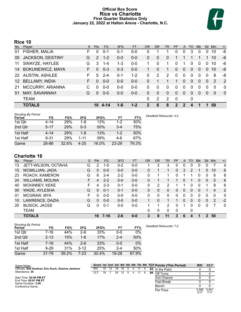# **Official Box Score Rice vs Charlotte First Quarter Statistics Only January 22, 2022 at Halton Arena - Charlotte, N.C.**



# **Rice 10**

| No.             | Plaver                  | S. | <b>Pts</b> | FG.     | 3FG     | <b>FT</b> | <b>OR</b> | D <sub>R</sub> | TR       | PF           | A           | TO       | <b>B</b> lk | Stl            | <b>Min</b> | $+/-$          |
|-----------------|-------------------------|----|------------|---------|---------|-----------|-----------|----------------|----------|--------------|-------------|----------|-------------|----------------|------------|----------------|
| 01              | FISHER, MALIA           | F. | 0          | $0 - 1$ | $0 - 1$ | $0 - 0$   | 0         |                |          | 0            | 0           | 3        | 0           | 0              | 10         | -6             |
| 05              | JACKSON, DESTINY        | G  | 2          | $1 - 2$ | $0 - 0$ | $0-0$     | 0         | $\Omega$       | 0        |              |             |          |             |                | 10         | -6             |
| 11              | SWAYZE, HAYLEE          | G  | 3          | $1 - 4$ | $1 - 3$ | $0-0$     | 1         | 0              | 1.       | $\Omega$     | 1           | 0        | $\Omega$    | 0              | 10         | -6             |
| 14              | <b>BOKUNEWICZ, MAYA</b> | F. | $\Omega$   | $0 - 3$ | $0 - 3$ | $0-0$     |           | $\Omega$       | 1        | 0            | $\Omega$    | 0        | $\Omega$    | $\Omega$       | 10         | -6             |
|                 | 22 AUSTIN, ASHLEE       | F. | 5          | $2 - 4$ | $0 - 1$ | $1 - 2$   | 0         | 2              | 2        | 0            | $\mathbf 0$ | 0        | $\Omega$    | $\Omega$       | 8          | -8             |
| 12 <sup>2</sup> | <b>BELLAMY, INDIA</b>   | F. | $\Omega$   | $0 - 0$ | $0 - 0$ | $0 - 0$   | $\Omega$  |                | 1        | 1            | $\Omega$    | $\Omega$ | $\Omega$    | $\overline{0}$ | 2          | $\overline{2}$ |
| 21              | MCCURRY, ARIANNA        | C  | $\Omega$   | $0 - 0$ | $0-0$   | $0-0$     | 0         | 0              | 0        | $\Omega$     | $\Omega$    | 0        | $\Omega$    | $\Omega$       | 0          | 0              |
| 51              | MAY, SAVANNAH           | G  | $\Omega$   | $0 - 0$ | $0 - 0$ | $0 - 0$   | 0         | $\Omega$       | $\Omega$ | $\Omega$     | $\Omega$    | $\Omega$ | $\Omega$    | $\Omega$       | $\Omega$   | $\mathbf{0}$   |
|                 | <b>TEAM</b>             |    |            |         |         |           | $\Omega$  | 2              | 2        | $\mathbf 0$  |             | 0        |             |                |            |                |
|                 | <b>TOTALS</b>           |    | 10         | 4-14    | $1 - 8$ | $1 - 2$   | 2         | 6              | 8        | $\mathbf{p}$ | 2           | 4        |             |                | 50         |                |

| <b>Shooting By Period</b><br>Period | FG       | FG%   | 3FG      | 3FG%  | FT        | FT%   | Deadball Rebounds: 4,0 |
|-------------------------------------|----------|-------|----------|-------|-----------|-------|------------------------|
| 1st Qtr                             | 4-14     | 29%   | 1-8      | 13%   | 1-2       | 50%   |                        |
| 2nd Qtr                             | $5 - 17$ | 29%   | $0 - 3$  | 00%   | $3-4$     | 75%   |                        |
| 1st Half                            | $4 - 14$ | 29%   | 1-8      | 13%   | 1-2       | 50%   |                        |
| 1st Half                            | $9 - 31$ | 29%   | $1 - 11$ | 09%   | 4-6       | 67%   |                        |
| Game                                | 28-86    | 32.6% | $4 - 25$ | 16.0% | $23 - 29$ | 79.3% |                        |

# **Charlotte 16**

| No. | Plaver                  | S | Pts      | <b>FG</b> | 3FG     | <b>FT</b> | <b>OR</b> | <b>DR</b> | TR       | <b>PF</b> | A | TO       | <b>B</b> lk | Stl           | Min | $+/-$        |
|-----|-------------------------|---|----------|-----------|---------|-----------|-----------|-----------|----------|-----------|---|----------|-------------|---------------|-----|--------------|
| 13  | JETT-WILSON, OCTAVIA    | G | 2        | $1-5$     | $0 - 2$ | $0 - 0$   |           | 2         | 3        | 0         | 0 | 0        | 0           | 0             |     | 4            |
| 15  | MCMILLIAN, JADA         | G | 0        | $0 - 0$   | $0 - 0$ | $0-0$     | 0         |           | 1        | 0         | 3 | 2        |             | $\Omega$      | 10  | 6            |
| 23  | ROACH, KAMERON          | G | 6        | $2 - 4$   | $2 - 2$ | $0-0$     | 0         |           | 1        | 0         |   |          | 0           | $\Omega$      | 6   | 8            |
| 24  | <b>WILLIAMS, MOLINA</b> | F | 4        | $2 - 2$   | $0 - 0$ | $0 - 0$   | 0         |           |          |           | 0 |          | 0           | $\Omega$      | 5   | 6            |
| 40  | <b>MCKINNEY, KEKE</b>   | F | 4        | $2 - 3$   | $0 - 1$ | $0-0$     | 0         | 2         | 2        |           |   | O        | 0           |               | 9   | 6            |
| 00  | WADE, AYLESHA           | G | 0        | $0 - 1$   | $0 - 1$ | $0 - 0$   | 0         | 0         | 0        | 0         | 0 | $\Omega$ | 0           |               | 4   | 2            |
| 01  | MCGRAW, MYA             | F | 0        | $0-0$     | $0 - 0$ | $0-0$     | 0         | 0         | 0        | 0         | 0 |          | 0           | 0             | 0   | $\mathbf{0}$ |
| 10  | LAWRENCE, DAZIA         | G | $\Omega$ | $0 - 0$   | $0 - 0$ | $0 - 0$   |           | 0         |          |           | 0 | $\Omega$ | 0           | $\Omega$      | 2   | $-2$         |
| 20  | <b>BUSICK, JACEE</b>    | G | 0        | $0 - 1$   | $0 - 0$ | $0-0$     |           |           | 2        | 0         |   | 0        | 0           | 0             |     | $\mathbf{0}$ |
|     | TEAM                    |   |          |           |         |           | 0         | 0         | $\Omega$ | 0         |   | 0        |             |               |     |              |
|     | <b>TOTALS</b>           |   | 16       | $7 - 16$  | $2 - 6$ | $0 - 0$   | 3         | 8         | 11       | 3         | 6 | 4        | 1           | $\mathcal{P}$ | 50  |              |

| <b>Shooting By Period</b><br>Period | FG        | FG%   | 3FG      | 3FG%  | FT        | FT%   | Deadball Rebounds: 7,0 |
|-------------------------------------|-----------|-------|----------|-------|-----------|-------|------------------------|
| 1st Qtr                             | 7-16      | 44%   | $2-6$    | 33%   | 0-0       | $0\%$ |                        |
| 2nd Qtr                             | $2 - 13$  | 15%   | $1-6$    | 17%   | $2 - 4$   | 50%   |                        |
| 1st Half                            | 7-16      | 44%   | $2-6$    | 33%   | 0-0       | 0%    |                        |
| 1st Half                            | $9 - 29$  | 31%   | $3 - 12$ | 25%   | $2 - 4$   | 50%   |                        |
| Game                                | $31 - 79$ | 39.2% | 7-23     | 30.4% | $19 - 28$ | 67.9% |                        |

| Game Notes:                                       |            |    |     |    |    |  |    |    | Score 1st 2nd 3rd 4th 5th 6th 7th 8th TOT Points (This Period) | <b>RIC</b>   | <b>CLT</b>    |
|---------------------------------------------------|------------|----|-----|----|----|--|----|----|----------------------------------------------------------------|--------------|---------------|
| Officials: Dee Kantner, Eric Koch, Deanna Jackson | <b>RIC</b> | 10 | -13 | 18 | 18 |  |    | 83 | In the Paint                                                   |              |               |
| Attendance: 35                                    | CLI        | 16 |     | 24 |    |  | 11 | 88 | Off Turns                                                      |              |               |
| Start Time: 02:00 PM ET                           |            |    |     |    |    |  |    |    | 2nd Chance                                                     |              |               |
| End Time: 05:01 PM ET<br>Game Duration: 3:00      |            |    |     |    |    |  |    |    | <b>Fast Break</b>                                              |              |               |
| Conference Game:                                  |            |    |     |    |    |  |    |    | Bench                                                          |              |               |
|                                                   |            |    |     |    |    |  |    |    | Per Poss                                                       | 0.588<br>5/1 | 0.941<br>7/17 |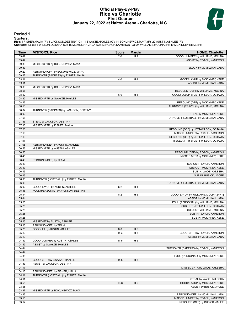# **Official Play-By-Play Rice vs Charlotte First Quarter January 22, 2022 at Halton Arena - Charlotte, N.C.**



# **Period 1**

<mark>Starters:</mark><br>Rice: 1 FISHER,MALIA (F); 5 JACKSON,DESTINY (G); 11 SWAYZE,HAYLEE (G); 14 BOKUNEWICZ,MAYA (F); 22 AUSTIN,ASHLEE (F);<br>**Charlotte**: 13 JETT-WILSON,OCTAVIA (G); 15 MCMILLIAN,JADA (G); 23 ROACH,KAMERON (G); 24 WILL

| Time           | <b>VISITORS: Rice</b>                  | <b>Score</b> | <b>Margin</b>  | <b>HOME: Charlotte</b>                 |
|----------------|----------------------------------------|--------------|----------------|----------------------------------------|
| 09:42          |                                        | $2 - 0$      | H <sub>2</sub> | GOOD! JUMPER by WILLIAMS, MOLINA       |
| 09:42          |                                        |              |                | ASSIST by ROACH, KAMERON               |
| 09:33          | MISSED 3PTR by BOKUNEWICZ, MAYA        |              |                |                                        |
| 09:33          |                                        |              |                | BLOCK by MCMILLIAN, JADA               |
| 09:29          | REBOUND (OFF) by BOKUNEWICZ, MAYA      |              |                |                                        |
| 09:22          | TURNOVER (BADPASS) by FISHER, MALIA    |              |                |                                        |
| 09:11          |                                        | $4 - 0$      | H4             | GOOD! LAYUP by MCKINNEY, KEKE          |
| 09:11          |                                        |              |                | ASSIST by MCMILLIAN, JADA              |
| 09:03          | MISSED 3PTR by BOKUNEWICZ, MAYA        |              |                |                                        |
| 08:56          |                                        |              |                | REBOUND (DEF) by WILLIAMS, MOLINA      |
| 08:52          |                                        | $6-0$        | H <sub>6</sub> | GOOD! LAYUP by JETT-WILSON, OCTAVIA    |
| 08:32          | MISSED 3PTR by SWAYZE, HAYLEE          |              |                |                                        |
| 08:26          |                                        |              |                | REBOUND (DEF) by MCKINNEY, KEKE        |
| 08:13<br>08:02 |                                        |              |                | TURNOVER (TRAVEL) by WILLIAMS, MOLINA  |
| 08:02          | TURNOVER (BADPASS) by JACKSON, DESTINY |              |                | STEAL by MCKINNEY, KEKE                |
| 07:56          |                                        |              |                | TURNOVER (LOSTBALL) by MCMILLIAN, JADA |
| 07:56          | STEAL by JACKSON, DESTINY              |              |                |                                        |
| 07:33          | MISSED 3PTR by FISHER, MALIA           |              |                |                                        |
| 07:26          |                                        |              |                | REBOUND (DEF) by JETT-WILSON, OCTAVIA  |
| 07:16          |                                        |              |                | MISSED JUMPER by ROACH, KAMERON        |
| 07:13          |                                        |              |                | REBOUND (OFF) by JETT-WILSON, OCTAVIA  |
| 07:11          |                                        |              |                | MISSED 3PTR by JETT-WILSON, OCTAVIA    |
| 07:05          | REBOUND (DEF) by AUSTIN, ASHLEE        |              |                |                                        |
| 06:56          | MISSED 3PTR by AUSTIN, ASHLEE          |              |                |                                        |
| 06:50          |                                        |              |                | REBOUND (DEF) by ROACH, KAMERON        |
| 06:45          |                                        |              |                | MISSED 3PTR by MCKINNEY, KEKE          |
| 06:43          | REBOUND (DEF) by TEAM                  |              |                |                                        |
| 06:43          |                                        |              |                | SUB OUT: ROACH, KAMERON                |
| 06:43          |                                        |              |                | SUB OUT: MCKINNEY, KEKE                |
| 06:43          |                                        |              |                | SUB IN: WADE, AYLESHA                  |
| 06:43          |                                        |              |                | SUB IN: BUSICK, JACEE                  |
| 06:30          | TURNOVER (LOSTBALL) by FISHER, MALIA   |              |                |                                        |
| 06:08          |                                        |              |                | TURNOVER (LOSTBALL) by MCMILLIAN, JADA |
| 06:02          | GOOD! LAYUP by AUSTIN, ASHLEE          | $6 - 2$      | H4             |                                        |
| 05:56          | FOUL (PERSONAL) by JACKSON, DESTINY    |              |                |                                        |
| 05:44          |                                        | $8 - 2$      | H <sub>6</sub> | GOOD! LAYUP by WILLIAMS, MOLINA [PNT]  |
| 05:44          |                                        |              |                | ASSIST by MCMILLIAN, JADA              |
| 05:25          |                                        |              |                | FOUL (PERSONAL) by WILLIAMS, MOLINA    |
| 05:25          |                                        |              |                | SUB OUT: JETT-WILSON, OCTAVIA          |
| 05:25          |                                        |              |                | SUB OUT: WILLIAMS, MOLINA              |
| 05:25          |                                        |              |                | SUB IN: ROACH, KAMERON                 |
| 05:25          |                                        |              |                | SUB IN: MCKINNEY, KEKE                 |
| 05:25          | MISSED FT by AUSTIN, ASHLEE            |              |                |                                        |
| 05:25          | REBOUND (OFF) by TEAM                  |              |                |                                        |
| 05:25<br>05:10 | GOOD! FT by AUSTIN, ASHLEE             | $8 - 3$      | H <sub>5</sub> | GOOD! 3PTR by ROACH, KAMERON           |
| 05:10          |                                        | $11-3$       | H <sub>8</sub> | ASSIST by MCMILLIAN, JADA              |
| 04:59          | GOOD! JUMPER by AUSTIN, ASHLEE         | $11 - 5$     | H <sub>6</sub> |                                        |
| 04:59          | ASSIST by SWAYZE, HAYLEE               |              |                |                                        |
| 04:44          |                                        |              |                | TURNOVER (BADPASS) by ROACH, KAMERON   |
| 04:44          |                                        |              |                |                                        |
| 04:35          |                                        |              |                | FOUL (PERSONAL) by MCKINNEY, KEKE      |
| 04:33          | GOOD! 3PTR by SWAYZE, HAYLEE           | $11 - 8$     | $H_3$          |                                        |
| 04:33          | ASSIST by JACKSON, DESTINY             |              |                |                                        |
| 04:17          |                                        |              |                | MISSED 3PTR by WADE, AYLESHA           |
| 04:13          | REBOUND (DEF) by FISHER, MALIA         |              |                |                                        |
| 04:11          | TURNOVER (LOSTBALL) by FISHER, MALIA   |              |                |                                        |
| 04:11          |                                        |              |                | STEAL by WADE, AYLESHA                 |
| 03:55          |                                        | $13 - 8$     | H <sub>5</sub> | GOOD! LAYUP by MCKINNEY, KEKE          |
| 03:55          |                                        |              |                | ASSIST by BUSICK, JACEE                |
| 03:37          | MISSED 3PTR by BOKUNEWICZ, MAYA        |              |                |                                        |
| 03:33          |                                        |              |                | REBOUND (DEF) by MCMILLIAN, JADA       |
| 03:15          |                                        |              |                | MISSED JUMPER by ROACH, KAMERON        |
| 03:12          |                                        |              |                | REBOUND (OFF) by BUSICK, JACEE         |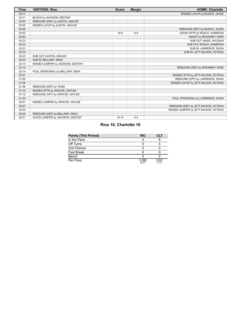| <b>Time</b> | <b>VISITORS: Rice</b>             | <b>Score</b> | <b>Margin</b>  | <b>HOME: Charlotte</b>                |
|-------------|-----------------------------------|--------------|----------------|---------------------------------------|
| 03:11       |                                   |              |                | MISSED LAYUP by BUSICK, JACEE         |
| 03:11       | BLOCK by JACKSON, DESTINY         |              |                |                                       |
| 03:00       | REBOUND (DEF) by AUSTIN, ASHLEE   |              |                |                                       |
| 02:59       | MISSED LAYUP by AUSTIN, ASHLEE    |              |                |                                       |
| 02:56       |                                   |              |                | REBOUND (DEF) by BUSICK, JACEE        |
| 02:50       |                                   | $16-8$       | H 8            | GOOD! 3PTR by ROACH, KAMERON          |
| 02:50       |                                   |              |                | ASSIST by MCKINNEY, KEKE              |
| 02:23       |                                   |              |                | SUB OUT: WADE, AYLESHA                |
| 02:23       |                                   |              |                | SUB OUT: ROACH, KAMERON               |
| 02:23       |                                   |              |                | SUB IN: LAWRENCE, DAZIA               |
| 02:23       |                                   |              |                | SUB IN: JETT-WILSON, OCTAVIA          |
| 02:23       | SUB OUT: AUSTIN, ASHLEE           |              |                |                                       |
| 02:23       | SUB IN: BELLAMY, INDIA            |              |                |                                       |
| 02:14       | MISSED JUMPER by JACKSON, DESTINY |              |                |                                       |
| 02:14       |                                   |              |                | REBOUND (DEF) by MCKINNEY, KEKE       |
| 02:14       | FOUL (PERSONAL) by BELLAMY, INDIA |              |                |                                       |
| 02:01       |                                   |              |                | MISSED 3PTR by JETT-WILSON, OCTAVIA   |
| 01:56       |                                   |              |                | REBOUND (OFF) by LAWRENCE, DAZIA      |
| 01:38       |                                   |              |                | MISSED LAYUP by JETT-WILSON, OCTAVIA  |
| 01:38       | REBOUND (DEF) by TEAM             |              |                |                                       |
| 01:16       | MISSED 3PTR by SWAYZE, HAYLEE     |              |                |                                       |
| 01:12       | REBOUND (OFF) by SWAYZE, HAYLEE   |              |                |                                       |
| 01:02       |                                   |              |                | FOUL (PERSONAL) by LAWRENCE, DAZIA    |
| 00:51       | MISSED JUMPER by SWAYZE, HAYLEE   |              |                |                                       |
| 00:47       |                                   |              |                | REBOUND (DEF) by JETT-WILSON, OCTAVIA |
| 00:25       |                                   |              |                | MISSED JUMPER by JETT-WILSON, OCTAVIA |
| 00:25       | REBOUND (DEF) by BELLAMY, INDIA   |              |                |                                       |
| 00:01       | GOOD! JUMPER by JACKSON, DESTINY  | $16-10$      | H <sub>6</sub> |                                       |

# **Rice 10, Charlotte 16**

| Points (This Period) | <b>RIC</b>    | CLT           |
|----------------------|---------------|---------------|
| In the Paint         |               |               |
| Off Turns            |               |               |
| 2nd Chance           |               |               |
| Fast Break           |               |               |
| Bench                |               |               |
| Per Poss             | 0.588<br>5/17 | 0.941<br>7/17 |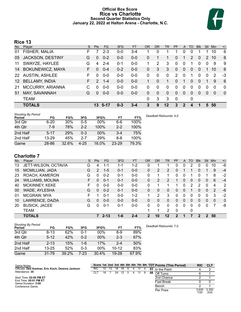# **Official Box Score Rice vs Charlotte Second Quarter Statistics Only January 22, 2022 at Halton Arena - Charlotte, N.C.**



# **Rice 13**

| No.             | Plaver                  | S  | <b>Pts</b>    | FG.     | 3FG     | <b>FT</b> | <b>OR</b> | D <sub>R</sub> | TR          | PF       | A           | TO       | <b>B</b> lk | <b>Stl</b> | <b>Min</b> | $+/-$        |
|-----------------|-------------------------|----|---------------|---------|---------|-----------|-----------|----------------|-------------|----------|-------------|----------|-------------|------------|------------|--------------|
| 01              | FISHER, MALIA           | F. |               | $2 - 3$ | $0 - 0$ | $3 - 4$   |           | 0              |             |          | $\Omega$    | 0        |             |            | 10         | 6            |
| 05              | <b>JACKSON, DESTINY</b> | G  | $\Omega$      | $0 - 2$ | $0 - 0$ | $0-0$     | 0         |                | 1.          | 0        |             | 2        | $\Omega$    | 2          | 10         | 6            |
| 11              | SWAYZE, HAYLEE          | G  | 4             | $2 - 4$ | $0 - 1$ | $0-0$     |           | 2              | 3           | $\Omega$ | $\mathbf 0$ | 1        | $\Omega$    | $\Omega$   | 9          | 9            |
| 14              | <b>BOKUNEWICZ, MAYA</b> | F. | $\Omega$      | $0 - 4$ | $0 - 2$ | $0 - 0$   | 0         | 3              | 3           | 0        | $\Omega$    | $\Omega$ | $\Omega$    |            | 10         | 6            |
|                 | 22 AUSTIN, ASHLEE       | F. | $\Omega$      | $0-0$   | $0-0$   | $0-0$     | 0         | $\Omega$       | 0           | 2        | $\Omega$    | 1        | $\Omega$    | $\Omega$   | 2          | $-3$         |
| 12 <sup>2</sup> | <b>BELLAMY, INDIA</b>   | F. | $\mathcal{P}$ | $1 - 4$ | $0 - 0$ | $0 - 0$   | 1.        | $\Omega$       | $\mathbf 1$ | 0        | 1           | 0        | $\Omega$    | 1          | 9          | 6            |
| 21              | MCCURRY, ARIANNA        | C  | $\Omega$      | $0 - 0$ | $0-0$   | $0-0$     | 0         | 0              | 0           | 0        | $\Omega$    | 0        | $\Omega$    | $\Omega$   | 0          | 0            |
| 51              | MAY, SAVANNAH           | G  | $\Omega$      | $0 - 0$ | $0 - 0$ | $0 - 0$   | 0         | $\Omega$       | $\Omega$    | $\Omega$ | $\Omega$    | $\Omega$ | $\Omega$    | $\Omega$   | $\Omega$   | $\mathbf{0}$ |
|                 | <b>TEAM</b>             |    |               |         |         |           | 0         | 3              | 3           | 0        |             | 0        |             |            |            |              |
|                 | <b>TOTALS</b>           |    |               | 13 5-17 | $0 - 3$ | $3 - 4$   | 3         | 9              | $12 \,$     | 3        | 2           | 4        |             | 5.         | 50         |              |

| <b>Shooting By Period</b><br>Period | FG       | FG%   | 3FG      | 3FG%   | FT        | FT%   | Deadball Rebounds: 4,0 |
|-------------------------------------|----------|-------|----------|--------|-----------|-------|------------------------|
| 3rd Qtr                             | $6 - 20$ | 30%   | $0 - 5$  | $00\%$ | 6-6       | 100%  |                        |
| 4th Qtr                             | 7-9      | 78%   | $2 - 2$  | 100%   | $2 - 2$   | 100%  |                        |
| 2nd Half                            | $5 - 17$ | 29%   | 0-3      | $00\%$ | 3-4       | 75%   |                        |
| 2nd Half                            | 13-29    | 45%   | $2 - 7$  | 29%    | 8-8       | 100%  |                        |
| Game                                | 28-86    | 32.6% | $4 - 25$ | 16.0%  | $23 - 29$ | 79.3% |                        |

# **Charlotte 7**

| No. | Plaver                  | S  | <b>Pts</b> | <b>FG</b> | 3FG     | <b>FT</b> | <b>OR</b> | DR | TR      | PF       | A | TO | <b>Blk</b> | Stl | Min      | $+/-$        |
|-----|-------------------------|----|------------|-----------|---------|-----------|-----------|----|---------|----------|---|----|------------|-----|----------|--------------|
| 13  | JETT-WILSON, OCTAVIA    | G  | 4          | 1-1       | $1 - 1$ | $1 - 2$   | 0         |    |         | 0        | 0 | 2  | 0          | 0   | 10       | -6           |
| 15  | MCMILLIAN, JADA         | G  | 2          | $1 - 5$   | 0-1     | $0 - 0$   | 0         | 2  | 2       | 0        |   |    | O          |     | 9        | $-4$         |
| 23  | ROACH, KAMERON          | G  | $\Omega$   | $0 - 2$   | $0 - 1$ | $0-0$     | 0         | 1  | 1       | 0        | 0 |    | 0          |     | 8        | $-2$         |
| 24  | <b>WILLIAMS, MOLINA</b> | F. | 0          | $0 - 1$   | $0 - 1$ | $0 - 0$   | 0         | 2  | 2       |          | 0 | 0  | 0          | 0   | 6        | $-4$         |
| 40  | <b>MCKINNEY, KEKE</b>   | F  |            | $0 - 0$   | $0 - 0$ | $0-0$     | 0         | 4  | 1       |          | 0 | 2  | 2          | 0   | 4        | 2            |
| 00  | WADE, AYLESHA           | G  | 0          | $0 - 2$   | $0 - 1$ | $0 - 0$   | 0         | 0  | 0       | 0        | 0 |    | 0          | 0   | 2        | -6           |
| 01  | MCGRAW, MYA             | F. |            | $0 - 1$   | $0 - 0$ | $1 - 2$   |           | 2  | 3       | 0        | 0 | 0  | 0          | 0   | 3        | $-2$         |
| 10  | LAWRENCE, DAZIA         | G  | $\Omega$   | $0 - 0$   | $0 - 0$ | $0 - 0$   | 0         | 0  | 0       | 0        | 0 | 0  | 0          | 0   | $\Omega$ | $\mathbf{0}$ |
| 20  | <b>BUSICK, JACEE</b>    | G  | 0          | $0 - 1$   | 0-1     | $0-0$     | $\Omega$  | 0  | 0       | $\Omega$ | 0 | 0  | 0          | 0   |          | -8           |
|     | <b>TEAM</b>             |    |            |           |         |           |           | 1  | 2       | $\Omega$ |   | 0  |            |     |          |              |
|     | <b>TOTALS</b>           |    | 7          | $2 - 13$  | $1 - 6$ | $2 - 4$   | 2         | 10 | $12 \,$ | 2        |   | 7  | 2          | 2   | 50       |              |

| <b>Shooting By Period</b><br>Period | FG        | FG%   | 3FG     | 3FG%   | FT        | FT%   | Deadball Rebounds: 7,0 |
|-------------------------------------|-----------|-------|---------|--------|-----------|-------|------------------------|
| 3rd Qtr                             | $8 - 13$  | 62%   | 0-1     | 00%    | 8-9       | 89%   |                        |
| 4th Qtr                             | $5 - 12$  | 42%   | $0 - 2$ | $00\%$ | $2 - 3$   | 67%   |                        |
| 2nd Half                            | $2 - 13$  | 15%   | 1-6     | 17%    | $2 - 4$   | 50%   |                        |
| 2nd Half                            | $13 - 25$ | 52%   | 0-3     | 00%    | $10 - 12$ | 83%   |                        |
| Game                                | $31 - 79$ | 39.2% | 7-23    | 30.4%  | $19 - 28$ | 67.9% |                        |

| Game Notes:                                       |            |    |      |    |    |   |    |     |    | Score 1st 2nd 3rd 4th 5th 6th 7th 8th TOT Points (This Period) | <b>RIC</b>    | CLI           |
|---------------------------------------------------|------------|----|------|----|----|---|----|-----|----|----------------------------------------------------------------|---------------|---------------|
| Officials: Dee Kantner, Eric Koch, Deanna Jackson | <b>RIC</b> | 10 | - 13 | 18 | 18 | 4 | 11 |     | 83 | In the Paint                                                   |               |               |
| Attendance: 35                                    | CLI        | 16 |      | 24 | 12 | 4 | 11 | - 9 | 88 | Off Turns                                                      |               |               |
| Start Time: 02:00 PM ET                           |            |    |      |    |    |   |    |     |    | 2nd Chance                                                     |               |               |
| End Time: 05:01 PM ET<br>Game Duration: 3:00      |            |    |      |    |    |   |    |     |    | <b>Fast Break</b>                                              |               |               |
| Conference Game:                                  |            |    |      |    |    |   |    |     |    | Bench                                                          |               |               |
|                                                   |            |    |      |    |    |   |    |     |    | Per Poss                                                       | 0.650<br>7/20 | 0.350<br>3/20 |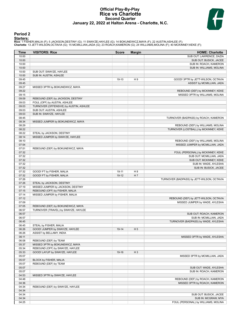# **Official Play-By-Play Rice vs Charlotte Second Quarter January 22, 2022 at Halton Arena - Charlotte, N.C.**



# **Period 2**

<mark>Starters:</mark><br>Rice: 1 FISHER,MALIA (F); 5 JACKSON,DESTINY (G); 11 SWAYZE,HAYLEE (G); 14 BOKUNEWICZ,MAYA (F); 22 AUSTIN,ASHLEE (F);<br>**Charlotte**: 13 JETT-WILSON,OCTAVIA (G); 15 MCMILLIAN,JADA (G); 23 ROACH,KAMERON (G); 24 WILL

| Time           | <b>VISITORS: Rice</b>                                             | <b>Score</b> | <b>Margin</b>  | <b>HOME: Charlotte</b>                     |
|----------------|-------------------------------------------------------------------|--------------|----------------|--------------------------------------------|
| 10:00          |                                                                   |              |                | SUB OUT: LAWRENCE, DAZIA                   |
| 10:00          |                                                                   |              |                | SUB OUT: BUSICK, JACEE                     |
| 10:00          |                                                                   |              |                | SUB IN: ROACH, KAMERON                     |
| 10:00          |                                                                   |              |                | SUB IN: WILLIAMS, MOLINA                   |
| 10:00          | SUB OUT: SWAYZE, HAYLEE                                           |              |                |                                            |
| 10:00          | SUB IN: AUSTIN, ASHLEE                                            |              |                |                                            |
| 09:45          |                                                                   | 19-10        | H <sub>9</sub> | GOOD! 3PTR by JETT-WILSON, OCTAVIA         |
| 09:45          |                                                                   |              |                | ASSIST by MCMILLIAN, JADA                  |
| 09:27          | MISSED 3PTR by BOKUNEWICZ, MAYA                                   |              |                |                                            |
| 09:22          |                                                                   |              |                | REBOUND (DEF) by MCKINNEY, KEKE            |
| 09:15          |                                                                   |              |                | MISSED 3PTR by WILLIAMS, MOLINA            |
| 09:09<br>09:03 | REBOUND (DEF) by JACKSON, DESTINY                                 |              |                |                                            |
|                | FOUL (OFF) by AUSTIN, ASHLEE                                      |              |                |                                            |
| 09:03<br>09:03 | TURNOVER (OFFENSIVE) by AUSTIN, ASHLEE<br>SUB OUT: AUSTIN, ASHLEE |              |                |                                            |
| 09:03          | SUB IN: SWAYZE, HAYLEE                                            |              |                |                                            |
| 08:45          |                                                                   |              |                | TURNOVER (BADPASS) by ROACH, KAMERON       |
| 08:34          | MISSED JUMPER by BOKUNEWICZ, MAYA                                 |              |                |                                            |
| 08:29          |                                                                   |              |                | REBOUND (DEF) by WILLIAMS, MOLINA          |
| 08:22          |                                                                   |              |                | TURNOVER (LOSTBALL) by MCKINNEY, KEKE      |
| 08:22          | STEAL by JACKSON, DESTINY                                         |              |                |                                            |
| 08:14          | MISSED JUMPER by SWAYZE, HAYLEE                                   |              |                |                                            |
| 08:10          |                                                                   |              |                | REBOUND (DEF) by WILLIAMS, MOLINA          |
| 07:54          |                                                                   |              |                | MISSED JUMPER by MCMILLIAN, JADA           |
| 07:51          | REBOUND (DEF) by BOKUNEWICZ, MAYA                                 |              |                |                                            |
| 07:32          |                                                                   |              |                | FOUL (PERSONAL) by MCKINNEY, KEKE          |
| 07:32          |                                                                   |              |                | SUB OUT: MCMILLIAN, JADA                   |
| 07:32          |                                                                   |              |                | SUB OUT: MCKINNEY, KEKE                    |
| 07:32          |                                                                   |              |                | SUB IN: WADE, AYLESHA                      |
| 07:32          |                                                                   |              |                | SUB IN: BUSICK, JACEE                      |
| 07:32          | GOOD! FT by FISHER, MALIA                                         | 19-11        | H <sub>8</sub> |                                            |
| 07:32          | GOOD! FT by FISHER, MALIA                                         | $19-12$      | H 7            |                                            |
| 07:26          |                                                                   |              |                | TURNOVER (BADPASS) by JETT-WILSON, OCTAVIA |
| 07:26          | STEAL by JACKSON, DESTINY                                         |              |                |                                            |
| 07:19          | MISSED JUMPER by JACKSON, DESTINY                                 |              |                |                                            |
| 07:15          | REBOUND (OFF) by FISHER, MALIA                                    |              |                |                                            |
| 07:14          | MISSED JUMPER by FISHER, MALIA                                    |              |                |                                            |
| 07:12          |                                                                   |              |                | REBOUND (DEF) by JETT-WILSON, OCTAVIA      |
| 07:09          |                                                                   |              |                | MISSED JUMPER by WADE, AYLESHA             |
| 07:05          | REBOUND (DEF) by BOKUNEWICZ, MAYA                                 |              |                |                                            |
| 06:57          | TURNOVER (TRAVEL) by SWAYZE, HAYLEE                               |              |                |                                            |
| 06:57          |                                                                   |              |                | SUB OUT: ROACH, KAMERON                    |
| 06:57          |                                                                   |              |                | SUB IN: MCMILLIAN, JADA                    |
| 06:45          |                                                                   |              |                | TURNOVER (BADPASS) by WADE, AYLESHA        |
| 06:45          | STEAL by FISHER, MALIA                                            |              |                |                                            |
| 06:26          | GOOD! JUMPER by SWAYZE, HAYLEE                                    | 19-14        | H <sub>5</sub> |                                            |
| 06:26          | ASSIST by BELLAMY, INDIA                                          |              |                |                                            |
| 06:11          |                                                                   |              |                | MISSED 3PTR by WADE, AYLESHA               |
| 06:08          | REBOUND (DEF) by TEAM                                             |              |                |                                            |
| 05:37          | MISSED 3PTR by BOKUNEWICZ, MAYA                                   |              |                |                                            |
| 05:34          | REBOUND (OFF) by SWAYZE, HAYLEE                                   |              |                |                                            |
| 05:33          | GOOD! LAYUP by SWAYZE, HAYLEE                                     | 19-16        | $H_3$          |                                            |
| 05:07          |                                                                   |              |                | MISSED 3PTR by MCMILLIAN, JADA             |
| 05:07<br>05:07 | BLOCK by FISHER, MALIA<br>REBOUND (DEF) by TEAM                   |              |                |                                            |
| 05:07          |                                                                   |              |                | SUB OUT: WADE, AYLESHA                     |
| 05:07          |                                                                   |              |                | SUB IN: ROACH, KAMERON                     |
| 04:53          | MISSED 3PTR by SWAYZE, HAYLEE                                     |              |                |                                            |
| 04:48          |                                                                   |              |                | REBOUND (DEF) by ROACH, KAMERON            |
| 04:36          |                                                                   |              |                | MISSED 3PTR by ROACH, KAMERON              |
| 04:34          | REBOUND (DEF) by SWAYZE, HAYLEE                                   |              |                |                                            |
| 04:34          |                                                                   |              |                |                                            |
| 04:34          |                                                                   |              |                | SUB OUT: BUSICK, JACEE                     |
| 04:34          |                                                                   |              |                | SUB IN: MCGRAW, MYA                        |
| 04:25          |                                                                   |              |                | FOUL (PERSONAL) by WILLIAMS, MOLINA        |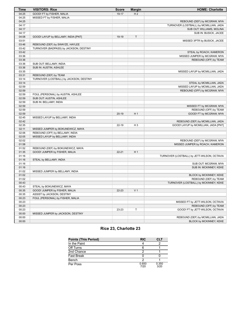| <b>Time</b>    | <b>VISITORS: Rice</b>                   | <b>Score</b> | <b>Margin</b>  | <b>HOME: Charlotte</b>                                     |
|----------------|-----------------------------------------|--------------|----------------|------------------------------------------------------------|
| 04:25          | GOOD! FT by FISHER, MALIA               | 19-17        | H <sub>2</sub> |                                                            |
| 04:25          | MISSED FT by FISHER, MALIA              |              |                |                                                            |
| 04:25          |                                         |              |                | REBOUND (DEF) by MCGRAW, MYA                               |
| 04:17          |                                         |              |                | TURNOVER (LOSTBALL) by MCMILLIAN, JADA                     |
| 04:17          |                                         |              |                | SUB OUT: WILLIAMS, MOLINA                                  |
| 04:17          |                                         |              |                | SUB IN: BUSICK, JACEE                                      |
| 04:08          | GOOD! LAYUP by BELLAMY, INDIA [PNT]     | 19-19        | $\mathsf T$    |                                                            |
| 03:51          |                                         |              |                | MISSED 3PTR by BUSICK, JACEE                               |
| 03:46          | REBOUND (DEF) by SWAYZE, HAYLEE         |              |                |                                                            |
| 03:42          | TURNOVER (BADPASS) by JACKSON, DESTINY  |              |                |                                                            |
| 03:42          |                                         |              |                | STEAL by ROACH, KAMERON                                    |
| 03:36          |                                         |              |                | MISSED JUMPER by MCGRAW, MYA                               |
| 03:36          |                                         |              |                | REBOUND (OFF) by TEAM                                      |
| 03:36          | SUB OUT: BELLAMY, INDIA                 |              |                |                                                            |
| 03:36          | SUB IN: AUSTIN, ASHLEE                  |              |                |                                                            |
| 03:35          |                                         |              |                | MISSED LAYUP by MCMILLIAN, JADA                            |
| 03:31          | REBOUND (DEF) by TEAM                   |              |                |                                                            |
| 03:14          | TURNOVER (LOSTBALL) by JACKSON, DESTINY |              |                |                                                            |
| 03:14          |                                         |              |                | STEAL by MCMILLIAN, JADA                                   |
| 02:59          |                                         |              |                | MISSED LAYUP by MCMILLIAN, JADA                            |
| 02:59          |                                         |              |                | REBOUND (OFF) by MCGRAW, MYA                               |
| 02:59          | FOUL (PERSONAL) by AUSTIN, ASHLEE       |              |                |                                                            |
| 02:59          | SUB OUT: AUSTIN, ASHLEE                 |              |                |                                                            |
| 02:59          | SUB IN: BELLAMY, INDIA                  |              |                |                                                            |
| 02:59          |                                         |              |                | MISSED FT by MCGRAW, MYA                                   |
| 02:59          |                                         |              |                | REBOUND (OFF) by TEAM                                      |
| 02:59          |                                         | $20-19$      | H <sub>1</sub> | GOOD! FT by MCGRAW, MYA                                    |
| 02:45          | MISSED LAYUP by BELLAMY, INDIA          |              |                |                                                            |
| 02:42          |                                         |              |                | REBOUND (DEF) by MCMILLIAN, JADA                           |
| 02:35          |                                         | $22 - 19$    | H <sub>3</sub> | GOOD! LAYUP by MCMILLIAN, JADA [PNT]                       |
| 02:11          | MISSED JUMPER by BOKUNEWICZ, MAYA       |              |                |                                                            |
| 02:06          | REBOUND (OFF) by BELLAMY, INDIA         |              |                |                                                            |
| 02:05          | MISSED LAYUP by BELLAMY, INDIA          |              |                |                                                            |
| 02:02          |                                         |              |                | REBOUND (DEF) by MCGRAW, MYA                               |
| 01:58          |                                         |              |                | MISSED JUMPER by ROACH, KAMERON                            |
| 01:52          | REBOUND (DEF) by BOKUNEWICZ, MAYA       |              |                |                                                            |
| 01:35          | GOOD! JUMPER by FISHER, MALIA           | $22 - 21$    | H <sub>1</sub> |                                                            |
| 01:16          |                                         |              |                | TURNOVER (LOSTBALL) by JETT-WILSON, OCTAVIA                |
| 01:16          | STEAL by BELLAMY, INDIA                 |              |                |                                                            |
| 01:16          |                                         |              |                | SUB OUT: MCGRAW, MYA                                       |
| 01:16          |                                         |              |                | SUB IN: MCKINNEY, KEKE                                     |
| 01:02          | MISSED JUMPER by BELLAMY, INDIA         |              |                |                                                            |
| 01:02          |                                         |              |                | BLOCK by MCKINNEY, KEKE                                    |
| 01:02          |                                         |              |                | REBOUND (DEF) by TEAM                                      |
| 00:43          |                                         |              |                | TURNOVER (LOSTBALL) by MCKINNEY, KEKE                      |
| 00:43          | STEAL by BOKUNEWICZ, MAYA               |              |                |                                                            |
| 00:35          | GOOD! JUMPER by FISHER, MALIA           | 22-23        | V <sub>1</sub> |                                                            |
| 00:35          | ASSIST by JACKSON, DESTINY              |              |                |                                                            |
| 00:23          | FOUL (PERSONAL) by FISHER, MALIA        |              |                |                                                            |
| 00:23          |                                         |              |                |                                                            |
| 00:23          |                                         |              |                | MISSED FT by JETT-WILSON, OCTAVIA<br>REBOUND (OFF) by TEAM |
| 00:23          |                                         | 23-23        | $\top$         | GOOD! FT by JETT-WILSON, OCTAVIA                           |
| 00:00          |                                         |              |                |                                                            |
|                | MISSED JUMPER by JACKSON, DESTINY       |              |                | REBOUND (DEF) by MCMILLIAN, JADA                           |
| 00:00<br>00:00 |                                         |              |                |                                                            |
|                |                                         |              |                | BLOCK by MCKINNEY, KEKE                                    |

# **Rice 23, Charlotte 23**

| <b>Points (This Period)</b> | <b>RIC</b>    | CI T          |
|-----------------------------|---------------|---------------|
| In the Paint                |               |               |
| Off Turns                   |               |               |
| 2nd Chance                  |               |               |
| <b>Fast Break</b>           |               |               |
| Bench                       |               |               |
| Per Poss                    | 0.650<br>7/20 | 0.350<br>3/20 |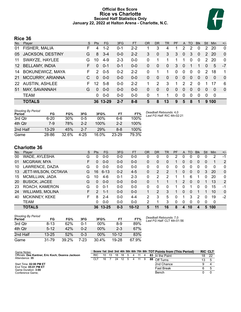# **Official Box Score Rice vs Charlotte Second Half Statistics Only January 22, 2022 at Halton Arena - Charlotte, N.C.**



# **Rice 36**

| No. | Plaver                  | S  | <b>Pts</b>    | <b>FG</b> | 3FG     | <b>FT</b> | <b>OR</b> | DR          | TR | <b>PF</b> | A             | TO            | <b>B</b> lk | Stl            | <b>Min</b> | $+/-$        |
|-----|-------------------------|----|---------------|-----------|---------|-----------|-----------|-------------|----|-----------|---------------|---------------|-------------|----------------|------------|--------------|
| 01  | FISHER, MALIA           | F  | 4             | $1 - 2$   | $0 - 1$ | $2 - 2$   |           | 3           | 4  | 1         | 2             | 2             | 0           | 2              | 20         | 0            |
| 05  | <b>JACKSON, DESTINY</b> | G  | 8             | $3 - 4$   | $0-0$   | $2 - 2$   | 3         | $\mathbf 0$ | 3  | 3         | $\mathbf{0}$  | 3             | $\Omega$    | 2              | 20         | $\mathbf{0}$ |
| 11  | SWAYZE, HAYLEE          | G  | 10            | $4 - 9$   | $2 - 3$ | $0-0$     | 0         |             |    |           |               | $\Omega$      | 0           | $\mathcal{P}$  | 20         | $\Omega$     |
|     | 12 BELLAMY, INDIA       | F. | 0             | $0 - 1$   | $0 - 1$ | $0 - 0$   | 0         | 0           | 0  | 3         | 0             |               |             | $\overline{0}$ | 5          | $-7$         |
| 14  | <b>BOKUNEWICZ, MAYA</b> | F. | $\mathcal{P}$ | $0 - 5$   | $0 - 2$ | $2 - 2$   | 0         |             | 1  | 0         | $\mathbf 0$   | $\Omega$      | 0           | $\mathcal{P}$  | 18         | 1            |
| 21  | MCCURRY, ARIANNA        |    | $\Omega$      | $0 - 0$   | $0 - 0$ | $0 - 0$   | 0         | 0           | 0  | 0         | $\Omega$      | $\Omega$      | 0           | $\overline{0}$ | 0          | $\mathbf{0}$ |
| 22  | <b>AUSTIN, ASHLEE</b>   | F. | 12            | $5 - 8$   | $0-0$   | $2 - 2$   | 1         | 2           | 3  | 1         | $\mathcal{P}$ | $\mathcal{P}$ | $\Omega$    |                | 17         | 6            |
| 51  | MAY, SAVANNAH           | G  | 0             | $0 - 0$   | $0-0$   | $0-0$     | 0         | 0           | 0  | 0         | 0             | 0             | 0           | $\Omega$       | 0          | $\mathbf 0$  |
|     | <b>TEAM</b>             |    | 0             | $0 - 0$   | $0-0$   | $0-0$     | $\Omega$  |             | 1  | 0         | $\mathbf 0$   | $\Omega$      | $\Omega$    | $\Omega$       | 0          |              |
|     | <b>TOTALS</b>           |    | 36            | $13 - 29$ | $2 - 7$ | $8 - 8$   | 5         | 8           | 13 | 9         | 5             | 8             | 1           |                | 9100       |              |

| <b>Shooting By Period</b><br>Period | FG        | FG%   | 3FG     | 3FG%   | FT      | FT%   | Deadball Rebounds: 4,0<br>Last FG Half: RIC 4th-02:21 |
|-------------------------------------|-----------|-------|---------|--------|---------|-------|-------------------------------------------------------|
| 3rd Qtr                             | $6 - 20$  | 30%   | $0 - 5$ | $00\%$ | 6-6     | 100%  |                                                       |
| 4th Qtr                             | 7-9       | 78%   | $2 - 2$ | 100%   | $2 - 2$ | 100%  |                                                       |
| 2nd Half                            | $13 - 29$ | 45%   | $2 - 7$ | 29%    | $8 - 8$ | 100%  |                                                       |
| Game                                | 28-86     | 32.6% | 4-25    | 16.0%  | 23-29   | 79.3% |                                                       |

# **Charlotte 36**

| No. | <b>Plaver</b>           | S  | <b>Pts</b> | FG.       | 3FG     | FT.       | <b>OR</b> | <b>DR</b> | TR       | <b>PF</b> | A        | TO | <b>B</b> lk    | Stl      | Min | $+/-$        |
|-----|-------------------------|----|------------|-----------|---------|-----------|-----------|-----------|----------|-----------|----------|----|----------------|----------|-----|--------------|
| 00  | WADE, AYLESHA           | G  | 0          | $0-0$     | 0-0     | $0-0$     | 0         | 0         | 0        |           | 0        | 0  | 0              | 0        | 2   | $-1$         |
| 01  | MCGRAW, MYA             | F  | 0          | $0 - 0$   | $0 - 0$ | $0 - 0$   | 0         | 0         | 0        |           | 0        | 0  | $\overline{0}$ | 0        |     | 2            |
| 10  | LAWRENCE, DAZIA         | G  | 0          | $0 - 0$   | $0 - 0$ | $0 - 0$   | 0         | 0         | 0        | 0         | 0        | 0  | 0              | 0        | 0   | 0            |
| 13  | JETT-WILSON, OCTAVIA    | G  | 16         | $6 - 13$  | $0 - 2$ | $4 - 5$   | 0         | 2         | 2        |           | $\Omega$ | 0  | $\mathbf{0}$   | 3        | 20  | $\mathbf{0}$ |
| 15  | MCMILLIAN, JADA         | G  | 10         | $4-6$     | $0 - 1$ | $2 - 3$   | 0         | 2         | 2        |           | 1        | 6  |                | 0        | 20  | $\mathbf{0}$ |
| 20  | <b>BUSICK, JACEE</b>    | G  | 0          | $0 - 0$   | $0 - 0$ | $0 - 0$   | 0         |           |          |           | 2        | 0  | $\mathbf{0}$   |          | 13  | 2            |
| 23  | ROACH, KAMERON          | G  | 0          | $0 - 1$   | $0 - 0$ | $0 - 0$   | 0         | 0         | $\Omega$ |           | 0        |    | 0              | O        | 15  | -1           |
| 24  | <b>WILLIAMS, MOLINA</b> | F. | 2          | $1 - 1$   | $0 - 0$ | $0 - 0$   |           | 2         | 3        |           | 0        | 0  |                |          | 10  | $\Omega$     |
| 40  | <b>MCKINNEY, KEKE</b>   | F. | 8          | $2 - 4$   | $0 - 0$ | $4 - 4$   | 2         | 3         | 5        | 0         | 1        | 3  | 2              | $\Omega$ | 19  | $-2$         |
|     | TEAM                    |    | 0          | $0 - 0$   | $0 - 0$ | $0 - 0$   | 2         |           | 3        | 0         | 0        | 0  | 0              | 0        | 0   |              |
|     | <b>TOTALS</b>           |    | 36.        | $13 - 25$ | $0 - 3$ | $10 - 12$ | 5         | 11        | 16       | 8         | 4        | 10 | 4              | 5        | 100 |              |

| <b>Shooting By Period</b><br>Period | FG        | FG%   | 3FG     | 3FG%     | FT        | FT%   |
|-------------------------------------|-----------|-------|---------|----------|-----------|-------|
| 3rd Qtr                             | 8-13      | 62%   | 0-1     | $00\%$   | 8-9       | 89%   |
| 4th Qtr                             | $5 - 12$  | 42%   | $0 - 2$ | 00%      | $2 - 3$   | 67%   |
| 2nd Half                            | $13 - 25$ | 52%   | $0 - 3$ | $00\%$   | $10 - 12$ | 83%   |
| Game                                | 31-79     | 39.2% | 7-23    | $30.4\%$ | 19-28     | 67.9% |

*Deadball Rebounds:* 7,0 *Last FG Half:* CLT 4th-01:56

| Game Notes:                                       |      |    |      |    |    |    |   |    |    | Score 1st 2nd 3rd 4th 5th 6th 7th 8th TOT Points from (This Period) | <b>RIC CLT</b> |     |
|---------------------------------------------------|------|----|------|----|----|----|---|----|----|---------------------------------------------------------------------|----------------|-----|
| Officials: Dee Kantner, Eric Koch, Deanna Jackson | RIC. | 10 | - 13 | 18 | 18 | 5  | 4 | 11 |    | 83 In the Paint                                                     | 18             | -22 |
| Attendance: 35                                    | CLT  | 16 |      | 24 | 12 | -5 | 4 | 11 | -9 | 88 Off Turns                                                        |                |     |
| Start Time: 02:00 PM ET                           |      |    |      |    |    |    |   |    |    | 2nd Chance                                                          |                |     |
| End Time: 05:01 PM ET<br>Game Duration: 3:00      |      |    |      |    |    |    |   |    |    | <b>Fast Break</b>                                                   |                |     |
| Conference Game:                                  |      |    |      |    |    |    |   |    |    | Bench                                                               |                |     |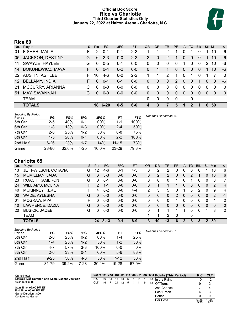# **Official Box Score Rice vs Charlotte Third Quarter Statistics Only January 22, 2022 at Halton Arena - Charlotte, N.C.**



# **Rice 60**

| No.             | Plaver                  | S. | Pts      | FG.      | 3FG     | <b>FT</b> | <b>OR</b> | D <sub>R</sub> | TR             | PF             | A              | TO       | <b>B</b> lk | <b>Stl</b> | <b>Min</b> | $+/-$       |
|-----------------|-------------------------|----|----------|----------|---------|-----------|-----------|----------------|----------------|----------------|----------------|----------|-------------|------------|------------|-------------|
| 01              | FISHER, MALIA           | F  | 2        | $0 - 1$  | $0 - 1$ | $2 - 2$   |           |                | 2              |                |                |          | 0           |            | 10         | -6          |
| 05              | JACKSON, DESTINY        | G  | 6        | $2 - 3$  | $0-0$   | $2 - 2$   | 2         | $\Omega$       | $\overline{2}$ |                | $\Omega$       | 0        | $\Omega$    |            | 10         | -6          |
| 11              | SWAYZE, HAYLEE          | G  | $\Omega$ | $0-5$    | $0 - 1$ | $0-0$     | 0         | $\Omega$       | 0              | 0              | 1              | $\Omega$ | 0           | 2          | 10         | -6          |
| 14              | <b>BOKUNEWICZ, MAYA</b> | F. | 0        | $0 - 4$  | $0 - 2$ | $0 - 0$   | 0         |                | 1              | 0              | $\Omega$       | 0        | $\Omega$    |            | 10         | -6          |
| 22              | <b>AUSTIN, ASHLEE</b>   | F. | 10       | $4-6$    | $0-0$   | $2 - 2$   |           |                | 2              |                | $\Omega$       | 1        | $\Omega$    |            |            | $\mathbf 0$ |
| 12 <sup>°</sup> | <b>BELLAMY, INDIA</b>   | F  | $\Omega$ | $0 - 1$  | $0 - 1$ | $0 - 0$   | 0         | $\Omega$       | $\Omega$       | $\overline{2}$ | $\overline{0}$ | $\Omega$ | 1           | $\Omega$   | 3          | -6          |
| 21              | MCCURRY, ARIANNA        | C  | $\Omega$ | $0-0$    | $0-0$   | $0-0$     | 0         | $\Omega$       | 0              | $\Omega$       | $\mathbf 0$    | $\Omega$ | $\Omega$    | $\Omega$   | $\Omega$   | $\mathbf 0$ |
| 51              | MAY, SAVANNAH           | G  | $\Omega$ | $0 - 0$  | $0 - 0$ | $0 - 0$   | 0         | $\Omega$       | 0              | 0              | $\Omega$       | $\Omega$ | $\Omega$    | $\Omega$   | $\Omega$   | $\mathbf 0$ |
|                 | <b>TEAM</b>             |    |          |          |         |           | 0         | 0              | 0              | 0              |                | 0        |             |            |            |             |
|                 | <b>TOTALS</b>           |    | 18.      | $6 - 20$ | $0 - 5$ | $6-6$     | 4         | 3              | 7              | 5              |                | 2        | 1           | 6          | 50         |             |

| <b>Shooting By Period</b><br>Period | FG       | FG%        | 3FG      | 3FG%   | FT        | FT%   | Deadball Rebounds: 4,0 |
|-------------------------------------|----------|------------|----------|--------|-----------|-------|------------------------|
| 5th Qtr                             | $2 - 5$  | 40%        | 0-1      | 00%    | 1-1       | 100%  |                        |
| 6th Qtr                             | $1 - 8$  | 13%        | $0 - 3$  | 00%    | $2 - 4$   | 50%   |                        |
| 7th Qtr                             | $2 - 8$  | 25%        | $1-2$    | 50%    | $6 - 8$   | 75%   |                        |
| 8th Qtr                             | $1-5$    | <b>20%</b> | $0 - 1$  | $00\%$ | $2 - 2$   | 100%  |                        |
| 2nd Half                            | $6 - 26$ | 23%        | $1 - 7$  | 14%    | $11 - 15$ | 73%   |                        |
| Game                                | 28-86    | 32.6%      | $4 - 25$ | 16.0%  | $23 - 29$ | 79.3% |                        |

# **Charlotte 65**

| No. | Player                  | S  | <b>Pts</b> | FG.      | 3FG     | <b>FT</b> | 0R | DR | <b>TR</b>    | <b>PF</b>     | A              | TO       | <b>Blk</b> | Stl          | Min      | $+/-$          |
|-----|-------------------------|----|------------|----------|---------|-----------|----|----|--------------|---------------|----------------|----------|------------|--------------|----------|----------------|
| 13  | JETT-WILSON, OCTAVIA    | G  | 12         | $4-6$    | 0-1     | $4 - 5$   | 0  | 2  | 2            | 0             | 0              | 0        | 0          |              | 10       | 6              |
| 15  | MCMILLIAN, JADA         | G  | 6          | $3 - 3$  | $0 - 0$ | $0 - 0$   | 0  | 2  | 2            | 0             | $\mathbf{0}$   | 2        |            | $\mathbf{0}$ | 10       | 6              |
| 23  | ROACH, KAMERON          | G  | $\Omega$   | $0 - 1$  | $0 - 0$ | $0 - 0$   | 0  | 0  | $\mathbf{0}$ | 1             | 0              |          | 0          | 0            | 8        | 7              |
| 24  | <b>WILLIAMS, MOLINA</b> | F. | 2          | $1 - 1$  | $0 - 0$ | $0 - 0$   | 0  |    |              |               | 0              | $\Omega$ | 0          | 0            | 2        | $\overline{4}$ |
| 40  | <b>MCKINNEY, KEKE</b>   | F  | 4          | $0 - 2$  | $0 - 0$ | $4 - 4$   | 2  | 3  | 5            | 0             |                | 3        | 2          | 0            | 9        | 4              |
| 00  | WADE, AYLESHA           | G  | $\Omega$   | $0 - 0$  | $0 - 0$ | $0 - 0$   | 0  | 0  | 0            | $\mathcal{P}$ | $\overline{0}$ | $\Omega$ | 0          | 0            | 2        | $-1$           |
| 01  | MCGRAW, MYA             | F. | $\Omega$   | $0 - 0$  | $0 - 0$ | $0-0$     | 0  | 0  | $\mathbf{0}$ |               | 0              | 0        | 0          | 0            |          | 2              |
| 10  | LAWRENCE, DAZIA         | G  | 0          | $0 - 0$  | $0 - 0$ | $0 - 0$   | 0  | 0  | 0            | 0             | $\Omega$       | $\Omega$ | 0          | $\Omega$     | $\Omega$ | $\mathbf{0}$   |
| 20  | <b>BUSICK, JACEE</b>    | G  | U          | $0 - 0$  | $0 - 0$ | $0-0$     | 0  |    | 1            |               |                | $\Omega$ | 0          |              | 8        | 2              |
|     | TEAM                    |    |            |          |         |           | 1  | 1  | 2            | 0             |                | 0        |            |              |          |                |
|     | <b>TOTALS</b>           |    | 24         | $8 - 13$ | $0 - 1$ | $8-9$     | 3  | 10 | 13           | 6             | 2              | 6        | 3          | 2            | 50       |                |

| <b>Shooting By Period</b><br>Period | FG       | FG%   | 3FG     | 3FG%   | FT.      | FT%   | Deadball Rebounds: 7.0 |
|-------------------------------------|----------|-------|---------|--------|----------|-------|------------------------|
| 5th Qtr                             | $2 - 8$  | 25%   | $0 - 2$ | $00\%$ | $1 - 4$  | 25%   |                        |
| 6th Qtr                             | $1 - 4$  | 25%   | $1 - 2$ | 50%    | $1 - 2$  | 50%   |                        |
| 7th Qtr                             | $4 - 7$  | 57%   | $3-3$   | 100%   | 0-0      | $0\%$ |                        |
| 8th Qtr                             | $2 - 6$  | 33%   | $0 - 1$ | 00%    | $5-6$    | 83%   |                        |
| 2nd Half                            | $9 - 25$ | 36%   | $4 - 8$ | 50%    | $7 - 12$ | 58%   |                        |
| Game                                | 31-79    | 39.2% | 7-23    | 30.4%  | 19-28    | 67.9% |                        |

| Game Notes:                                       |      |    |    |    |  |   |    | Score 1st 2nd 3rd 4th 5th 6th 7th 8th TOT Points (This Period) | <b>RIC</b>    | <b>CLT</b>     |
|---------------------------------------------------|------|----|----|----|--|---|----|----------------------------------------------------------------|---------------|----------------|
| Officials: Dee Kantner, Eric Koch, Deanna Jackson | RIC. | 10 | 18 | 18 |  |   |    | 83 In the Paint                                                |               | 12             |
| Attendance: 35                                    | CLI  | 16 | 24 |    |  | 9 | 88 | Off Turns                                                      |               |                |
| Start Time: 02:00 PM ET                           |      |    |    |    |  |   |    | 2nd Chance                                                     |               |                |
| End Time: 05:01 PM ET<br>Game Duration: 3:00      |      |    |    |    |  |   |    | <b>Fast Break</b>                                              |               |                |
| Conference Game:                                  |      |    |    |    |  |   |    | Bench                                                          |               |                |
|                                                   |      |    |    |    |  |   |    | Per Poss                                                       | 0.90C<br>9/20 | 1.200<br>12/20 |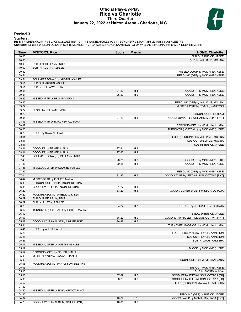# **Official Play-By-Play Rice vs Charlotte Third Quarter January 22, 2022 at Halton Arena - Charlotte, N.C.**



# **Period 3**

<mark>Starters:</mark><br>Rice: 1 FISHER,MALIA (F); 5 JACKSON,DESTINY (G); 11 SWAYZE,HAYLEE (G); 14 BOKUNEWICZ,MAYA (F); 22 AUSTIN,ASHLEE (F);<br>**Charlotte**: 13 JETT-WILSON,OCTAVIA (G); 15 MCMILLIAN,JADA (G); 23 ROACH,KAMERON (G); 24 WILL

| Time           | <b>VISITORS: Rice</b>                | <b>Score</b> | <b>Margin</b>  | <b>HOME: Charlotte</b>                                              |
|----------------|--------------------------------------|--------------|----------------|---------------------------------------------------------------------|
| 10:00          |                                      |              |                | SUB OUT: BUSICK, JACEE                                              |
| 10:00          |                                      |              |                | SUB IN: WILLIAMS, MOLINA                                            |
| 10:00          | SUB OUT: BELLAMY, INDIA              |              |                |                                                                     |
| 10:00          | SUB IN: AUSTIN, ASHLEE               |              |                |                                                                     |
| 09:52          |                                      |              |                | MISSED LAYUP by MCKINNEY, KEKE                                      |
| 09:51          |                                      |              |                | REBOUND (OFF) by MCKINNEY, KEKE                                     |
| 09:51          | FOUL (PERSONAL) by AUSTIN, ASHLEE    |              |                |                                                                     |
| 09:51          | SUB OUT: AUSTIN, ASHLEE              |              |                |                                                                     |
| 09:51          | SUB IN: BELLAMY, INDIA               |              |                |                                                                     |
| 09:51          |                                      | 24-23        | H <sub>1</sub> | GOOD! FT by MCKINNEY, KEKE                                          |
| 09:51          |                                      | 25-23        | H <sub>2</sub> | GOOD! FT by MCKINNEY, KEKE                                          |
| 09:29<br>09:25 | MISSED 3PTR by BELLAMY, INDIA        |              |                |                                                                     |
| 09:22          |                                      |              |                | REBOUND (DEF) by WILLIAMS, MOLINA<br>MISSED LAYUP by ROACH, KAMERON |
| 09:22          | BLOCK by BELLAMY, INDIA              |              |                |                                                                     |
| 09:22          |                                      |              |                | REBOUND (OFF) by TEAM                                               |
| 09:01          |                                      | 27-23        | H4             | GOOD! JUMPER by WILLIAMS, MOLINA [PNT]                              |
| 08:45          | MISSED 3PTR by BOKUNEWICZ, MAYA      |              |                |                                                                     |
| 08:37          |                                      |              |                | REBOUND (DEF) by MCMILLIAN, JADA                                    |
| 08:26          |                                      |              |                | TURNOVER (LOSTBALL) by MCKINNEY, KEKE                               |
| 08:26          | STEAL by SWAYZE, HAYLEE              |              |                |                                                                     |
| 08:11          |                                      |              |                | FOUL (PERSONAL) by WILLIAMS, MOLINA                                 |
| 08:11          |                                      |              |                | SUB OUT: WILLIAMS, MOLINA                                           |
| 08:11          |                                      |              |                | SUB IN: BUSICK, JACEE                                               |
| 08:11          | GOOD! FT by FISHER, MALIA            | $27 - 24$    | $H_3$          |                                                                     |
| 08:11          | GOOD! FT by FISHER, MALIA            | $27 - 25$    | H <sub>2</sub> |                                                                     |
| 07:48          | FOUL (PERSONAL) by BELLAMY, INDIA    |              |                |                                                                     |
| 07:48          |                                      | 28-25        | $H_3$          | GOOD! FT by MCKINNEY, KEKE                                          |
| 07:48          |                                      | 29-25        | H4             | GOOD! FT by MCKINNEY, KEKE                                          |
| 07:36          | MISSED JUMPER by SWAYZE, HAYLEE      |              |                |                                                                     |
| 07:29          |                                      |              |                | REBOUND (DEF) by MCKINNEY, KEKE                                     |
| 07:04          |                                      | $31 - 25$    | H <sub>6</sub> | GOOD! LAYUP by JETT-WILSON, OCTAVIA [PNT]                           |
| 06:42          | MISSED 3PTR by FISHER, MALIA         |              |                |                                                                     |
| 06:36          | REBOUND (OFF) by JACKSON, DESTINY    |              |                |                                                                     |
| 06:35          | GOOD! LAYUP by JACKSON, DESTINY      | $31 - 27$    | H4             |                                                                     |
| 06:29          |                                      | 33-27        | H <sub>6</sub> | GOOD! JUMPER by JETT-WILSON, OCTAVIA                                |
| 06:29          | FOUL (PERSONAL) by BELLAMY, INDIA    |              |                |                                                                     |
| 06:29          | SUB OUT: BELLAMY, INDIA              |              |                |                                                                     |
| 06:29<br>06:29 | SUB IN: AUSTIN, ASHLEE               | 34-27        | H <sub>7</sub> | GOOD! FT by JETT-WILSON, OCTAVIA                                    |
| 06:12          |                                      |              |                |                                                                     |
| 06:12          | TURNOVER (LOSTBALL) by FISHER, MALIA |              |                | STEAL by BUSICK, JACEE                                              |
| 06:07          |                                      | 36-27        | H9             | GOOD! LAYUP by JETT-WILSON, OCTAVIA [PNT]                           |
| 05:47          | GOOD! LAYUP by AUSTIN, ASHLEE [PNT]  | 36-29        | H 7            |                                                                     |
| 05:41          |                                      |              |                | TURNOVER (BADPASS) by MCMILLIAN, JADA                               |
| 05:41          | STEAL by AUSTIN, ASHLEE              |              |                |                                                                     |
| 05:26          |                                      |              |                | FOUL (PERSONAL) by ROACH, KAMERON                                   |
| 05:26          |                                      |              |                | SUB OUT: ROACH, KAMERON                                             |
| 05:26          |                                      |              |                | SUB IN: WADE, AYLESHA                                               |
| 05:17          | MISSED JUMPER by AUSTIN, ASHLEE      |              |                |                                                                     |
| 05:17          |                                      |              |                | BLOCK by MCKINNEY, KEKE                                             |
| 05:17          | REBOUND (OFF) by FISHER, MALIA       |              |                |                                                                     |
| 05:09          | MISSED LAYUP by SWAYZE, HAYLEE       |              |                |                                                                     |
| 05:06          |                                      |              |                | REBOUND (DEF) by MCMILLIAN, JADA                                    |
| 05:05          | FOUL (PERSONAL) by JACKSON, DESTINY  |              |                |                                                                     |
| 05:05          |                                      |              |                | SUB OUT: MCKINNEY, KEKE                                             |
| 05:05          |                                      |              |                | SUB IN: MCGRAW, MYA                                                 |
| 05:05          |                                      | 37-29        | H <sub>8</sub> | GOOD! FT by JETT-WILSON, OCTAVIA [FB]                               |
| 05:05          |                                      | 38-29        | H9             | GOOD! FT by JETT-WILSON, OCTAVIA [FB]                               |
| 04:52          |                                      |              |                | FOUL (PERSONAL) by WADE, AYLESHA                                    |
| 04:52          |                                      |              |                |                                                                     |
| 04:50          | MISSED JUMPER by BOKUNEWICZ, MAYA    |              |                |                                                                     |
| 04:45          |                                      |              |                | REBOUND (DEF) by BUSICK, JACEE                                      |
| 04:37          |                                      | 40-29        | H 11           | GOOD! LAYUP by MCMILLIAN, JADA [PNT]                                |
| 04:23          | GOOD! LAYUP by AUSTIN, ASHLEE [PNT]  | 40-31        | H9             |                                                                     |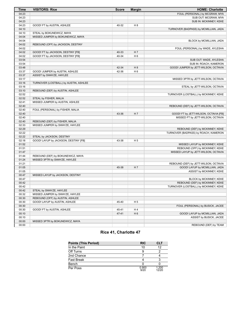| FOUL (PERSONAL) by MCGRAW, MYA<br>04:23<br>04:23<br>SUB OUT: MCGRAW, MYA<br>04:23<br>SUB IN: MCKINNEY, KEKE<br>04:23<br>GOOD! FT by AUSTIN, ASHLEE<br>40-32<br>H <sub>8</sub><br>04:10<br>TURNOVER (BADPASS) by MCMILLIAN, JADA<br>04:10<br>STEAL by BOKUNEWICZ, MAYA<br>04:04<br>MISSED JUMPER by BOKUNEWICZ, MAYA<br>04:04<br>BLOCK by MCMILLIAN, JADA<br>04:02<br>REBOUND (OFF) by JACKSON, DESTINY<br>04:02<br>FOUL (PERSONAL) by WADE, AYLESHA<br>04:02<br>GOOD! FT by JACKSON, DESTINY [FB]<br>40-33<br>H 7<br>H <sub>6</sub><br>04:02<br>GOOD! FT by JACKSON, DESTINY [FB]<br>40-34<br>03:54<br>SUB OUT: WADE, AYLESHA<br>03:54<br>SUB IN: ROACH, KAMERON<br>03:48<br>42-34<br>GOOD! JUMPER by JETT-WILSON, OCTAVIA<br>H 8<br>H <sub>6</sub><br>03:37<br>GOOD! JUMPER by AUSTIN, ASHLEE<br>42-36<br>03:37<br>ASSIST by SWAYZE, HAYLEE<br>03:17<br>MISSED 3PTR by JETT-WILSON, OCTAVIA<br>03:16<br>TURNOVER (LOSTBALL) by AUSTIN, ASHLEE<br>03:16<br>STEAL by JETT-WILSON, OCTAVIA<br>03:10<br>REBOUND (DEF) by AUSTIN, ASHLEE<br>02:52<br>TURNOVER (LOSTBALL) by MCKINNEY, KEKE<br>02:52<br>STEAL by FISHER, MALIA<br>02:41<br>MISSED JUMPER by AUSTIN, ASHLEE<br>02:40<br>REBOUND (DEF) by JETT-WILSON, OCTAVIA<br>02:40<br>FOUL (PERSONAL) by FISHER, MALIA<br>02:40<br>43-36<br>H <sub>7</sub><br>GOOD! FT by JETT-WILSON, OCTAVIA [FB]<br>02:40<br>MISSED FT by JETT-WILSON, OCTAVIA<br>02:40<br>REBOUND (DEF) by FISHER, MALIA<br>02:33<br>MISSED JUMPER by SWAYZE, HAYLEE<br>02:29<br>REBOUND (DEF) by MCKINNEY, KEKE<br>02:22<br>TURNOVER (BADPASS) by ROACH, KAMERON<br>02:22<br>STEAL by JACKSON, DESTINY<br>02:18<br>GOOD! LAYUP by JACKSON, DESTINY [FB]<br>43-38<br>H <sub>5</sub><br>01:52<br>MISSED LAYUP by MCKINNEY, KEKE<br>01:51<br>REBOUND (OFF) by MCKINNEY, KEKE<br>01:47<br>MISSED LAYUP by JETT-WILSON, OCTAVIA<br>01:44<br>REBOUND (DEF) by BOKUNEWICZ, MAYA<br>01:24<br>MISSED 3PTR by SWAYZE, HAYLEE<br>01:21<br>REBOUND (DEF) by JETT-WILSON, OCTAVIA<br>01:05<br>H 7<br>GOOD! LAYUP by MCMILLIAN, JADA<br>45-38<br>01:05<br>ASSIST by MCKINNEY, KEKE<br>00:47<br>MISSED LAYUP by JACKSON, DESTINY<br>00:47<br>BLOCK by MCKINNEY, KEKE<br>00:42<br>REBOUND (DEF) by MCKINNEY, KEKE<br>00:42<br>TURNOVER (LOSTBALL) by MCKINNEY, KEKE<br>00:42<br>STEAL by SWAYZE, HAYLEE<br>00:32<br>MISSED JUMPER by SWAYZE, HAYLEE<br>REBOUND (OFF) by AUSTIN, ASHLEE<br>00:30<br>GOOD! LAYUP by AUSTIN, ASHLEE<br>00:30<br>45-40<br>H <sub>5</sub><br>00:30<br>FOUL (PERSONAL) by BUSICK, JACEE<br>H4<br>00:30<br>GOOD! FT by AUSTIN, ASHLEE<br>45-41<br>00:10<br>47-41<br>H <sub>6</sub><br>GOOD! LAYUP by MCMILLIAN, JADA<br>00:10<br>ASSIST by BUSICK, JACEE<br>00:00<br>MISSED 3PTR by BOKUNEWICZ, MAYA | <b>Time</b> | <b>VISITORS: Rice</b> | <b>Score</b> | <b>Margin</b> | <b>HOME: Charlotte</b> |
|----------------------------------------------------------------------------------------------------------------------------------------------------------------------------------------------------------------------------------------------------------------------------------------------------------------------------------------------------------------------------------------------------------------------------------------------------------------------------------------------------------------------------------------------------------------------------------------------------------------------------------------------------------------------------------------------------------------------------------------------------------------------------------------------------------------------------------------------------------------------------------------------------------------------------------------------------------------------------------------------------------------------------------------------------------------------------------------------------------------------------------------------------------------------------------------------------------------------------------------------------------------------------------------------------------------------------------------------------------------------------------------------------------------------------------------------------------------------------------------------------------------------------------------------------------------------------------------------------------------------------------------------------------------------------------------------------------------------------------------------------------------------------------------------------------------------------------------------------------------------------------------------------------------------------------------------------------------------------------------------------------------------------------------------------------------------------------------------------------------------------------------------------------------------------------------------------------------------------------------------------------------------------------------------------------------------------------------------------------------------------------------------------------------------------------------------------------------------------------------------------------------------------------------------------------------------------------------------------------------------------------------------------------------------------------------------------------------------------------|-------------|-----------------------|--------------|---------------|------------------------|
|                                                                                                                                                                                                                                                                                                                                                                                                                                                                                                                                                                                                                                                                                                                                                                                                                                                                                                                                                                                                                                                                                                                                                                                                                                                                                                                                                                                                                                                                                                                                                                                                                                                                                                                                                                                                                                                                                                                                                                                                                                                                                                                                                                                                                                                                                                                                                                                                                                                                                                                                                                                                                                                                                                                                  |             |                       |              |               |                        |
|                                                                                                                                                                                                                                                                                                                                                                                                                                                                                                                                                                                                                                                                                                                                                                                                                                                                                                                                                                                                                                                                                                                                                                                                                                                                                                                                                                                                                                                                                                                                                                                                                                                                                                                                                                                                                                                                                                                                                                                                                                                                                                                                                                                                                                                                                                                                                                                                                                                                                                                                                                                                                                                                                                                                  |             |                       |              |               |                        |
|                                                                                                                                                                                                                                                                                                                                                                                                                                                                                                                                                                                                                                                                                                                                                                                                                                                                                                                                                                                                                                                                                                                                                                                                                                                                                                                                                                                                                                                                                                                                                                                                                                                                                                                                                                                                                                                                                                                                                                                                                                                                                                                                                                                                                                                                                                                                                                                                                                                                                                                                                                                                                                                                                                                                  |             |                       |              |               |                        |
|                                                                                                                                                                                                                                                                                                                                                                                                                                                                                                                                                                                                                                                                                                                                                                                                                                                                                                                                                                                                                                                                                                                                                                                                                                                                                                                                                                                                                                                                                                                                                                                                                                                                                                                                                                                                                                                                                                                                                                                                                                                                                                                                                                                                                                                                                                                                                                                                                                                                                                                                                                                                                                                                                                                                  |             |                       |              |               |                        |
|                                                                                                                                                                                                                                                                                                                                                                                                                                                                                                                                                                                                                                                                                                                                                                                                                                                                                                                                                                                                                                                                                                                                                                                                                                                                                                                                                                                                                                                                                                                                                                                                                                                                                                                                                                                                                                                                                                                                                                                                                                                                                                                                                                                                                                                                                                                                                                                                                                                                                                                                                                                                                                                                                                                                  |             |                       |              |               |                        |
|                                                                                                                                                                                                                                                                                                                                                                                                                                                                                                                                                                                                                                                                                                                                                                                                                                                                                                                                                                                                                                                                                                                                                                                                                                                                                                                                                                                                                                                                                                                                                                                                                                                                                                                                                                                                                                                                                                                                                                                                                                                                                                                                                                                                                                                                                                                                                                                                                                                                                                                                                                                                                                                                                                                                  |             |                       |              |               |                        |
|                                                                                                                                                                                                                                                                                                                                                                                                                                                                                                                                                                                                                                                                                                                                                                                                                                                                                                                                                                                                                                                                                                                                                                                                                                                                                                                                                                                                                                                                                                                                                                                                                                                                                                                                                                                                                                                                                                                                                                                                                                                                                                                                                                                                                                                                                                                                                                                                                                                                                                                                                                                                                                                                                                                                  |             |                       |              |               |                        |
|                                                                                                                                                                                                                                                                                                                                                                                                                                                                                                                                                                                                                                                                                                                                                                                                                                                                                                                                                                                                                                                                                                                                                                                                                                                                                                                                                                                                                                                                                                                                                                                                                                                                                                                                                                                                                                                                                                                                                                                                                                                                                                                                                                                                                                                                                                                                                                                                                                                                                                                                                                                                                                                                                                                                  |             |                       |              |               |                        |
|                                                                                                                                                                                                                                                                                                                                                                                                                                                                                                                                                                                                                                                                                                                                                                                                                                                                                                                                                                                                                                                                                                                                                                                                                                                                                                                                                                                                                                                                                                                                                                                                                                                                                                                                                                                                                                                                                                                                                                                                                                                                                                                                                                                                                                                                                                                                                                                                                                                                                                                                                                                                                                                                                                                                  |             |                       |              |               |                        |
|                                                                                                                                                                                                                                                                                                                                                                                                                                                                                                                                                                                                                                                                                                                                                                                                                                                                                                                                                                                                                                                                                                                                                                                                                                                                                                                                                                                                                                                                                                                                                                                                                                                                                                                                                                                                                                                                                                                                                                                                                                                                                                                                                                                                                                                                                                                                                                                                                                                                                                                                                                                                                                                                                                                                  |             |                       |              |               |                        |
|                                                                                                                                                                                                                                                                                                                                                                                                                                                                                                                                                                                                                                                                                                                                                                                                                                                                                                                                                                                                                                                                                                                                                                                                                                                                                                                                                                                                                                                                                                                                                                                                                                                                                                                                                                                                                                                                                                                                                                                                                                                                                                                                                                                                                                                                                                                                                                                                                                                                                                                                                                                                                                                                                                                                  |             |                       |              |               |                        |
|                                                                                                                                                                                                                                                                                                                                                                                                                                                                                                                                                                                                                                                                                                                                                                                                                                                                                                                                                                                                                                                                                                                                                                                                                                                                                                                                                                                                                                                                                                                                                                                                                                                                                                                                                                                                                                                                                                                                                                                                                                                                                                                                                                                                                                                                                                                                                                                                                                                                                                                                                                                                                                                                                                                                  |             |                       |              |               |                        |
|                                                                                                                                                                                                                                                                                                                                                                                                                                                                                                                                                                                                                                                                                                                                                                                                                                                                                                                                                                                                                                                                                                                                                                                                                                                                                                                                                                                                                                                                                                                                                                                                                                                                                                                                                                                                                                                                                                                                                                                                                                                                                                                                                                                                                                                                                                                                                                                                                                                                                                                                                                                                                                                                                                                                  |             |                       |              |               |                        |
|                                                                                                                                                                                                                                                                                                                                                                                                                                                                                                                                                                                                                                                                                                                                                                                                                                                                                                                                                                                                                                                                                                                                                                                                                                                                                                                                                                                                                                                                                                                                                                                                                                                                                                                                                                                                                                                                                                                                                                                                                                                                                                                                                                                                                                                                                                                                                                                                                                                                                                                                                                                                                                                                                                                                  |             |                       |              |               |                        |
|                                                                                                                                                                                                                                                                                                                                                                                                                                                                                                                                                                                                                                                                                                                                                                                                                                                                                                                                                                                                                                                                                                                                                                                                                                                                                                                                                                                                                                                                                                                                                                                                                                                                                                                                                                                                                                                                                                                                                                                                                                                                                                                                                                                                                                                                                                                                                                                                                                                                                                                                                                                                                                                                                                                                  |             |                       |              |               |                        |
|                                                                                                                                                                                                                                                                                                                                                                                                                                                                                                                                                                                                                                                                                                                                                                                                                                                                                                                                                                                                                                                                                                                                                                                                                                                                                                                                                                                                                                                                                                                                                                                                                                                                                                                                                                                                                                                                                                                                                                                                                                                                                                                                                                                                                                                                                                                                                                                                                                                                                                                                                                                                                                                                                                                                  |             |                       |              |               |                        |
|                                                                                                                                                                                                                                                                                                                                                                                                                                                                                                                                                                                                                                                                                                                                                                                                                                                                                                                                                                                                                                                                                                                                                                                                                                                                                                                                                                                                                                                                                                                                                                                                                                                                                                                                                                                                                                                                                                                                                                                                                                                                                                                                                                                                                                                                                                                                                                                                                                                                                                                                                                                                                                                                                                                                  |             |                       |              |               |                        |
|                                                                                                                                                                                                                                                                                                                                                                                                                                                                                                                                                                                                                                                                                                                                                                                                                                                                                                                                                                                                                                                                                                                                                                                                                                                                                                                                                                                                                                                                                                                                                                                                                                                                                                                                                                                                                                                                                                                                                                                                                                                                                                                                                                                                                                                                                                                                                                                                                                                                                                                                                                                                                                                                                                                                  |             |                       |              |               |                        |
|                                                                                                                                                                                                                                                                                                                                                                                                                                                                                                                                                                                                                                                                                                                                                                                                                                                                                                                                                                                                                                                                                                                                                                                                                                                                                                                                                                                                                                                                                                                                                                                                                                                                                                                                                                                                                                                                                                                                                                                                                                                                                                                                                                                                                                                                                                                                                                                                                                                                                                                                                                                                                                                                                                                                  |             |                       |              |               |                        |
|                                                                                                                                                                                                                                                                                                                                                                                                                                                                                                                                                                                                                                                                                                                                                                                                                                                                                                                                                                                                                                                                                                                                                                                                                                                                                                                                                                                                                                                                                                                                                                                                                                                                                                                                                                                                                                                                                                                                                                                                                                                                                                                                                                                                                                                                                                                                                                                                                                                                                                                                                                                                                                                                                                                                  |             |                       |              |               |                        |
|                                                                                                                                                                                                                                                                                                                                                                                                                                                                                                                                                                                                                                                                                                                                                                                                                                                                                                                                                                                                                                                                                                                                                                                                                                                                                                                                                                                                                                                                                                                                                                                                                                                                                                                                                                                                                                                                                                                                                                                                                                                                                                                                                                                                                                                                                                                                                                                                                                                                                                                                                                                                                                                                                                                                  |             |                       |              |               |                        |
|                                                                                                                                                                                                                                                                                                                                                                                                                                                                                                                                                                                                                                                                                                                                                                                                                                                                                                                                                                                                                                                                                                                                                                                                                                                                                                                                                                                                                                                                                                                                                                                                                                                                                                                                                                                                                                                                                                                                                                                                                                                                                                                                                                                                                                                                                                                                                                                                                                                                                                                                                                                                                                                                                                                                  |             |                       |              |               |                        |
|                                                                                                                                                                                                                                                                                                                                                                                                                                                                                                                                                                                                                                                                                                                                                                                                                                                                                                                                                                                                                                                                                                                                                                                                                                                                                                                                                                                                                                                                                                                                                                                                                                                                                                                                                                                                                                                                                                                                                                                                                                                                                                                                                                                                                                                                                                                                                                                                                                                                                                                                                                                                                                                                                                                                  |             |                       |              |               |                        |
|                                                                                                                                                                                                                                                                                                                                                                                                                                                                                                                                                                                                                                                                                                                                                                                                                                                                                                                                                                                                                                                                                                                                                                                                                                                                                                                                                                                                                                                                                                                                                                                                                                                                                                                                                                                                                                                                                                                                                                                                                                                                                                                                                                                                                                                                                                                                                                                                                                                                                                                                                                                                                                                                                                                                  |             |                       |              |               |                        |
|                                                                                                                                                                                                                                                                                                                                                                                                                                                                                                                                                                                                                                                                                                                                                                                                                                                                                                                                                                                                                                                                                                                                                                                                                                                                                                                                                                                                                                                                                                                                                                                                                                                                                                                                                                                                                                                                                                                                                                                                                                                                                                                                                                                                                                                                                                                                                                                                                                                                                                                                                                                                                                                                                                                                  |             |                       |              |               |                        |
|                                                                                                                                                                                                                                                                                                                                                                                                                                                                                                                                                                                                                                                                                                                                                                                                                                                                                                                                                                                                                                                                                                                                                                                                                                                                                                                                                                                                                                                                                                                                                                                                                                                                                                                                                                                                                                                                                                                                                                                                                                                                                                                                                                                                                                                                                                                                                                                                                                                                                                                                                                                                                                                                                                                                  |             |                       |              |               |                        |
|                                                                                                                                                                                                                                                                                                                                                                                                                                                                                                                                                                                                                                                                                                                                                                                                                                                                                                                                                                                                                                                                                                                                                                                                                                                                                                                                                                                                                                                                                                                                                                                                                                                                                                                                                                                                                                                                                                                                                                                                                                                                                                                                                                                                                                                                                                                                                                                                                                                                                                                                                                                                                                                                                                                                  |             |                       |              |               |                        |
|                                                                                                                                                                                                                                                                                                                                                                                                                                                                                                                                                                                                                                                                                                                                                                                                                                                                                                                                                                                                                                                                                                                                                                                                                                                                                                                                                                                                                                                                                                                                                                                                                                                                                                                                                                                                                                                                                                                                                                                                                                                                                                                                                                                                                                                                                                                                                                                                                                                                                                                                                                                                                                                                                                                                  |             |                       |              |               |                        |
|                                                                                                                                                                                                                                                                                                                                                                                                                                                                                                                                                                                                                                                                                                                                                                                                                                                                                                                                                                                                                                                                                                                                                                                                                                                                                                                                                                                                                                                                                                                                                                                                                                                                                                                                                                                                                                                                                                                                                                                                                                                                                                                                                                                                                                                                                                                                                                                                                                                                                                                                                                                                                                                                                                                                  |             |                       |              |               |                        |
|                                                                                                                                                                                                                                                                                                                                                                                                                                                                                                                                                                                                                                                                                                                                                                                                                                                                                                                                                                                                                                                                                                                                                                                                                                                                                                                                                                                                                                                                                                                                                                                                                                                                                                                                                                                                                                                                                                                                                                                                                                                                                                                                                                                                                                                                                                                                                                                                                                                                                                                                                                                                                                                                                                                                  |             |                       |              |               |                        |
|                                                                                                                                                                                                                                                                                                                                                                                                                                                                                                                                                                                                                                                                                                                                                                                                                                                                                                                                                                                                                                                                                                                                                                                                                                                                                                                                                                                                                                                                                                                                                                                                                                                                                                                                                                                                                                                                                                                                                                                                                                                                                                                                                                                                                                                                                                                                                                                                                                                                                                                                                                                                                                                                                                                                  |             |                       |              |               |                        |
|                                                                                                                                                                                                                                                                                                                                                                                                                                                                                                                                                                                                                                                                                                                                                                                                                                                                                                                                                                                                                                                                                                                                                                                                                                                                                                                                                                                                                                                                                                                                                                                                                                                                                                                                                                                                                                                                                                                                                                                                                                                                                                                                                                                                                                                                                                                                                                                                                                                                                                                                                                                                                                                                                                                                  |             |                       |              |               |                        |
|                                                                                                                                                                                                                                                                                                                                                                                                                                                                                                                                                                                                                                                                                                                                                                                                                                                                                                                                                                                                                                                                                                                                                                                                                                                                                                                                                                                                                                                                                                                                                                                                                                                                                                                                                                                                                                                                                                                                                                                                                                                                                                                                                                                                                                                                                                                                                                                                                                                                                                                                                                                                                                                                                                                                  |             |                       |              |               |                        |
|                                                                                                                                                                                                                                                                                                                                                                                                                                                                                                                                                                                                                                                                                                                                                                                                                                                                                                                                                                                                                                                                                                                                                                                                                                                                                                                                                                                                                                                                                                                                                                                                                                                                                                                                                                                                                                                                                                                                                                                                                                                                                                                                                                                                                                                                                                                                                                                                                                                                                                                                                                                                                                                                                                                                  |             |                       |              |               |                        |
|                                                                                                                                                                                                                                                                                                                                                                                                                                                                                                                                                                                                                                                                                                                                                                                                                                                                                                                                                                                                                                                                                                                                                                                                                                                                                                                                                                                                                                                                                                                                                                                                                                                                                                                                                                                                                                                                                                                                                                                                                                                                                                                                                                                                                                                                                                                                                                                                                                                                                                                                                                                                                                                                                                                                  |             |                       |              |               |                        |
|                                                                                                                                                                                                                                                                                                                                                                                                                                                                                                                                                                                                                                                                                                                                                                                                                                                                                                                                                                                                                                                                                                                                                                                                                                                                                                                                                                                                                                                                                                                                                                                                                                                                                                                                                                                                                                                                                                                                                                                                                                                                                                                                                                                                                                                                                                                                                                                                                                                                                                                                                                                                                                                                                                                                  |             |                       |              |               |                        |
|                                                                                                                                                                                                                                                                                                                                                                                                                                                                                                                                                                                                                                                                                                                                                                                                                                                                                                                                                                                                                                                                                                                                                                                                                                                                                                                                                                                                                                                                                                                                                                                                                                                                                                                                                                                                                                                                                                                                                                                                                                                                                                                                                                                                                                                                                                                                                                                                                                                                                                                                                                                                                                                                                                                                  |             |                       |              |               |                        |
|                                                                                                                                                                                                                                                                                                                                                                                                                                                                                                                                                                                                                                                                                                                                                                                                                                                                                                                                                                                                                                                                                                                                                                                                                                                                                                                                                                                                                                                                                                                                                                                                                                                                                                                                                                                                                                                                                                                                                                                                                                                                                                                                                                                                                                                                                                                                                                                                                                                                                                                                                                                                                                                                                                                                  |             |                       |              |               |                        |
|                                                                                                                                                                                                                                                                                                                                                                                                                                                                                                                                                                                                                                                                                                                                                                                                                                                                                                                                                                                                                                                                                                                                                                                                                                                                                                                                                                                                                                                                                                                                                                                                                                                                                                                                                                                                                                                                                                                                                                                                                                                                                                                                                                                                                                                                                                                                                                                                                                                                                                                                                                                                                                                                                                                                  |             |                       |              |               |                        |
|                                                                                                                                                                                                                                                                                                                                                                                                                                                                                                                                                                                                                                                                                                                                                                                                                                                                                                                                                                                                                                                                                                                                                                                                                                                                                                                                                                                                                                                                                                                                                                                                                                                                                                                                                                                                                                                                                                                                                                                                                                                                                                                                                                                                                                                                                                                                                                                                                                                                                                                                                                                                                                                                                                                                  |             |                       |              |               |                        |
|                                                                                                                                                                                                                                                                                                                                                                                                                                                                                                                                                                                                                                                                                                                                                                                                                                                                                                                                                                                                                                                                                                                                                                                                                                                                                                                                                                                                                                                                                                                                                                                                                                                                                                                                                                                                                                                                                                                                                                                                                                                                                                                                                                                                                                                                                                                                                                                                                                                                                                                                                                                                                                                                                                                                  |             |                       |              |               |                        |
|                                                                                                                                                                                                                                                                                                                                                                                                                                                                                                                                                                                                                                                                                                                                                                                                                                                                                                                                                                                                                                                                                                                                                                                                                                                                                                                                                                                                                                                                                                                                                                                                                                                                                                                                                                                                                                                                                                                                                                                                                                                                                                                                                                                                                                                                                                                                                                                                                                                                                                                                                                                                                                                                                                                                  |             |                       |              |               |                        |
|                                                                                                                                                                                                                                                                                                                                                                                                                                                                                                                                                                                                                                                                                                                                                                                                                                                                                                                                                                                                                                                                                                                                                                                                                                                                                                                                                                                                                                                                                                                                                                                                                                                                                                                                                                                                                                                                                                                                                                                                                                                                                                                                                                                                                                                                                                                                                                                                                                                                                                                                                                                                                                                                                                                                  |             |                       |              |               |                        |
|                                                                                                                                                                                                                                                                                                                                                                                                                                                                                                                                                                                                                                                                                                                                                                                                                                                                                                                                                                                                                                                                                                                                                                                                                                                                                                                                                                                                                                                                                                                                                                                                                                                                                                                                                                                                                                                                                                                                                                                                                                                                                                                                                                                                                                                                                                                                                                                                                                                                                                                                                                                                                                                                                                                                  |             |                       |              |               |                        |
|                                                                                                                                                                                                                                                                                                                                                                                                                                                                                                                                                                                                                                                                                                                                                                                                                                                                                                                                                                                                                                                                                                                                                                                                                                                                                                                                                                                                                                                                                                                                                                                                                                                                                                                                                                                                                                                                                                                                                                                                                                                                                                                                                                                                                                                                                                                                                                                                                                                                                                                                                                                                                                                                                                                                  |             |                       |              |               |                        |
|                                                                                                                                                                                                                                                                                                                                                                                                                                                                                                                                                                                                                                                                                                                                                                                                                                                                                                                                                                                                                                                                                                                                                                                                                                                                                                                                                                                                                                                                                                                                                                                                                                                                                                                                                                                                                                                                                                                                                                                                                                                                                                                                                                                                                                                                                                                                                                                                                                                                                                                                                                                                                                                                                                                                  |             |                       |              |               |                        |
|                                                                                                                                                                                                                                                                                                                                                                                                                                                                                                                                                                                                                                                                                                                                                                                                                                                                                                                                                                                                                                                                                                                                                                                                                                                                                                                                                                                                                                                                                                                                                                                                                                                                                                                                                                                                                                                                                                                                                                                                                                                                                                                                                                                                                                                                                                                                                                                                                                                                                                                                                                                                                                                                                                                                  |             |                       |              |               |                        |
|                                                                                                                                                                                                                                                                                                                                                                                                                                                                                                                                                                                                                                                                                                                                                                                                                                                                                                                                                                                                                                                                                                                                                                                                                                                                                                                                                                                                                                                                                                                                                                                                                                                                                                                                                                                                                                                                                                                                                                                                                                                                                                                                                                                                                                                                                                                                                                                                                                                                                                                                                                                                                                                                                                                                  |             |                       |              |               |                        |
|                                                                                                                                                                                                                                                                                                                                                                                                                                                                                                                                                                                                                                                                                                                                                                                                                                                                                                                                                                                                                                                                                                                                                                                                                                                                                                                                                                                                                                                                                                                                                                                                                                                                                                                                                                                                                                                                                                                                                                                                                                                                                                                                                                                                                                                                                                                                                                                                                                                                                                                                                                                                                                                                                                                                  |             |                       |              |               |                        |
|                                                                                                                                                                                                                                                                                                                                                                                                                                                                                                                                                                                                                                                                                                                                                                                                                                                                                                                                                                                                                                                                                                                                                                                                                                                                                                                                                                                                                                                                                                                                                                                                                                                                                                                                                                                                                                                                                                                                                                                                                                                                                                                                                                                                                                                                                                                                                                                                                                                                                                                                                                                                                                                                                                                                  |             |                       |              |               |                        |
|                                                                                                                                                                                                                                                                                                                                                                                                                                                                                                                                                                                                                                                                                                                                                                                                                                                                                                                                                                                                                                                                                                                                                                                                                                                                                                                                                                                                                                                                                                                                                                                                                                                                                                                                                                                                                                                                                                                                                                                                                                                                                                                                                                                                                                                                                                                                                                                                                                                                                                                                                                                                                                                                                                                                  |             |                       |              |               |                        |
|                                                                                                                                                                                                                                                                                                                                                                                                                                                                                                                                                                                                                                                                                                                                                                                                                                                                                                                                                                                                                                                                                                                                                                                                                                                                                                                                                                                                                                                                                                                                                                                                                                                                                                                                                                                                                                                                                                                                                                                                                                                                                                                                                                                                                                                                                                                                                                                                                                                                                                                                                                                                                                                                                                                                  |             |                       |              |               |                        |
|                                                                                                                                                                                                                                                                                                                                                                                                                                                                                                                                                                                                                                                                                                                                                                                                                                                                                                                                                                                                                                                                                                                                                                                                                                                                                                                                                                                                                                                                                                                                                                                                                                                                                                                                                                                                                                                                                                                                                                                                                                                                                                                                                                                                                                                                                                                                                                                                                                                                                                                                                                                                                                                                                                                                  |             |                       |              |               |                        |
|                                                                                                                                                                                                                                                                                                                                                                                                                                                                                                                                                                                                                                                                                                                                                                                                                                                                                                                                                                                                                                                                                                                                                                                                                                                                                                                                                                                                                                                                                                                                                                                                                                                                                                                                                                                                                                                                                                                                                                                                                                                                                                                                                                                                                                                                                                                                                                                                                                                                                                                                                                                                                                                                                                                                  |             |                       |              |               |                        |
|                                                                                                                                                                                                                                                                                                                                                                                                                                                                                                                                                                                                                                                                                                                                                                                                                                                                                                                                                                                                                                                                                                                                                                                                                                                                                                                                                                                                                                                                                                                                                                                                                                                                                                                                                                                                                                                                                                                                                                                                                                                                                                                                                                                                                                                                                                                                                                                                                                                                                                                                                                                                                                                                                                                                  |             |                       |              |               |                        |
|                                                                                                                                                                                                                                                                                                                                                                                                                                                                                                                                                                                                                                                                                                                                                                                                                                                                                                                                                                                                                                                                                                                                                                                                                                                                                                                                                                                                                                                                                                                                                                                                                                                                                                                                                                                                                                                                                                                                                                                                                                                                                                                                                                                                                                                                                                                                                                                                                                                                                                                                                                                                                                                                                                                                  | 00:00       |                       |              |               | REBOUND (DEF) by TEAM  |

# **Rice 41, Charlotte 47**

| <b>Points (This Period)</b> | <b>RIC</b>    | CLT            |
|-----------------------------|---------------|----------------|
| In the Paint                | 10            | 12             |
| Off Turns                   |               |                |
| 2nd Chance                  |               |                |
| <b>Fast Break</b>           |               |                |
| Bench                       |               |                |
| Per Poss                    | 0.900<br>9/20 | 1.200<br>12/20 |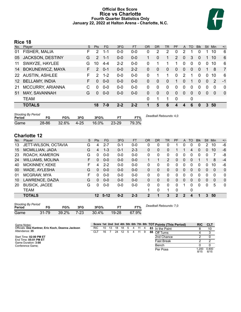# **Official Box Score Rice vs Charlotte Fourth Quarter Statistics Only January 22, 2022 at Halton Arena - Charlotte, N.C.**



# **Rice 18**

| No.             | Plaver                  | S. | <b>Pts</b> | <b>FG</b> | 3FG     | <b>FT</b> | <b>OR</b> | D <sub>R</sub> | TR           | PF       | A            | TO       | <b>Blk</b> | Stl      | Min      | $+/-$          |
|-----------------|-------------------------|----|------------|-----------|---------|-----------|-----------|----------------|--------------|----------|--------------|----------|------------|----------|----------|----------------|
| 01              | FISHER, MALIA           | F  | 2          | 1-1       | $0 - 0$ | $0 - 0$   | 0         | 2              | 2            | 0        | 2            |          | 0          |          | 10       | 6              |
| 05              | <b>JACKSON, DESTINY</b> | G  | 2          | $1 - 1$   | $0 - 0$ | $0-0$     |           | 0              | 1            | 2        | $\mathbf{0}$ | 3        | 0          |          | 10       | 6              |
| 11              | SWAYZE, HAYLEE          | G  | 10         | $4 - 4$   | $2 - 2$ | $0-0$     | 0         | 1              | 1            | 1        | 0            | $\Omega$ | 0          | $\Omega$ | 10       | 6              |
| 14              | <b>BOKUNEWICZ, MAYA</b> | F. | 2          | $0 - 1$   | $0 - 0$ | $2 - 2$   | 0         | $\Omega$       | $\Omega$     | $\Omega$ | $\mathbf{0}$ | $\Omega$ | 0          |          | 8        | $\overline{7}$ |
| <b>22</b>       | <b>AUSTIN, ASHLEE</b>   | F  | 2          | $1 - 2$   | $0 - 0$ | $0-0$     | 0         | 1              |              | $\Omega$ | 2            |          | 0          | 0        | 10       | 6              |
| 12 <sup>°</sup> | <b>BELLAMY, INDIA</b>   | F  | $\Omega$   | $0 - 0$   | $0 - 0$ | $0 - 0$   | 0         | $\Omega$       | $\mathbf{0}$ | 1        | $\mathbf{0}$ | 1        | 0          | $\Omega$ | 2        | $-1$           |
| 21              | MCCURRY, ARIANNA        | C  | 0          | $0-0$     | $0-0$   | $0-0$     | 0         | 0              | $\Omega$     | $\Omega$ | 0            | $\Omega$ | 0          | 0        | $\Omega$ | $\mathbf{0}$   |
| 51              | MAY, SAVANNAH           | G  | $\Omega$   | $0 - 0$   | $0 - 0$ | $0-0$     | 0         | $\Omega$       | $\Omega$     | $\Omega$ | $\Omega$     | $\Omega$ | 0          | $\Omega$ | $\Omega$ | $\overline{0}$ |
|                 | <b>TEAM</b>             |    |            |           |         |           | 0         | 1              | 1            | $\Omega$ |              | 0        |            |          |          |                |
|                 | <b>TOTALS</b>           |    | 18         | $7-9$     | $2 - 2$ | $2 - 2$   |           | 5              | 6            | 4        | 4            | 6        | 0          | 3        | 50       |                |

| <b>Shooting By Period</b><br>Period | FG    | FG%   | 3FG  | 3FG%     |           | FT%   | Deadball Rebounds: 4,0 |
|-------------------------------------|-------|-------|------|----------|-----------|-------|------------------------|
| Game                                | 28-86 | 32.6% | 4-25 | $16.0\%$ | $23 - 29$ | 79.3% |                        |

# **Charlotte 12**

| No.    | Plaver                                 | S   | <b>Pts</b>     | <b>FG</b> | 3FG       | <b>FT</b> | <b>OR</b>              | <b>DR</b>    | TR             | <b>PF</b>    | A            | TO           | <b>Blk</b> | Stl          | Min            | $+/-$       |
|--------|----------------------------------------|-----|----------------|-----------|-----------|-----------|------------------------|--------------|----------------|--------------|--------------|--------------|------------|--------------|----------------|-------------|
| 13     | JETT-WILSON, OCTAVIA                   | G   | 4              | $2 - 7$   | $0 - 1$   | $0 - 0$   | 0                      | 0            | 0              |              | 0            | 0            | 0          | 2            | 10             | $-6$        |
| 15     | MCMILLIAN, JADA                        | G   | $\overline{4}$ | $1 - 3$   | $0 - 1$   | $2 - 3$   | $\Omega$               | $\Omega$     | 0              |              |              | 4            | 0          | 0            | 10             | $-6$        |
| 23     | ROACH, KAMERON                         | G   | $\Omega$       | $0 - 0$   | $0-0$     | $0 - 0$   | $\mathbf{0}$           | $\mathbf{0}$ | 0              | 0            | 0            | $\Omega$     | 0          | 0            | 7              | -8          |
| 24     | <b>WILLIAMS, MOLINA</b>                | F   | 0              | $0 - 0$   | $0 - 0$   | $0 - 0$   | 1                      |              | $\overline{2}$ | 0            | $\mathbf{0}$ | $\mathbf{0}$ |            |              | 8              | $-4$        |
| 40     | <b>MCKINNEY, KEKE</b>                  | F   | 4              | $2 - 2$   | $0 - 0$   | $0 - 0$   | $\mathbf{0}$           | $\Omega$     | 0              | 0            | $\mathbf{0}$ | $\Omega$     | 0          | 0            | 10             | $-6$        |
| 00     | WADE, AYLESHA                          | G   | $\Omega$       | $0 - 0$   | $0 - 0$   | $0 - 0$   | $\Omega$               | $\mathbf{0}$ | 0              | 0            | 0            | $\Omega$     | 0          | $\Omega$     | $\overline{0}$ | $\mathbf 0$ |
| 01     | MCGRAW, MYA                            | F   | 0              | $0 - 0$   | $0 - 0$   | $0-0$     | 0                      | 0            | 0              | 0            | $\mathbf{0}$ | $\mathbf{0}$ | 0          | 0            | 0              | 0           |
| 10     | LAWRENCE, DAZIA                        | G   | $\Omega$       | $0 - 0$   | $0 - 0$   | $0 - 0$   | $\Omega$               | $\Omega$     | 0              | 0            | $\mathbf{0}$ | 0            | 0          | $\mathbf{0}$ | $\Omega$       | 0           |
| 20     | <b>BUSICK, JACEE</b>                   | G   | 0              | $0 - 0$   | $0-0$     | $0 - 0$   | 0                      | 0            | 0              | 0            |              | 0            | 0          | 0            | 5              | 0           |
|        | <b>TEAM</b>                            |     |                |           |           |           | 1                      | 0            | 1              | 0            |              | 0            |            |              |                |             |
|        | <b>TOTALS</b>                          |     |                | 12 5-12   | $0 - 2$   | $2 - 3$   | $\mathbf 2$            |              | 3              | $\mathbf{2}$ | 2            | 4            |            | 3            | 50             |             |
|        |                                        |     |                |           |           |           |                        |              |                |              |              |              |            |              |                |             |
| Period | <b>Shooting By Period</b><br>FG%<br>FG | 3FG | 3FG%           |           | <b>FT</b> | FT%       | Deadball Rebounds: 7.0 |              |                |              |              |              |            |              |                |             |
| Game   | $7 - 23$<br>$31 - 79$<br>39.2%         |     | 30.4%          |           | $19 - 28$ | 67.9%     |                        |              |                |              |              |              |            |              |                |             |

| Game Notes:                                       |            |    |    |    |    |   |   |   |    | Score 1st 2nd 3rd 4th 5th 6th 7th 8th TOT Points (This Period) | <b>RIC</b>   | CLT           |
|---------------------------------------------------|------------|----|----|----|----|---|---|---|----|----------------------------------------------------------------|--------------|---------------|
| Officials: Dee Kantner, Eric Koch, Deanna Jackson | <b>RIC</b> | 10 | 13 | 18 | 18 | 5 | 4 |   |    | 83 In the Paint                                                |              | 10            |
| Attendance: 35                                    | CLT        | 16 |    | 24 |    |   | 4 | 9 | 88 | Off Turns                                                      |              |               |
| Start Time: 02:00 PM ET                           |            |    |    |    |    |   |   |   |    | 2nd Chance                                                     |              |               |
| End Time: 05:01 PM ET<br>Game Duration: 3:00      |            |    |    |    |    |   |   |   |    | <b>Fast Break</b>                                              |              |               |
| Conference Game:                                  |            |    |    |    |    |   |   |   |    | Bench                                                          |              |               |
|                                                   |            |    |    |    |    |   |   |   |    | Per Poss                                                       | -200<br>8/15 | 0.800<br>6/15 |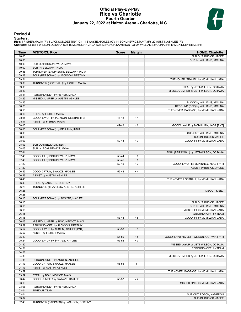# **Official Play-By-Play Rice vs Charlotte Fourth Quarter January 22, 2022 at Halton Arena - Charlotte, N.C.**



# **Period 4**

<mark>Starters:</mark><br>Rice: 1 FISHER,MALIA (F); 5 JACKSON,DESTINY (G); 11 SWAYZE,HAYLEE (G); 14 BOKUNEWICZ,MAYA (F); 22 AUSTIN,ASHLEE (F);<br>**Charlotte**: 13 JETT-WILSON,OCTAVIA (G); 15 MCMILLIAN,JADA (G); 23 ROACH,KAMERON (G); 24 WILL

| Time           | <b>VISITORS: Rice</b>                                             | <b>Score</b> | <b>Margin</b>  | <b>HOME: Charlotte</b>                    |
|----------------|-------------------------------------------------------------------|--------------|----------------|-------------------------------------------|
| 10:00          |                                                                   |              |                | SUB OUT: BUSICK, JACEE                    |
| 10:00          |                                                                   |              |                | SUB IN: WILLIAMS, MOLINA                  |
| 10:00          | SUB OUT: BOKUNEWICZ, MAYA                                         |              |                |                                           |
| 10:00          | SUB IN: BELLAMY, INDIA                                            |              |                |                                           |
| 09:38          | TURNOVER (BADPASS) by BELLAMY, INDIA                              |              |                |                                           |
| 09:28          | FOUL (PERSONAL) by JACKSON, DESTINY                               |              |                |                                           |
| 09:21          |                                                                   |              |                | TURNOVER (TRAVEL) by MCMILLIAN, JADA      |
| 09:09          | TURNOVER (LOSTBALL) by FISHER, MALIA                              |              |                |                                           |
| 09:09          |                                                                   |              |                | STEAL by JETT-WILSON, OCTAVIA             |
| 08:43          |                                                                   |              |                | MISSED JUMPER by JETT-WILSON, OCTAVIA     |
| 08:41<br>08:25 | REBOUND (DEF) by FISHER, MALIA<br>MISSED JUMPER by AUSTIN, ASHLEE |              |                |                                           |
| 08:25          |                                                                   |              |                | BLOCK by WILLIAMS, MOLINA                 |
| 08:20          |                                                                   |              |                | REBOUND (DEF) by WILLIAMS, MOLINA         |
| 08:16          |                                                                   |              |                | TURNOVER (BADPASS) by MCMILLIAN, JADA     |
| 08:16          | STEAL by FISHER, MALIA                                            |              |                |                                           |
| 08:11          | GOOD! LAYUP by JACKSON, DESTINY [FB]                              | 47-43        | H 4            |                                           |
| 08:11          | ASSIST by FISHER, MALIA                                           |              |                |                                           |
| 08:03          |                                                                   | 49-43        | H <sub>6</sub> | GOOD! LAYUP by MCMILLIAN, JADA [PNT]      |
| 08:03          | FOUL (PERSONAL) by BELLAMY, INDIA                                 |              |                |                                           |
| 08:03          |                                                                   |              |                | SUB OUT: WILLIAMS, MOLINA                 |
| 08:03          |                                                                   |              |                | SUB IN: BUSICK, JACEE                     |
| 08:03          |                                                                   | 50-43        | H 7            | GOOD! FT by MCMILLIAN, JADA               |
| 08:03          | SUB OUT: BELLAMY, INDIA                                           |              |                |                                           |
| 08:03          | SUB IN: BOKUNEWICZ, MAYA                                          |              |                |                                           |
| 07:41          |                                                                   |              |                | FOUL (PERSONAL) by JETT-WILSON, OCTAVIA   |
| 07:40          | GOOD! FT by BOKUNEWICZ, MAYA                                      | 50-44        | H <sub>6</sub> |                                           |
| 07:40          | GOOD! FT by BOKUNEWICZ, MAYA                                      | $50 - 45$    | H <sub>5</sub> |                                           |
| 07:20          |                                                                   | 52-45        | H 7            | GOOD! LAYUP by MCKINNEY, KEKE [PNT]       |
| 07:20          |                                                                   |              |                | ASSIST by BUSICK, JACEE                   |
| 06:59          | GOOD! 3PTR by SWAYZE, HAYLEE                                      | 52-48        | H4             |                                           |
| 06:59          | ASSIST by AUSTIN, ASHLEE                                          |              |                |                                           |
| 06:43          |                                                                   |              |                | TURNOVER (LOSTBALL) by MCMILLIAN, JADA    |
| 06:43          | STEAL by JACKSON, DESTINY                                         |              |                |                                           |
| 06:28          | TURNOVER (TRAVEL) by AUSTIN, ASHLEE                               |              |                |                                           |
| 06:28          |                                                                   |              |                | TIMEOUT 30SEC                             |
| 06:28<br>06:15 | FOUL (PERSONAL) by SWAYZE, HAYLEE                                 |              |                |                                           |
| 06:15          |                                                                   |              |                | SUB OUT: BUSICK, JACEE                    |
| 06:15          |                                                                   |              |                | SUB IN: WILLIAMS, MOLINA                  |
| 06:15          |                                                                   |              |                | MISSED FT by MCMILLIAN, JADA              |
| 06:15          |                                                                   |              |                | REBOUND (OFF) by TEAM                     |
| 06:15          |                                                                   | 53-48        | H 5            | GOOD! FT by MCMILLIAN, JADA               |
| 06:03          | MISSED JUMPER by BOKUNEWICZ, MAYA                                 |              |                |                                           |
| 05:59          | REBOUND (OFF) by JACKSON, DESTINY                                 |              |                |                                           |
| 05:57          | GOOD! LAYUP by AUSTIN, ASHLEE [PNT]                               | 53-50        | $H_3$          |                                           |
| 05:57          | ASSIST by FISHER, MALIA                                           |              |                |                                           |
| 05:40          |                                                                   | 55-50        | H <sub>5</sub> | GOOD! LAYUP by JETT-WILSON, OCTAVIA [PNT] |
| 05:24          | GOOD! LAYUP by SWAYZE, HAYLEE                                     | 55-52        | H <sub>3</sub> |                                           |
| 04:52          |                                                                   |              |                | MISSED LAYUP by JETT-WILSON, OCTAVIA      |
| 04:51          |                                                                   |              |                | REBOUND (OFF) by TEAM                     |
| 04:51          |                                                                   |              |                |                                           |
| 04:38          |                                                                   |              |                | MISSED JUMPER by JETT-WILSON, OCTAVIA     |
| 04:35          | REBOUND (DEF) by AUSTIN, ASHLEE                                   |              |                |                                           |
| 04:13          | GOOD! 3PTR by SWAYZE, HAYLEE                                      | 55-55        | T              |                                           |
| 04:13          | ASSIST by AUSTIN, ASHLEE                                          |              |                |                                           |
| 03:59          |                                                                   |              |                | TURNOVER (BADPASS) by MCMILLIAN, JADA     |
| 03:59          | STEAL by BOKUNEWICZ, MAYA                                         |              |                |                                           |
| 03:42          | GOOD! JUMPER by SWAYZE, HAYLEE                                    | 55-57        | V <sub>2</sub> |                                           |
| 03:13          |                                                                   |              |                | MISSED 3PTR by MCMILLIAN, JADA            |
| 03:08          | REBOUND (DEF) by FISHER, MALIA                                    |              |                |                                           |
| 03:04          | <b>TIMEOUT TEAM</b>                                               |              |                |                                           |
| 03:04          |                                                                   |              |                | SUB OUT: ROACH, KAMERON                   |
| 03:04          |                                                                   |              |                | SUB IN: BUSICK, JACEE                     |
| 02:43          | TURNOVER (BADPASS) by JACKSON, DESTINY                            |              |                |                                           |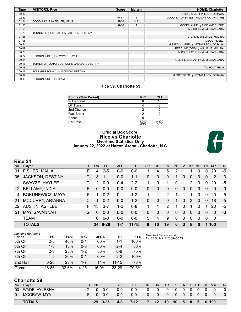| <b>Time</b> | <b>VISITORS: Rice</b>                      | <b>Score</b> | <b>Margin</b>  | <b>HOME: Charlotte</b>                   |
|-------------|--------------------------------------------|--------------|----------------|------------------------------------------|
| 02:43       |                                            |              |                | STEAL by JETT-WILSON, OCTAVIA            |
| 02:39       |                                            | 57-57        | т              | GOOD! LAYUP by JETT-WILSON, OCTAVIA [FB] |
| 02:21       | GOOD! LAYUP by FISHER, MALIA               | 57-59        | V <sub>2</sub> |                                          |
| 01:56       |                                            | 59-59        |                | GOOD! LAYUP by MCKINNEY, KEKE            |
| 01:56       |                                            |              |                | ASSIST by MCMILLIAN, JADA                |
| 01:26       | TURNOVER (LOSTBALL) by JACKSON, DESTINY    |              |                |                                          |
| 01:26       |                                            |              |                | STEAL by WILLIAMS, MOLINA                |
| 01:05       |                                            |              |                | TIMEOUT 30SEC                            |
| 00:51       |                                            |              |                | MISSED JUMPER by JETT-WILSON, OCTAVIA    |
| 00:49       |                                            |              |                | REBOUND (OFF) by WILLIAMS, MOLINA        |
| 00:29       |                                            |              |                | MISSED LAYUP by MCMILLIAN, JADA          |
| 00:27       | REBOUND (DEF) by SWAYZE, HAYLEE            |              |                |                                          |
| 00:24       |                                            |              |                | FOUL (PERSONAL) by MCMILLIAN, JADA       |
| 00:18       | TURNOVER (OUTOFBOUNDS) by JACKSON, DESTINY |              |                |                                          |
| 00:18       |                                            |              |                | <b>TIMEOUT TEAM</b>                      |
| 00:07       | FOUL (PERSONAL) by JACKSON, DESTINY        |              |                |                                          |
| 00:02       |                                            |              |                | MISSED 3PTR by JETT-WILSON, OCTAVIA      |
| 00:00       | REBOUND (DEF) by TEAM                      |              |                |                                          |

# **Rice 59, Charlotte 59**

| <b>Points (This Period)</b> | <b>RIC</b>    | <b>CLT</b>    |
|-----------------------------|---------------|---------------|
| In the Paint                |               | 10            |
| Off Turns                   |               |               |
| 2nd Chance                  | ◠             |               |
| <b>Fast Break</b>           | ົ             |               |
| Bench                       |               |               |
| Per Poss                    | 1.200<br>8/15 | 0.800<br>6/15 |

# **Official Box Score Rice vs Charlotte Overtime Statistics Only January 22, 2022 at Halton Arena - Charlotte, N.C.**



# **Rice 24**

| No.             | Plaver                  | S  | <b>Pts</b> | <b>FG</b> | 3FG     | <b>FT</b> | <b>OR</b> | DR.      | <b>TR</b>      | <b>PF</b> | $\mathsf{A}$   | TO       | <b>BIK</b> | Stl            | Min.        | $+/-$          |
|-----------------|-------------------------|----|------------|-----------|---------|-----------|-----------|----------|----------------|-----------|----------------|----------|------------|----------------|-------------|----------------|
| 01              | FISHER, MALIA           | F  | 4          | $2 - 5$   | $0 - 0$ | $0 - 0$   |           | 4        | 5              | 2         |                |          | 0          | 0              | 20          | -5             |
| 05              | <b>JACKSON, DESTINY</b> | G  | 3          | $1 - 1$   | $0 - 0$ | $1 - 1$   | 0         | 0        | $\overline{0}$ | 1         | 0              | 0        | $\Omega$   | $\overline{0}$ | 2           | -3             |
| 11              | SWAYZE, HAYLEE          | G  | 2          | $0 - 9$   | $0 - 4$ | $2 - 2$   |           | $\Omega$ | 1              | $\Omega$  |                | 2        | $\Omega$   | 0              | 20          | -5             |
| 12 <sup>°</sup> | <b>BELLAMY, INDIA</b>   | F. | $\Omega$   | $0 - 0$   | $0 - 0$ | $0 - 0$   | 0         | $\Omega$ | 0              | $\Omega$  | 0              | 0        | $\Omega$   | $\Omega$       | $\Omega$    | $\overline{0}$ |
| 14              | <b>BOKUNEWICZ, MAYA</b> | F. |            | $0 - 2$   | 0-1     | $1 - 2$   |           | 1        | 2              |           |                | 1        | $\Omega$   | 0              | 20          | -5             |
| 21              | MCCURRY, ARIANNA        |    |            | $0 - 2$   | $0 - 0$ | $1 - 2$   | 0         | 0        | $\mathbf{0}$   | 1         | 0              | 3        | $\Omega$   | 0              | 18          | $-5$           |
| <b>22</b>       | <b>AUSTIN, ASHLEE</b>   | F. | 13         | $3 - 7$   | $1 - 2$ | $6 - 8$   |           | 1        | $\mathcal{P}$  |           | 0              | 1        | 0          |                | 20          | -5             |
| 51              | MAY, SAVANNAH           | G  | $\Omega$   | $0 - 0$   | $0 - 0$ | $0 - 0$   | 0         | $\Omega$ | $\Omega$       | $\Omega$  | $\overline{0}$ | $\Omega$ | $\Omega$   | $\Omega$       | $\Omega$    | -3             |
|                 | <b>TEAM</b>             |    | $\Omega$   | $0 - 0$   | $0-0$   | $0 - 0$   | 5         | 4        | 9              | $\Omega$  | $\mathbf{0}$   | 0        | 0          | $\Omega$       | $\mathbf 0$ |                |
|                 | <b>TOTALS</b>           |    | 24         | $6 - 26$  | $1 - 7$ | $11 - 15$ | 9         | 10       | 19             | 6         | 3              | 8        | $\bf{0}$   |                | 1 100       |                |
|                 |                         |    |            |           |         |           |           |          |                |           |                |          |            |                |             |                |

| <b>Shooting By Period</b><br>Period | FG       | FG%        | 3FG      | 3FG%  | FT        | FT%   | Deadball Rebounds: 4,0<br>Last FG Half: RIC 8th-00:27 |
|-------------------------------------|----------|------------|----------|-------|-----------|-------|-------------------------------------------------------|
| 5th Qtr                             | $2 - 5$  | 40%        | $0 - 1$  | 00%   | 1-1       | 100%  |                                                       |
| 6th Qtr                             | $1 - 8$  | 13%        | $0 - 3$  | 00%   | $2 - 4$   | 50%   |                                                       |
| 7th Qtr                             | $2 - 8$  | 25%        | $1 - 2$  | 50%   | $6 - 8$   | 75%   |                                                       |
| 8th Qtr                             | $1-5$    | <b>20%</b> | $0 - 1$  | 00%   | $2 - 2$   | 100%  |                                                       |
| 2nd Half                            | $6 - 26$ | 23%        | $1 - 7$  | 14%   | $11 - 15$ | 73%   |                                                       |
| Game                                | 28-86    | 32.6%      | $4 - 25$ | 16.0% | $23 - 29$ | 79.3% |                                                       |
|                                     |          |            |          |       |           |       |                                                       |

# **Charlotte 29**

| No. | Plaver        | S. | Pts.     | FG.     | 3FG     | FT      | <b>OR</b> | <b>DR</b>        | TR.      | PF.               |                | A TO         | <b>BIK</b>     | Stl      | Min         | $+/-$          |
|-----|---------------|----|----------|---------|---------|---------|-----------|------------------|----------|-------------------|----------------|--------------|----------------|----------|-------------|----------------|
| 00  | WADE, AYLESHA |    | - 0      | $0 - 0$ | $0 - 0$ | $0 - 0$ |           | - 0              | $\Omega$ | $\overline{0}$    | $\overline{0}$ | $\mathbf{0}$ | $\overline{0}$ | $\Omega$ | - 0         | $\overline{0}$ |
| 01  | MCGRAW, MYA   |    | $\Omega$ | $0 - 0$ | $0 - 0$ | $0 - 0$ |           | - 0              | $\Omega$ | - 0               |                | $0\quad 0$   | $\overline{0}$ | - 0      | - 0         | $\Omega$       |
|     | <b>TOTALS</b> |    |          | 29 9-25 | $4 - 8$ | $7-12$  |           | 12 <sup>12</sup> | 19       | $\blacksquare$ 10 |                |              |                |          | 5 8 6 6 100 |                |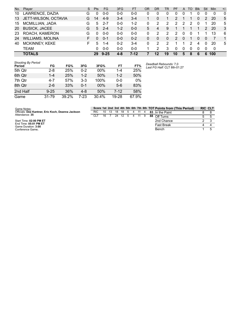| No.     | Player                    |         |     | S       | Pts      | <b>FG</b> | 3FG     | <b>FT</b> | <b>OR</b> | <b>DR</b>                                             | <b>TR</b>      | PF            | A | TO | <b>B</b> lk | Stl            | <b>Min</b>     | $+/-$ |
|---------|---------------------------|---------|-----|---------|----------|-----------|---------|-----------|-----------|-------------------------------------------------------|----------------|---------------|---|----|-------------|----------------|----------------|-------|
| 10      | LAWRENCE, DAZIA           |         |     | G       | 0        | $0 - 0$   | $0 - 0$ | $0 - 0$   | 0         | 0                                                     | 0              | 0             | 0 |    | 0           | 0              | 0              | 0     |
| 13      | JETT-WILSON, OCTAVIA      |         |     | G       | 14       | $4-9$     | $3 - 4$ | $3 - 4$   | 1         | 0                                                     | 1              | $\mathcal{P}$ |   |    | 0           | $\overline{2}$ | 20             | 5     |
| 15      | <b>MCMILLIAN, JADA</b>    |         |     | G       | 5        | $2 - 7$   | $0 - 0$ | $1 - 2$   | 0         | 2                                                     | $\overline{2}$ | 2             | 2 | 2  | 0           | 1              | 20             | 5     |
| 20      | <b>BUSICK, JACEE</b>      |         |     | G       | 5        | $2 - 4$   | $1 - 2$ | $0 - 0$   | 5         | 4                                                     | 9              |               |   |    |             | 2              | 20             | 3     |
| 23      | ROACH, KAMERON            |         |     | G       | $\Omega$ | $0 - 0$   | $0 - 0$ | $0 - 0$   | 0         | 2                                                     | 2              | 2             | 0 | 0  |             | 1              | 13             | 6     |
| 24      | <b>WILLIAMS, MOLINA</b>   |         |     | F.      | $\Omega$ | $0 - 1$   | $0 - 0$ | $0 - 2$   | $\Omega$  | $\Omega$                                              | $\Omega$       | $\mathcal{P}$ | 0 | 1  | $\Omega$    | 0              | $\overline{7}$ | 1     |
| 40      | <b>MCKINNEY, KEKE</b>     |         |     | F.      | 5        | $1 - 4$   | $0 - 2$ | $3 - 4$   | 0         | 2                                                     | $\overline{2}$ |               |   | 2  | 4           | 0              | 20             | 5     |
|         | TEAM                      |         |     |         | 0        | $0 - 0$   | $0 - 0$ | $0 - 0$   | 1         | 2                                                     | 3              | 0             | 0 | 0  | 0           | 0              | 0              |       |
|         | <b>TOTALS</b>             |         |     |         | 29       | $9 - 25$  | $4 - 8$ | $7-12$    | 7         | 12                                                    | 19             | 10            | 5 | 8  | 6           | 6              | 100            |       |
| Period  | <b>Shooting By Period</b> | FG      | FG% | 3FG     |          | 3FG%      | FT      | FT%       |           | Deadball Rebounds: 7.0<br>Last FG Half: CLT 8th-01:27 |                |               |   |    |             |                |                |       |
| 5th Qtr |                           | $2 - 8$ | 25% | $0 - 2$ |          | 00%       | 1-4     | 25%       |           |                                                       |                |               |   |    |             |                |                |       |
| 6th Qtr |                           | $1 - 4$ | 25% | $1 - 2$ |          | 50%       | $1 - 2$ | 50%       |           |                                                       |                |               |   |    |             |                |                |       |

| Game Notes:                                       | Score 1st 2nd 3rd 4th 5t |               |         |  |
|---------------------------------------------------|--------------------------|---------------|---------|--|
| Officials: Dee Kantner, Eric Koch, Deanna Jackson | RIC.                     | 10 13 18 18 5 |         |  |
| Attendance: 35                                    |                          | $16 \quad 7$  | 24 12 5 |  |

7th Qtr 4-7 57% 3-3 100% 0-0 0% 8th Qtr 2-6 33% 0-1 00% 5-6 83% 2nd Half 9-25 36% 4-8 50% 7-12 58% Game 31-79 39.2% 7-23 30.4% 19-28 67.9%

Start Time: **02:00 PM ET** End Time: **05:01 PM ET** Game Duration: **3:00** Conference Game;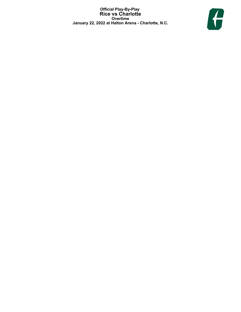**Official Play-By-Play Rice vs Charlotte Overtime January 22, 2022 at Halton Arena - Charlotte, N.C.**

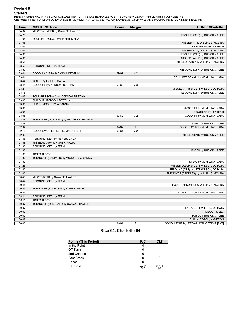<mark>Starters:</mark><br>Rice: 1 FISHER,MALIA (F); 5 JACKSON,DESTINY (G); 11 SWAYZE,HAYLEE (G); 14 BOKUNEWICZ,MAYA (F); 22 AUSTIN,ASHLEE (F);<br>**Charlotte**: 13 JETT-WILSON,OCTAVIA (G); 15 MCMILLIAN,JADA (G); 23 ROACH,KAMERON (G); 24 WILL

| Time  | <b>VISITORS: Rice</b>                   | <b>Score</b> | <b>Margin</b>  | <b>HOME: Charlotte</b>                    |
|-------|-----------------------------------------|--------------|----------------|-------------------------------------------|
| 04:32 | MISSED JUMPER by SWAYZE, HAYLEE         |              |                |                                           |
| 04:29 |                                         |              |                | REBOUND (DEF) by BUSICK, JACEE            |
| 04:05 | FOUL (PERSONAL) by FISHER, MALIA        |              |                |                                           |
| 04:05 |                                         |              |                | MISSED FT by WILLIAMS, MOLINA             |
| 04:05 |                                         |              |                | REBOUND (OFF) by TEAM                     |
| 04:05 |                                         |              |                | MISSED FT by WILLIAMS, MOLINA             |
| 04:05 |                                         |              |                | REBOUND (OFF) by BUSICK, JACEE            |
| 04:05 |                                         |              |                | MISSED LAYUP by BUSICK, JACEE             |
| 03:55 |                                         |              |                | MISSED LAYUP by WILLIAMS, MOLINA          |
| 03:53 | REBOUND (DEF) by TEAM                   |              |                |                                           |
| 03:50 |                                         |              |                | REBOUND (OFF) by BUSICK, JACEE            |
| 03:44 | GOOD! LAYUP by JACKSON, DESTINY         | 59-61        | V <sub>2</sub> |                                           |
| 03:44 |                                         |              |                | FOUL (PERSONAL) by MCMILLIAN, JADA        |
| 03:44 | ASSIST by FISHER, MALIA                 |              |                |                                           |
| 03:44 | GOOD! FT by JACKSON, DESTINY            | 59-62        | V <sub>3</sub> |                                           |
| 03:21 |                                         |              |                | MISSED 3PTR by JETT-WILSON, OCTAVIA       |
| 03:18 |                                         |              |                | REBOUND (OFF) by BUSICK, JACEE            |
| 03:05 | FOUL (PERSONAL) by JACKSON, DESTINY     |              |                |                                           |
| 03:05 | SUB OUT: JACKSON, DESTINY               |              |                |                                           |
| 03:05 | SUB IN: MCCURRY, ARIANNA                |              |                |                                           |
| 03:05 |                                         |              |                | MISSED FT by MCMILLIAN, JADA              |
| 03:05 |                                         |              |                | REBOUND (OFF) by TEAM                     |
| 03:05 |                                         | 60-62        | V <sub>2</sub> | GOOD! FT by MCMILLIAN, JADA               |
| 02:48 | TURNOVER (LOSTBALL) by MCCURRY, ARIANNA |              |                |                                           |
| 02:48 |                                         |              |                | STEAL by BUSICK, JACEE                    |
| 02:39 |                                         | 62-62        | T              | GOOD! LAYUP by MCMILLIAN, JADA            |
| 02:18 | GOOD! LAYUP by FISHER, MALIA [PNT]      | 62-64        | V <sub>2</sub> |                                           |
| 02:03 |                                         |              |                | MISSED 3PTR by BUSICK, JACEE              |
| 01:56 | REBOUND (DEF) by FISHER, MALIA          |              |                |                                           |
| 01:38 | MISSED LAYUP by FISHER, MALIA           |              |                |                                           |
| 01:38 | REBOUND (OFF) by TEAM                   |              |                |                                           |
| 01:38 |                                         |              |                | BLOCK by BUSICK, JACEE                    |
| 01:36 | TIMEOUT 30SEC                           |              |                |                                           |
| 01:32 | TURNOVER (BADPASS) by MCCURRY, ARIANNA  |              |                |                                           |
| 01:32 |                                         |              |                | STEAL by MCMILLIAN, JADA                  |
| 01:25 |                                         |              |                | MISSED LAYUP by JETT-WILSON, OCTAVIA      |
| 01:22 |                                         |              |                | REBOUND (OFF) by JETT-WILSON, OCTAVIA     |
| 01:06 |                                         |              |                | TURNOVER (BADPASS) by WILLIAMS, MOLINA    |
| 00:49 | MISSED 3PTR by SWAYZE, HAYLEE           |              |                |                                           |
| 00:47 | REBOUND (OFF) by TEAM                   |              |                |                                           |
| 00:46 |                                         |              |                | FOUL (PERSONAL) by WILLIAMS, MOLINA       |
| 00:35 | TURNOVER (BADPASS) by FISHER, MALIA     |              |                |                                           |
| 00:35 |                                         |              |                | MISSED LAYUP by MCMILLIAN, JADA           |
| 00:11 | REBOUND (DEF) by TEAM                   |              |                |                                           |
| 00:11 | TIMEOUT 30SEC                           |              |                |                                           |
| 00:07 | TURNOVER (LOSTBALL) by SWAYZE, HAYLEE   |              |                |                                           |
| 00:07 |                                         |              |                | STEAL by JETT-WILSON, OCTAVIA             |
| 00:07 |                                         |              |                | TIMEOUT 30SEC                             |
| 00:07 |                                         |              |                | SUB OUT: BUSICK, JACEE                    |
| 00:07 |                                         |              |                | SUB IN: ROACH, KAMERON                    |
| 00:00 |                                         | 64-64        | T              | GOOD! LAYUP by JETT-WILSON, OCTAVIA [PNT] |

# **Rice 64, Charlotte 64**

| <b>Points (This Period)</b> | <b>RIC</b>   | CLT          |
|-----------------------------|--------------|--------------|
| In the Paint                |              |              |
| Off Turns                   |              |              |
| 2nd Chance                  |              |              |
| <b>Fast Break</b>           |              |              |
| Bench                       |              |              |
| Per Poss                    | 0.714<br>3/7 | 0.714<br>3/7 |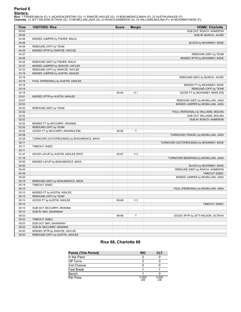# **Period 6**

<mark>Starters:</mark><br>Rice: 1 FISHER,MALIA (F); 5 JACKSON,DESTINY (G); 11 SWAYZE,HAYLEE (G); 14 BOKUNEWICZ,MAYA (F); 22 AUSTIN,ASHLEE (F);<br>**Charlotte**: 13 JETT-WILSON,OCTAVIA (G); 15 MCMILLIAN,JADA (G); 23 ROACH,KAMERON (G); 24 WILL

| Time  | <b>VISITORS: Rice</b>                      | <b>Score</b> | <b>Margin</b>  | <b>HOME: Charlotte</b>                   |
|-------|--------------------------------------------|--------------|----------------|------------------------------------------|
| 05:00 |                                            |              |                | SUB OUT: ROACH, KAMERON                  |
| 05:00 |                                            |              |                | SUB IN: BUSICK, JACEE                    |
| 04:46 | MISSED JUMPER by FISHER, MALIA             |              |                |                                          |
| 04:46 |                                            |              |                | BLOCK by MCKINNEY, KEKE                  |
| 04:46 | REBOUND (OFF) by TEAM                      |              |                |                                          |
| 04:29 | MISSED 3PTR by SWAYZE, HAYLEE              |              |                |                                          |
| 04:27 |                                            |              |                | REBOUND (DEF) by TEAM                    |
| 04:06 |                                            |              |                | MISSED 3PTR by MCKINNEY, KEKE            |
| 04:02 | REBOUND (DEF) by FISHER, MALIA             |              |                |                                          |
| 03:37 | MISSED JUMPER by SWAYZE, HAYLEE            |              |                |                                          |
| 03:33 | REBOUND (OFF) by SWAYZE, HAYLEE            |              |                |                                          |
| 03:16 | MISSED JUMPER by AUSTIN, ASHLEE            |              |                |                                          |
| 03:16 |                                            |              |                | REBOUND (DEF) by BUSICK, JACEE           |
| 03:16 | FOUL (PERSONAL) by AUSTIN, ASHLEE          |              |                |                                          |
| 03:16 |                                            |              |                | MISSED FT by MCKINNEY, KEKE              |
| 03:16 |                                            |              |                | REBOUND (OFF) by TEAM                    |
| 03:16 |                                            | 65-64        | H <sub>1</sub> | GOOD! FT by MCKINNEY, KEKE [FB]          |
| 03:01 | MISSED 3PTR by AUSTIN, ASHLEE              |              |                |                                          |
| 02:57 |                                            |              |                | REBOUND (DEF) by MCMILLIAN, JADA         |
| 02:53 |                                            |              |                | MISSED JUMPER by MCMILLIAN, JADA         |
| 02:52 | REBOUND (DEF) by TEAM                      |              |                |                                          |
| 02:52 |                                            |              |                | FOUL (PERSONAL) by WILLIAMS, MOLINA      |
| 02:52 |                                            |              |                | SUB OUT: WILLIAMS, MOLINA                |
| 02:52 |                                            |              |                | SUB IN: ROACH, KAMERON                   |
| 02:52 | MISSED FT by MCCURRY, ARIANNA              |              |                |                                          |
| 02:52 | REBOUND (OFF) by TEAM                      |              |                |                                          |
| 02:52 | GOOD! FT by MCCURRY, ARIANNA [FB]          | 65-65        | T              |                                          |
| 02:38 |                                            |              |                | TURNOVER (TRAVEL) by MCMILLIAN, JADA     |
| 02:28 | TURNOVER (OUTOFBOUNDS) by BOKUNEWICZ, MAYA |              |                |                                          |
| 02:11 |                                            |              |                | TURNOVER (OUTOFBOUNDS) by MCKINNEY, KEKE |
| 02:11 | TIMEOUT 30SEC                              |              |                |                                          |
| 02:11 |                                            |              |                |                                          |
| 01:47 | GOOD! LAYUP by AUSTIN, ASHLEE [PNT]        | 65-67        | V <sub>2</sub> |                                          |
| 01:16 |                                            |              |                | TURNOVER (BADPASS) by MCMILLIAN, JADA    |
| 00:50 | MISSED LAYUP by BOKUNEWICZ, MAYA           |              |                |                                          |
| 00:50 |                                            |              |                | BLOCK by MCKINNEY, KEKE                  |
| 00:45 |                                            |              |                | REBOUND (DEF) by ROACH, KAMERON          |
| 00:39 |                                            |              |                | TIMEOUT 30SEC                            |
| 00:20 |                                            |              |                | MISSED JUMPER by MCMILLIAN, JADA         |
| 00:18 | REBOUND (DEF) by BOKUNEWICZ, MAYA          |              |                |                                          |
| 00:18 | TIMEOUT 30SEC                              |              |                |                                          |
| 00:10 |                                            |              |                | FOUL (PERSONAL) by MCMILLIAN, JADA       |
| 00:10 | MISSED FT by AUSTIN, ASHLEE                |              |                |                                          |
| 00:10 | REBOUND (OFF) by TEAM                      |              |                |                                          |
| 00:10 | GOOD! FT by AUSTIN, ASHLEE                 | 65-68        | $V_3$          |                                          |
| 00:10 |                                            |              |                | TIMEOUT 30SEC                            |
| 00:10 | SUB OUT: MCCURRY, ARIANNA                  |              |                |                                          |
| 00:10 | SUB IN: MAY, SAVANNAH                      |              |                |                                          |
| 00:03 |                                            | 68-68        | Τ              | GOOD! 3PTR by JETT-WILSON, OCTAVIA       |
| 00:03 | TIMEOUT 30SEC                              |              |                |                                          |
| 00:03 | SUB OUT: MAY, SAVANNAH                     |              |                |                                          |
| 00:03 | SUB IN: MCCURRY, ARIANNA                   |              |                |                                          |
| 00:00 | MISSED 3PTR by SWAYZE, HAYLEE              |              |                |                                          |
| 00:00 | REBOUND (OFF) by AUSTIN, ASHLEE            |              |                |                                          |

# **Rice 68, Charlotte 68**

| <b>Points (This Period)</b> | <b>RIC</b>   | CLT          |
|-----------------------------|--------------|--------------|
| In the Paint                |              |              |
| Off Turns                   |              |              |
| 2nd Chance                  |              |              |
| <b>Fast Break</b>           |              |              |
| Bench                       |              |              |
| Per Poss                    | 0.500<br>2/8 | 0.500<br>2/8 |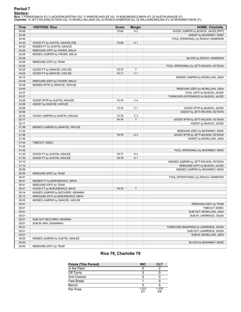# **Period 7**

<mark>Starters:</mark><br>Rice: 1 FISHER,MALIA (F); 5 JACKSON,DESTINY (G); 11 SWAYZE,HAYLEE (G); 14 BOKUNEWICZ,MAYA (F); 22 AUSTIN,ASHLEE (F);<br>**Charlotte**: 13 JETT-WILSON,OCTAVIA (G); 15 MCMILLIAN,JADA (G); 23 ROACH,KAMERON (G); 24 WILL

| Time  | <b>VISITORS: Rice</b>             | <b>Score</b> | <b>Margin</b>  | <b>HOME: Charlotte</b>                  |
|-------|-----------------------------------|--------------|----------------|-----------------------------------------|
| 04:46 |                                   | 70-68        | H <sub>2</sub> | GOOD! JUMPER by BUSICK, JACEE [PNT]     |
| 04:46 |                                   |              |                | ASSIST by MCKINNEY, KEKE                |
| 04:30 |                                   |              |                | FOUL (PERSONAL) by ROACH, KAMERON       |
| 04:30 | GOOD! FT by AUSTIN, ASHLEE [FB]   | 70-69        | H <sub>1</sub> |                                         |
| 04:30 | MISSED FT by AUSTIN, ASHLEE       |              |                |                                         |
| 04:28 | REBOUND (OFF) by FISHER, MALIA    |              |                |                                         |
| 04:26 | MISSED JUMPER by FISHER, MALIA    |              |                |                                         |
| 04:26 |                                   |              |                | BLOCK by ROACH, KAMERON                 |
| 04:26 | REBOUND (OFF) by TEAM             |              |                |                                         |
| 04:25 |                                   |              |                | FOUL (PERSONAL) by JETT-WILSON, OCTAVIA |
| 04:25 | GOOD! FT by SWAYZE, HAYLEE        | 70-70        | T              |                                         |
| 04:25 | GOOD! FT by SWAYZE, HAYLEE        | 70-71        | V <sub>1</sub> |                                         |
| 04:12 |                                   |              |                | MISSED JUMPER by MCMILLIAN, JADA        |
| 04:09 | REBOUND (DEF) by FISHER, MALIA    |              |                |                                         |
| 03:49 | MISSED 3PTR by SWAYZE, HAYLEE     |              |                |                                         |
| 03:45 |                                   |              |                | REBOUND (DEF) by MCMILLIAN, JADA        |
| 03:37 |                                   |              |                | FOUL (OFF) by BUSICK, JACEE             |
| 03:37 |                                   |              |                | TURNOVER (OFFENSIVE) by BUSICK, JACEE   |
| 03:26 | GOOD! 3PTR by AUSTIN, ASHLEE      | 70-74        | V <sub>4</sub> |                                         |
| 03:26 | ASSIST by SWAYZE, HAYLEE          |              |                |                                         |
| 02:56 |                                   | 73-74        | V <sub>1</sub> | GOOD! 3PTR by BUSICK, JACEE             |
| 02:56 |                                   |              |                | ASSIST by JETT-WILSON, OCTAVIA          |
| 02:34 | GOOD! JUMPER by AUSTIN, ASHLEE    | 73-76        | $V_3$          |                                         |
| 02:17 |                                   | 76-76        | $\mathsf T$    | GOOD! 3PTR by JETT-WILSON, OCTAVIA      |
| 02:17 |                                   |              |                | ASSIST by BUSICK, JACEE                 |
| 01:56 | MISSED JUMPER by SWAYZE, HAYLEE   |              |                |                                         |
| 01:53 |                                   |              |                | REBOUND (DEF) by MCKINNEY, KEKE         |
| 01:46 |                                   | 79-76        | $H_3$          | GOOD! 3PTR by JETT-WILSON, OCTAVIA      |
| 01:46 |                                   |              |                | ASSIST by MCMILLIAN, JADA               |
| 01:44 | TIMEOUT 30SEC                     |              |                |                                         |
| 01:44 |                                   |              |                |                                         |
| 01:30 |                                   |              |                | FOUL (PERSONAL) by MCKINNEY, KEKE       |
| 01:30 | GOOD! FT by AUSTIN, ASHLEE        | 79-77        | H <sub>2</sub> |                                         |
| 01:30 | GOOD! FT by AUSTIN, ASHLEE        | 79-78        | H <sub>1</sub> |                                         |
| 01:13 |                                   |              |                | MISSED JUMPER by JETT-WILSON, OCTAVIA   |
| 01:10 |                                   |              |                | REBOUND (OFF) by BUSICK, JACEE          |
| 00:59 |                                   |              |                | MISSED JUMPER by MCKINNEY, KEKE         |
| 00:59 | REBOUND (DEF) by TEAM             |              |                |                                         |
| 00:41 |                                   |              |                | FOUL (INTENTIONAL) by ROACH, KAMERON    |
| 00:41 | MISSED FT by BOKUNEWICZ, MAYA     |              |                |                                         |
| 00:41 | REBOUND (OFF) by TEAM             |              |                |                                         |
| 00:41 | GOOD! FT by BOKUNEWICZ, MAYA      | 79-79        | T              |                                         |
| 00:16 | MISSED JUMPER by MCCURRY, ARIANNA |              |                |                                         |
| 00:13 | REBOUND (OFF) by BOKUNEWICZ, MAYA |              |                |                                         |
| 00:03 | MISSED JUMPER by SWAYZE, HAYLEE   |              |                |                                         |
| 00:01 |                                   |              |                | REBOUND (DEF) by TEAM                   |
| 00:01 |                                   |              |                | TIMEOUT 30SEC                           |
| 00:01 |                                   |              |                | SUB OUT: MCMILLIAN, JADA                |
| 00:01 |                                   |              |                | SUB IN: LAWRENCE, DAZIA                 |
| 00:01 | SUB OUT: MCCURRY, ARIANNA         |              |                |                                         |
| 00:01 | SUB IN: MAY, SAVANNAH             |              |                |                                         |
| 00:01 |                                   |              |                | TURNOVER (BADPASS) by LAWRENCE, DAZIA   |
| 00:01 |                                   |              |                | SUB OUT: LAWRENCE, DAZIA                |
| 00:01 |                                   |              |                | SUB IN: MCMILLIAN, JADA                 |
| 00:00 | MISSED JUMPER by AUSTIN, ASHLEE   |              |                |                                         |
| 00:00 |                                   |              |                | BLOCK by MCKINNEY, KEKE                 |
| 00:00 | REBOUND (OFF) by TEAM             |              |                |                                         |

# **Rice 79, Charlotte 79**

| <b>Points (This Period)</b> | <b>RIC</b>   | <b>CLT</b>   |
|-----------------------------|--------------|--------------|
| In the Paint                |              |              |
| Off Turns                   |              |              |
| 2nd Chance                  |              |              |
| Fast Break                  |              |              |
| Bench                       |              |              |
| Per Poss                    | 1.571<br>5/7 | 1.375<br>4/8 |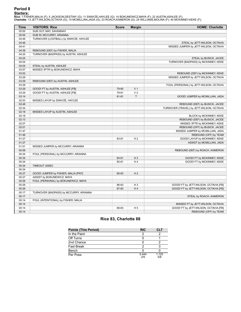# **Period 8**

<mark>Starters:</mark><br>Rice: 1 FISHER,MALIA (F); 5 JACKSON,DESTINY (G); 11 SWAYZE,HAYLEE (G); 14 BOKUNEWICZ,MAYA (F); 22 AUSTIN,ASHLEE (F);<br>**Charlotte**: 13 JETT-WILSON,OCTAVIA (G); 15 MCMILLIAN,JADA (G); 23 ROACH,KAMERON (G); 24 WILL

| <b>Time</b>    | <b>VISITORS: Rice</b>                  | <b>Score</b> | <b>Margin</b>  | <b>HOME: Charlotte</b>                    |
|----------------|----------------------------------------|--------------|----------------|-------------------------------------------|
| 05:00          | SUB OUT: MAY, SAVANNAH                 |              |                |                                           |
| 05:00          | SUB IN: MCCURRY, ARIANNA               |              |                |                                           |
| 04:46          | TURNOVER (LOSTBALL) by SWAYZE, HAYLEE  |              |                |                                           |
| 04:46          |                                        |              |                | STEAL by JETT-WILSON, OCTAVIA             |
| 04:41          |                                        |              |                | MISSED JUMPER by JETT-WILSON, OCTAVIA     |
| 04:38          | REBOUND (DEF) by FISHER, MALIA         |              |                |                                           |
| 04:25          | TURNOVER (BADPASS) by AUSTIN, ASHLEE   |              |                |                                           |
| 04:25          |                                        |              |                | STEAL by BUSICK, JACEE                    |
| 04:04          |                                        |              |                | TURNOVER (BADPASS) by MCKINNEY, KEKE      |
| 04:04          | STEAL by AUSTIN, ASHLEE                |              |                |                                           |
| 03:57          | MISSED 3PTR by BOKUNEWICZ, MAYA        |              |                |                                           |
| 03:52          |                                        |              |                | REBOUND (DEF) by MCKINNEY, KEKE           |
| 03:29          |                                        |              |                | MISSED JUMPER by JETT-WILSON, OCTAVIA     |
| 03:29          | REBOUND (DEF) by AUSTIN, ASHLEE        |              |                |                                           |
| 03:29          |                                        |              |                | FOUL (PERSONAL) by JETT-WILSON, OCTAVIA   |
| 03:29          | GOOD! FT by AUSTIN, ASHLEE [FB]        | 79-80        | V <sub>1</sub> |                                           |
| 03:29          | GOOD! FT by AUSTIN, ASHLEE [FB]        | 79-81        | V <sub>2</sub> |                                           |
| 03:14          |                                        | 81-81        | $\mathsf T$    | GOOD! JUMPER by MCMILLIAN, JADA           |
| 02:53          | MISSED LAYUP by SWAYZE, HAYLEE         |              |                |                                           |
| 02:48          |                                        |              |                | REBOUND (DEF) by BUSICK, JACEE            |
| 02:34          |                                        |              |                | TURNOVER (TRAVEL) by JETT-WILSON, OCTAVIA |
| 02:18          | MISSED LAYUP by AUSTIN, ASHLEE         |              |                |                                           |
| 02:18          |                                        |              |                | BLOCK by MCKINNEY, KEKE                   |
| 02:13          |                                        |              |                | REBOUND (DEF) by BUSICK, JACEE            |
| 02:07          |                                        |              |                | MISSED 3PTR by MCKINNEY, KEKE             |
| 02:01          |                                        |              |                | REBOUND (OFF) by BUSICK, JACEE            |
| 01:47          |                                        |              |                | MISSED JUMPER by MCMILLIAN, JADA          |
| 01:46          |                                        |              |                | REBOUND (OFF) by TEAM                     |
| 01:27          |                                        | 83-81        | H <sub>2</sub> | GOOD! LAYUP by MCKINNEY, KEKE             |
| 01:27          |                                        |              |                | ASSIST by MCMILLIAN, JADA                 |
| 01:01          | MISSED JUMPER by MCCURRY, ARIANNA      |              |                |                                           |
| 00:58          |                                        |              |                | REBOUND (DEF) by ROACH, KAMERON           |
| 00:34          | FOUL (PERSONAL) by MCCURRY, ARIANNA    |              |                |                                           |
| 00:34          |                                        | 84-81        | $H_3$          | GOOD! FT by MCKINNEY, KEKE                |
| 00:34          |                                        | 85-81        | H4             | GOOD! FT by MCKINNEY, KEKE                |
| 00:34          | TIMEOUT 30SEC                          |              |                |                                           |
| 00:34          |                                        |              |                |                                           |
| 00:27          | GOOD! JUMPER by FISHER, MALIA [PNT]    | 85-83        | H <sub>2</sub> |                                           |
| 00:27          | ASSIST by BOKUNEWICZ, MAYA             |              |                |                                           |
| 00:26          | FOUL (PERSONAL) by BOKUNEWICZ, MAYA    |              |                |                                           |
| 00:26          |                                        | 86-83        | $H_3$          | GOOD! FT by JETT-WILSON, OCTAVIA [FB]     |
| 00:26          |                                        | 87-83        | H <sub>4</sub> | GOOD! FT by JETT-WILSON, OCTAVIA [FB]     |
|                |                                        |              |                |                                           |
| 00:17<br>00:17 | TURNOVER (BADPASS) by MCCURRY, ARIANNA |              |                |                                           |
| 00:14          |                                        |              |                | STEAL by ROACH, KAMERON                   |
|                | FOUL (INTENTIONAL) by FISHER, MALIA    |              |                |                                           |
| 00:14          |                                        |              |                | MISSED FT by JETT-WILSON, OCTAVIA         |
| 00:14          |                                        | 88-83        | H <sub>5</sub> | GOOD! FT by JETT-WILSON, OCTAVIA [FB]     |
| 00:14          |                                        |              |                | REBOUND (OFF) by TEAM                     |

# **Rice 83, Charlotte 88**

| <b>Points (This Period)</b> | <b>RIC</b>   | CLT          |
|-----------------------------|--------------|--------------|
| In the Paint                |              |              |
| Off Turns                   |              |              |
| 2nd Chance                  |              |              |
| <b>Fast Break</b>           |              |              |
| Bench                       |              |              |
| Per Poss                    | 0.444<br>2/9 | 1.125<br>5/8 |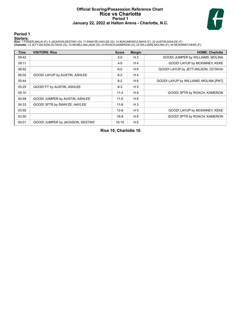# **Official Scoring/Possession Reference Chart Rice vs Charlotte Period 1 January 22, 2022 at Halton Arena - Charlotte, N.C.**



# **Period 1**

#### **Starters:**

**Rice**: 1 FISHER,MALIA (F); 5 JACKSON,DESTINY (G); 11 SWAYZE,HAYLEE (G); 14 BOKUNEWICZ,MAYA (F); 22 AUSTIN,ASHLEE (F);<br>**Charlotte**: 13 JETT-WILSON,OCTAVIA (G); 15 MCMILLIAN,JADA (G); 23 ROACH,KAMERON (G); 24 WILLIAMS,MOLIN

| Time  | <b>VISITORS: Rice</b>            | <b>Score</b> | <b>Margin</b>  | <b>HOME: Charlotte</b>                |
|-------|----------------------------------|--------------|----------------|---------------------------------------|
| 09:42 |                                  | $2 - 0$      | H <sub>2</sub> | GOOD! JUMPER by WILLIAMS, MOLINA      |
| 09:11 |                                  | $4 - 0$      | H <sub>4</sub> | GOOD! LAYUP by MCKINNEY, KEKE         |
| 08:52 |                                  | $6-0$        | H 6            | GOOD! LAYUP by JETT-WILSON, OCTAVIA   |
| 06:02 | GOOD! LAYUP by AUSTIN, ASHLEE    | $6-2$        | H <sub>4</sub> |                                       |
| 05:44 |                                  | $8 - 2$      | H 6            | GOOD! LAYUP by WILLIAMS, MOLINA [PNT] |
| 05:25 | GOOD! FT by AUSTIN, ASHLEE       | $8 - 3$      | H <sub>5</sub> |                                       |
| 05:10 |                                  | $11 - 3$     | H 8            | GOOD! 3PTR by ROACH, KAMERON          |
| 04:59 | GOOD! JUMPER by AUSTIN, ASHLEE   | $11 - 5$     | H <sub>6</sub> |                                       |
| 04:33 | GOOD! 3PTR by SWAYZE, HAYLEE     | $11 - 8$     | $H_3$          |                                       |
| 03:55 |                                  | $13 - 8$     | H <sub>5</sub> | GOOD! LAYUP by MCKINNEY, KEKE         |
| 02:50 |                                  | $16-8$       | H 8            | GOOD! 3PTR by ROACH, KAMERON          |
| 00:01 | GOOD! JUMPER by JACKSON, DESTINY | $16-10$      | H 6            |                                       |

**Rice 10, Charlotte 16**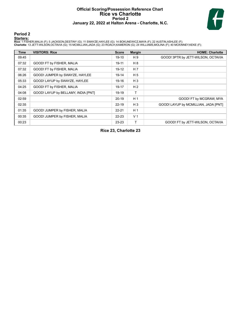# **Official Scoring/Possession Reference Chart Rice vs Charlotte Period 2 January 22, 2022 at Halton Arena - Charlotte, N.C.**



# **Period 2**

#### **Starters:**

**Rice**: 1 FISHER,MALIA (F); 5 JACKSON,DESTINY (G); 11 SWAYZE,HAYLEE (G); 14 BOKUNEWICZ,MAYA (F); 22 AUSTIN,ASHLEE (F);<br>**Charlotte**: 13 JETT-WILSON,OCTAVIA (G); 15 MCMILLIAN,JADA (G); 23 ROACH,KAMERON (G); 24 WILLIAMS,MOLIN

| Time  | <b>VISITORS: Rice</b>               | <b>Score</b> | <b>Margin</b>  | <b>HOME: Charlotte</b>               |
|-------|-------------------------------------|--------------|----------------|--------------------------------------|
| 09:45 |                                     | $19-10$      | H 9            | GOOD! 3PTR by JETT-WILSON, OCTAVIA   |
| 07:32 | GOOD! FT by FISHER, MALIA           | $19 - 11$    | H 8            |                                      |
| 07:32 | GOOD! FT by FISHER, MALIA           | $19-12$      | H <sub>7</sub> |                                      |
| 06:26 | GOOD! JUMPER by SWAYZE, HAYLEE      | $19 - 14$    | H <sub>5</sub> |                                      |
| 05:33 | GOOD! LAYUP by SWAYZE, HAYLEE       | 19-16        | $H_3$          |                                      |
| 04:25 | GOOD! FT by FISHER, MALIA           | 19-17        | H <sub>2</sub> |                                      |
| 04:08 | GOOD! LAYUP by BELLAMY, INDIA [PNT] | 19-19        | T.             |                                      |
| 02:59 |                                     | $20 - 19$    | H <sub>1</sub> | GOOD! FT by MCGRAW, MYA              |
| 02:35 |                                     | $22 - 19$    | $H_3$          | GOOD! LAYUP by MCMILLIAN, JADA [PNT] |
| 01:35 | GOOD! JUMPER by FISHER, MALIA       | $22 - 21$    | H <sub>1</sub> |                                      |
| 00:35 | GOOD! JUMPER by FISHER, MALIA       | $22 - 23$    | V <sub>1</sub> |                                      |
| 00:23 |                                     | 23-23        | т              | GOOD! FT by JETT-WILSON, OCTAVIA     |

**Rice 23, Charlotte 23**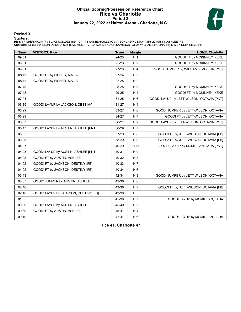# **Official Scoring/Possession Reference Chart Rice vs Charlotte Period 3 January 22, 2022 at Halton Arena - Charlotte, N.C.**



# **Period 3**

#### **Starters:**

**Rice**: 1 FISHER,MALIA (F); 5 JACKSON,DESTINY (G); 11 SWAYZE,HAYLEE (G); 14 BOKUNEWICZ,MAYA (F); 22 AUSTIN,ASHLEE (F);<br>**Charlotte**: 13 JETT-WILSON,OCTAVIA (G); 15 MCMILLIAN,JADA (G); 23 ROACH,KAMERON (G); 24 WILLIAMS,MOLIN

| <b>Time</b> | <b>VISITORS: Rice</b>                | <b>Score</b> | <b>Margin</b>  | <b>HOME: Charlotte</b>                    |
|-------------|--------------------------------------|--------------|----------------|-------------------------------------------|
| 09:51       |                                      | 24-23        | H <sub>1</sub> | GOOD! FT by MCKINNEY, KEKE                |
| 09:51       |                                      | 25-23        | H <sub>2</sub> | GOOD! FT by MCKINNEY, KEKE                |
| 09:01       |                                      | 27-23        | H <sub>4</sub> | GOOD! JUMPER by WILLIAMS, MOLINA [PNT]    |
| 08:11       | GOOD! FT by FISHER, MALIA            | $27 - 24$    | $H_3$          |                                           |
| 08:11       | GOOD! FT by FISHER, MALIA            | 27-25        | H <sub>2</sub> |                                           |
| 07:48       |                                      | 28-25        | H <sub>3</sub> | GOOD! FT by MCKINNEY, KEKE                |
| 07:48       |                                      | 29-25        | H <sub>4</sub> | GOOD! FT by MCKINNEY, KEKE                |
| 07:04       |                                      | $31 - 25$    | H <sub>6</sub> | GOOD! LAYUP by JETT-WILSON, OCTAVIA [PNT] |
| 06:35       | GOOD! LAYUP by JACKSON, DESTINY      | $31 - 27$    | H <sub>4</sub> |                                           |
| 06:29       |                                      | 33-27        | H <sub>6</sub> | GOOD! JUMPER by JETT-WILSON, OCTAVIA      |
| 06:29       |                                      | 34-27        | H <sub>7</sub> | GOOD! FT by JETT-WILSON, OCTAVIA          |
| 06:07       |                                      | 36-27        | H 9            | GOOD! LAYUP by JETT-WILSON, OCTAVIA [PNT] |
| 05:47       | GOOD! LAYUP by AUSTIN, ASHLEE [PNT]  | 36-29        | H <sub>7</sub> |                                           |
| 05:05       |                                      | 37-29        | H 8            | GOOD! FT by JETT-WILSON, OCTAVIA [FB]     |
| 05:05       |                                      | 38-29        | H 9            | GOOD! FT by JETT-WILSON, OCTAVIA [FB]     |
| 04:37       |                                      | 40-29        | H 11           | GOOD! LAYUP by MCMILLIAN, JADA [PNT]      |
| 04:23       | GOOD! LAYUP by AUSTIN, ASHLEE [PNT]  | 40-31        | H <sub>9</sub> |                                           |
| 04:23       | GOOD! FT by AUSTIN, ASHLEE           | 40-32        | H <sub>8</sub> |                                           |
| 04:02       | GOOD! FT by JACKSON, DESTINY [FB]    | 40-33        | H 7            |                                           |
| 04:02       | GOOD! FT by JACKSON, DESTINY [FB]    | 40-34        | H <sub>6</sub> |                                           |
| 03:48       |                                      | 42-34        | H <sub>8</sub> | GOOD! JUMPER by JETT-WILSON, OCTAVIA      |
| 03:37       | GOOD! JUMPER by AUSTIN, ASHLEE       | 42-36        | H <sub>6</sub> |                                           |
| 02:40       |                                      | 43-36        | H <sub>7</sub> | GOOD! FT by JETT-WILSON, OCTAVIA [FB]     |
| 02:18       | GOOD! LAYUP by JACKSON, DESTINY [FB] | 43-38        | H <sub>5</sub> |                                           |
| 01:05       |                                      | 45-38        | H 7            | GOOD! LAYUP by MCMILLIAN, JADA            |
| 00:30       | GOOD! LAYUP by AUSTIN, ASHLEE        | 45-40        | H <sub>5</sub> |                                           |
| 00:30       | GOOD! FT by AUSTIN, ASHLEE           | 45-41        | H <sub>4</sub> |                                           |
| 00:10       |                                      | 47-41        | H <sub>6</sub> | GOOD! LAYUP by MCMILLIAN, JADA            |

**Rice 41, Charlotte 47**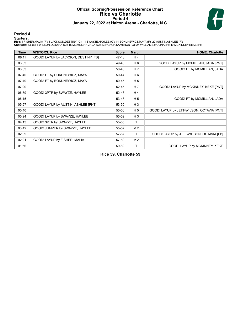# **Official Scoring/Possession Reference Chart Rice vs Charlotte Period 4 January 22, 2022 at Halton Arena - Charlotte, N.C.**



# **Period 4**

#### **Starters:**

**Rice**: 1 FISHER,MALIA (F); 5 JACKSON,DESTINY (G); 11 SWAYZE,HAYLEE (G); 14 BOKUNEWICZ,MAYA (F); 22 AUSTIN,ASHLEE (F);<br>**Charlotte**: 13 JETT-WILSON,OCTAVIA (G); 15 MCMILLIAN,JADA (G); 23 ROACH,KAMERON (G); 24 WILLIAMS,MOLIN

| <b>Time</b> | <b>VISITORS: Rice</b>                | <b>Score</b> | <b>Margin</b>  | <b>HOME: Charlotte</b>                    |
|-------------|--------------------------------------|--------------|----------------|-------------------------------------------|
| 08:11       | GOOD! LAYUP by JACKSON, DESTINY [FB] | 47-43        | H <sub>4</sub> |                                           |
| 08:03       |                                      | 49-43        | H 6            | GOOD! LAYUP by MCMILLIAN, JADA [PNT]      |
| 08:03       |                                      | 50-43        | H 7            | GOOD! FT by MCMILLIAN, JADA               |
| 07:40       | GOOD! FT by BOKUNEWICZ, MAYA         | 50-44        | H 6            |                                           |
| 07:40       | GOOD! FT by BOKUNEWICZ, MAYA         | 50-45        | H <sub>5</sub> |                                           |
| 07:20       |                                      | 52-45        | H 7            | GOOD! LAYUP by MCKINNEY, KEKE [PNT]       |
| 06:59       | GOOD! 3PTR by SWAYZE, HAYLEE         | 52-48        | H <sub>4</sub> |                                           |
| 06:15       |                                      | 53-48        | H <sub>5</sub> | GOOD! FT by MCMILLIAN, JADA               |
| 05:57       | GOOD! LAYUP by AUSTIN, ASHLEE [PNT]  | 53-50        | $H_3$          |                                           |
| 05:40       |                                      | 55-50        | H <sub>5</sub> | GOOD! LAYUP by JETT-WILSON, OCTAVIA [PNT] |
| 05:24       | GOOD! LAYUP by SWAYZE, HAYLEE        | 55-52        | $H_3$          |                                           |
| 04:13       | GOOD! 3PTR by SWAYZE, HAYLEE         | 55-55        | T.             |                                           |
| 03:42       | GOOD! JUMPER by SWAYZE, HAYLEE       | 55-57        | V <sub>2</sub> |                                           |
| 02:39       |                                      | 57-57        | Τ              | GOOD! LAYUP by JETT-WILSON, OCTAVIA [FB]  |
| 02:21       | GOOD! LAYUP by FISHER, MALIA         | 57-59        | V <sub>2</sub> |                                           |
| 01:56       |                                      | 59-59        | т              | GOOD! LAYUP by MCKINNEY, KEKE             |

**Rice 59, Charlotte 59**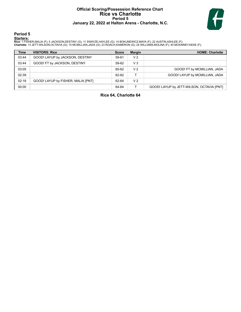# **Official Scoring/Possession Reference Chart Rice vs Charlotte Period 5 January 22, 2022 at Halton Arena - Charlotte, N.C.**



# **Period 5**

#### **Starters:**

**Rice**: 1 FISHER,MALIA (F); 5 JACKSON,DESTINY (G); 11 SWAYZE,HAYLEE (G); 14 BOKUNEWICZ,MAYA (F); 22 AUSTIN,ASHLEE (F);<br>**Charlotte**: 13 JETT-WILSON,OCTAVIA (G); 15 MCMILLIAN,JADA (G); 23 ROACH,KAMERON (G); 24 WILLIAMS,MOLIN

| <b>Time</b> | <b>VISITORS: Rice</b>              | <b>Score</b> | <b>Margin</b>  | <b>HOME: Charlotte</b>                    |
|-------------|------------------------------------|--------------|----------------|-------------------------------------------|
| 03:44       | GOOD! LAYUP by JACKSON, DESTINY    | 59-61        | V <sub>2</sub> |                                           |
| 03:44       | GOOD! FT by JACKSON, DESTINY       | 59-62        | $V_3$          |                                           |
| 03:05       |                                    | 60-62        | V <sub>2</sub> | GOOD! FT by MCMILLIAN, JADA               |
| 02:39       |                                    | 62-62        |                | GOOD! LAYUP by MCMILLIAN, JADA            |
| 02:18       | GOOD! LAYUP by FISHER, MALIA [PNT] | 62-64        | V <sub>2</sub> |                                           |
| 00:00       |                                    | 64-64        |                | GOOD! LAYUP by JETT-WILSON, OCTAVIA [PNT] |

**Rice 64, Charlotte 64**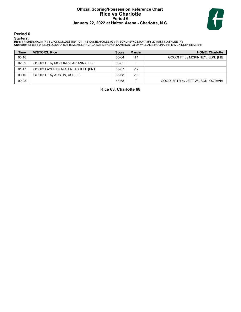# **Official Scoring/Possession Reference Chart Rice vs Charlotte Period 6 January 22, 2022 at Halton Arena - Charlotte, N.C.**



**Period 6**

#### **Starters:**

**Rice**: 1 FISHER,MALIA (F); 5 JACKSON,DESTINY (G); 11 SWAYZE,HAYLEE (G); 14 BOKUNEWICZ,MAYA (F); 22 AUSTIN,ASHLEE (F);<br>**Charlotte**: 13 JETT-WILSON,OCTAVIA (G); 15 MCMILLIAN,JADA (G); 23 ROACH,KAMERON (G); 24 WILLIAMS,MOLIN

| <b>Time</b> | <b>VISITORS: Rice</b>               | <b>Score</b> | <b>Margin</b>  | <b>HOME: Charlotte</b>             |
|-------------|-------------------------------------|--------------|----------------|------------------------------------|
| 03:16       |                                     | 65-64        | H <sub>1</sub> | GOOD! FT by MCKINNEY, KEKE [FB]    |
| 02:52       | GOOD! FT by MCCURRY, ARIANNA [FB]   | 65-65        |                |                                    |
| 01:47       | GOOD! LAYUP by AUSTIN, ASHLEE [PNT] | 65-67        | V <sub>2</sub> |                                    |
| 00:10       | GOOD! FT by AUSTIN, ASHLEE          | 65-68        | $V_3$          |                                    |
| 00:03       |                                     | 68-68        |                | GOOD! 3PTR by JETT-WILSON, OCTAVIA |

**Rice 68, Charlotte 68**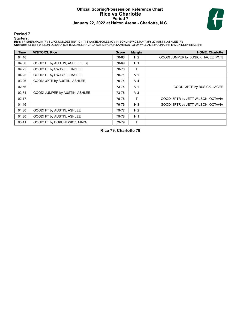# **Official Scoring/Possession Reference Chart Rice vs Charlotte Period 7 January 22, 2022 at Halton Arena - Charlotte, N.C.**



# **Period 7**

#### **Starters:**

**Rice**: 1 FISHER,MALIA (F); 5 JACKSON,DESTINY (G); 11 SWAYZE,HAYLEE (G); 14 BOKUNEWICZ,MAYA (F); 22 AUSTIN,ASHLEE (F);<br>**Charlotte**: 13 JETT-WILSON,OCTAVIA (G); 15 MCMILLIAN,JADA (G); 23 ROACH,KAMERON (G); 24 WILLIAMS,MOLIN

| <b>Time</b> | <b>VISITORS: Rice</b>           | <b>Score</b> | <b>Margin</b>  | <b>HOME: Charlotte</b>              |
|-------------|---------------------------------|--------------|----------------|-------------------------------------|
| 04:46       |                                 | 70-68        | H <sub>2</sub> | GOOD! JUMPER by BUSICK, JACEE [PNT] |
| 04:30       | GOOD! FT by AUSTIN, ASHLEE [FB] | 70-69        | H <sub>1</sub> |                                     |
| 04:25       | GOOD! FT by SWAYZE, HAYLEE      | 70-70        | т              |                                     |
| 04:25       | GOOD! FT by SWAYZE, HAYLEE      | 70-71        | V <sub>1</sub> |                                     |
| 03:26       | GOOD! 3PTR by AUSTIN, ASHLEE    | 70-74        | V <sub>4</sub> |                                     |
| 02:56       |                                 | 73-74        | V <sub>1</sub> | GOOD! 3PTR by BUSICK, JACEE         |
| 02:34       | GOOD! JUMPER by AUSTIN, ASHLEE  | 73-76        | V <sub>3</sub> |                                     |
| 02:17       |                                 | 76-76        | т              | GOOD! 3PTR by JETT-WILSON, OCTAVIA  |
| 01:46       |                                 | 79-76        | $H_3$          | GOOD! 3PTR by JETT-WILSON, OCTAVIA  |
| 01:30       | GOOD! FT by AUSTIN, ASHLEE      | 79-77        | H <sub>2</sub> |                                     |
| 01:30       | GOOD! FT by AUSTIN, ASHLEE      | 79-78        | H <sub>1</sub> |                                     |
| 00:41       | GOOD! FT by BOKUNEWICZ, MAYA    | 79-79        | Τ              |                                     |

**Rice 79, Charlotte 79**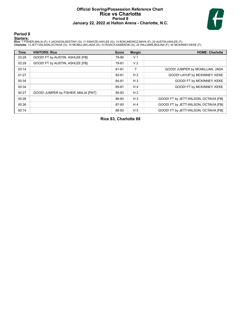# **Official Scoring/Possession Reference Chart Rice vs Charlotte Period 8 January 22, 2022 at Halton Arena - Charlotte, N.C.**



# **Period 8**

#### **Starters:**

**Rice**: 1 FISHER,MALIA (F); 5 JACKSON,DESTINY (G); 11 SWAYZE,HAYLEE (G); 14 BOKUNEWICZ,MAYA (F); 22 AUSTIN,ASHLEE (F);<br>**Charlotte**: 13 JETT-WILSON,OCTAVIA (G); 15 MCMILLIAN,JADA (G); 23 ROACH,KAMERON (G); 24 WILLIAMS,MOLIN

| <b>Time</b> | <b>VISITORS: Rice</b>               | <b>Score</b> | <b>Margin</b>  | <b>HOME: Charlotte</b>                |
|-------------|-------------------------------------|--------------|----------------|---------------------------------------|
| 03:29       | GOOD! FT by AUSTIN, ASHLEE [FB]     | 79-80        | V <sub>1</sub> |                                       |
| 03:29       | GOOD! FT by AUSTIN, ASHLEE [FB]     | 79-81        | V <sub>2</sub> |                                       |
| 03:14       |                                     | 81-81        | T              | GOOD! JUMPER by MCMILLIAN, JADA       |
| 01:27       |                                     | 83-81        | H <sub>2</sub> | GOOD! LAYUP by MCKINNEY, KEKE         |
| 00:34       |                                     | 84-81        | $H_3$          | GOOD! FT by MCKINNEY, KEKE            |
| 00:34       |                                     | 85-81        | H4             | GOOD! FT by MCKINNEY, KEKE            |
| 00:27       | GOOD! JUMPER by FISHER, MALIA [PNT] | 85-83        | H <sub>2</sub> |                                       |
| 00:26       |                                     | 86-83        | $H_3$          | GOOD! FT by JETT-WILSON, OCTAVIA [FB] |
| 00:26       |                                     | 87-83        | H <sub>4</sub> | GOOD! FT by JETT-WILSON, OCTAVIA [FB] |
| 00:14       |                                     | 88-83        | H <sub>5</sub> | GOOD! FT by JETT-WILSON, OCTAVIA [FB] |

**Rice 83, Charlotte 88**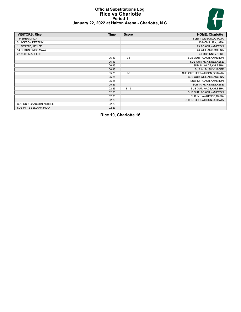# **Official Substitutions Log Rice vs Charlotte Period 1 January 22, 2022 at Halton Arena - Charlotte, N.C.**



| <b>VISITORS: Rice</b>      | <b>Time</b> | <b>Score</b> | <b>HOME: Charlotte</b>        |
|----------------------------|-------------|--------------|-------------------------------|
| 1 FISHER, MALIA            |             |              | 13 JETT-WILSON, OCTAVIA       |
| 5 JACKSON, DESTINY         |             |              | 15 MCMILLIAN, JADA            |
| 11 SWAYZE, HAYLEE          |             |              | 23 ROACH, KAMERON             |
| 14 BOKUNEWICZ, MAYA        |             |              | 24 WILLIAMS, MOLINA           |
| 22 AUSTIN, ASHLEE          |             |              | 40 MCKINNEY, KEKE             |
|                            | 06:43       | $0 - 6$      | SUB OUT: ROACH, KAMERON       |
|                            | 06:43       |              | SUB OUT: MCKINNEY, KEKE       |
|                            | 06:43       |              | SUB IN: WADE, AYLESHA         |
|                            | 06:43       |              | SUB IN: BUSICK, JACEE         |
|                            | 05:25       | $2 - 8$      | SUB OUT: JETT-WILSON, OCTAVIA |
|                            | 05:25       |              | SUB OUT: WILLIAMS, MOLINA     |
|                            | 05:25       |              | SUB IN: ROACH, KAMERON        |
|                            | 05:25       |              | SUB IN: MCKINNEY, KEKE        |
|                            | 02:23       | $8 - 16$     | SUB OUT: WADE, AYLESHA        |
|                            | 02:23       |              | SUB OUT: ROACH, KAMERON       |
|                            | 02:23       |              | SUB IN: LAWRENCE, DAZIA       |
|                            | 02:23       |              | SUB IN: JETT-WILSON, OCTAVIA  |
| SUB OUT: 22 AUSTIN, ASHLEE | 02:23       |              |                               |
| SUB IN: 12 BELLAMY, INDIA  | 02:23       |              |                               |

**Rice 10, Charlotte 16**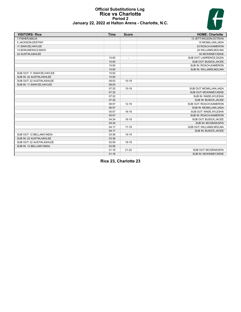# H

# **Official Substitutions Log Rice vs Charlotte Period 2 January 22, 2022 at Halton Arena - Charlotte, N.C.**

| <b>VISITORS: Rice</b>      | <b>Time</b> | <b>Score</b>             | <b>HOME: Charlotte</b>    |
|----------------------------|-------------|--------------------------|---------------------------|
| 1 FISHER, MALIA            |             |                          | 13 JETT-WILSON, OCTAVIA   |
| 5 JACKSON, DESTINY         |             |                          | 15 MCMILLIAN, JADA        |
| 11 SWAYZE, HAYLEE          |             |                          | 23 ROACH, KAMERON         |
| 14 BOKUNEWICZ, MAYA        |             |                          | 24 WILLIAMS, MOLINA       |
| 22 AUSTIN, ASHLEE          |             |                          | 40 MCKINNEY, KEKE         |
|                            | 10:00       | $\overline{\phantom{a}}$ | SUB OUT: LAWRENCE.DAZIA   |
|                            | 10:00       |                          | SUB OUT: BUSICK, JACEE    |
|                            | 10:00       |                          | SUB IN: ROACH, KAMERON    |
|                            | 10:00       |                          | SUB IN: WILLIAMS, MOLINA  |
| SUB OUT: 11 SWAYZE, HAYLEE | 10:00       |                          |                           |
| SUB IN: 22 AUSTIN, ASHLEE  | 10:00       |                          |                           |
| SUB OUT: 22 AUSTIN, ASHLEE | 09:03       | $10-19$                  |                           |
| SUB IN: 11 SWAYZE, HAYLEE  | 09:03       |                          |                           |
|                            | 07:32       | $10-19$                  | SUB OUT: MCMILLIAN, JADA  |
|                            | 07:32       |                          | SUB OUT: MCKINNEY, KEKE   |
|                            | 07:32       |                          | SUB IN: WADE, AYLESHA     |
|                            | 07:32       |                          | SUB IN: BUSICK, JACEE     |
|                            | 06:57       | $12 - 19$                | SUB OUT: ROACH, KAMERON   |
|                            | 06:57       |                          | SUB IN: MCMILLIAN, JADA   |
|                            | 05:07       | $16-19$                  | SUB OUT: WADE, AYLESHA    |
|                            | 05:07       |                          | SUB IN: ROACH, KAMERON    |
|                            | 04:34       | 16-19                    | SUB OUT: BUSICK, JACEE    |
|                            | 04:34       |                          | SUB IN: MCGRAW.MYA        |
|                            | 04:17       | $17-19$                  | SUB OUT: WILLIAMS, MOLINA |
|                            | 04:17       |                          | SUB IN: BUSICK, JACEE     |
| SUB OUT: 12 BELLAMY, INDIA | 03:36       | 19-19                    |                           |
| SUB IN: 22 AUSTIN, ASHLEE  | 03:36       |                          |                           |
| SUB OUT: 22 AUSTIN, ASHLEE | 02:59       | 19-19                    |                           |
| SUB IN: 12 BELLAMY, INDIA  | 02:59       |                          |                           |
|                            | 01:16       | $21 - 22$                | SUB OUT: MCGRAW.MYA       |
|                            | 01:16       |                          | SUB IN: MCKINNEY, KEKE    |

**Rice 23, Charlotte 23**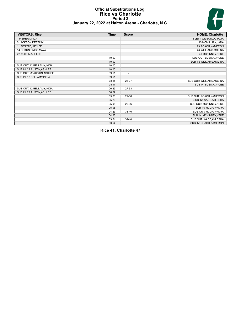# **Official Substitutions Log Rice vs Charlotte Period 3 January 22, 2022 at Halton Arena - Charlotte, N.C.**



| <b>VISITORS: Rice</b>      | <b>Time</b> | <b>Score</b>             | <b>HOME: Charlotte</b>    |
|----------------------------|-------------|--------------------------|---------------------------|
| 1 FISHER, MALIA            |             |                          | 13 JETT-WILSON, OCTAVIA   |
| 5 JACKSON, DESTINY         |             |                          | 15 MCMILLIAN, JADA        |
| 11 SWAYZE, HAYLEE          |             |                          | 23 ROACH, KAMERON         |
| 14 BOKUNEWICZ, MAYA        |             |                          | 24 WILLIAMS, MOLINA       |
| 22 AUSTIN, ASHLEE          |             |                          | 40 MCKINNEY, KEKE         |
|                            | 10:00       | $\overline{\phantom{a}}$ | SUB OUT: BUSICK, JACEE    |
|                            | 10:00       |                          | SUB IN: WILLIAMS, MOLINA  |
| SUB OUT: 12 BELLAMY, INDIA | 10:00       |                          |                           |
| SUB IN: 22 AUSTIN, ASHLEE  | 10:00       |                          |                           |
| SUB OUT: 22 AUSTIN, ASHLEE | 09:51       | $\overline{\phantom{a}}$ |                           |
| SUB IN: 12 BELLAMY, INDIA  | 09:51       |                          |                           |
|                            | 08:11       | 23-27                    | SUB OUT: WILLIAMS, MOLINA |
|                            | 08:11       |                          | SUB IN: BUSICK, JACEE     |
| SUB OUT: 12 BELLAMY, INDIA | 06:29       | 27-33                    |                           |
| SUB IN: 22 AUSTIN, ASHLEE  | 06:29       |                          |                           |
|                            | 05:26       | 29-36                    | SUB OUT: ROACH, KAMERON   |
|                            | 05:26       |                          | SUB IN: WADE, AYLESHA     |
|                            | 05:05       | 29-36                    | SUB OUT: MCKINNEY, KEKE   |
|                            | 05:05       |                          | SUB IN: MCGRAW, MYA       |
|                            | 04:23       | $31 - 40$                | SUB OUT: MCGRAW, MYA      |
|                            | 04:23       |                          | SUB IN: MCKINNEY, KEKE    |
|                            | 03:54       | $34 - 40$                | SUB OUT: WADE, AYLESHA    |
|                            | 03:54       |                          | SUB IN: ROACH, KAMERON    |

**Rice 41, Charlotte 47**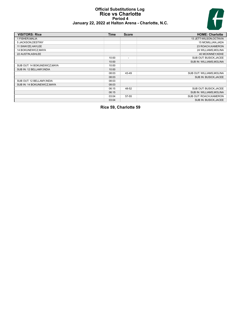# **Official Substitutions Log Rice vs Charlotte Period 4 January 22, 2022 at Halton Arena - Charlotte, N.C.**



| <b>VISITORS: Rice</b>        | <b>Time</b> | <b>Score</b>             | <b>HOME: Charlotte</b>    |
|------------------------------|-------------|--------------------------|---------------------------|
| 1 FISHER, MALIA              |             |                          | 13 JETT-WILSON, OCTAVIA   |
| 5 JACKSON, DESTINY           |             |                          | 15 MCMILLIAN, JADA        |
| 11 SWAYZE, HAYLEE            |             |                          | 23 ROACH, KAMERON         |
| 14 BOKUNEWICZ, MAYA          |             |                          | 24 WILLIAMS, MOLINA       |
| 22 AUSTIN, ASHLEE            |             |                          | 40 MCKINNEY.KEKE          |
|                              | 10:00       | $\overline{\phantom{a}}$ | SUB OUT: BUSICK, JACEE    |
|                              | 10:00       |                          | SUB IN: WILLIAMS, MOLINA  |
| SUB OUT: 14 BOKUNEWICZ, MAYA | 10:00       |                          |                           |
| SUB IN: 12 BELLAMY, INDIA    | 10:00       |                          |                           |
|                              | 08:03       | 43-49                    | SUB OUT: WILLIAMS, MOLINA |
|                              | 08:03       |                          | SUB IN: BUSICK, JACEE     |
| SUB OUT: 12 BELLAMY, INDIA   | 08:03       |                          |                           |
| SUB IN: 14 BOKUNEWICZ, MAYA  | 08:03       |                          |                           |
|                              | 06:15       | 48-52                    | SUB OUT: BUSICK, JACEE    |
|                              | 06:15       |                          | SUB IN: WILLIAMS, MOLINA  |
|                              | 03:04       | 57-55                    | SUB OUT: ROACH, KAMERON   |
|                              | 03:04       |                          | SUB IN: BUSICK, JACEE     |

**Rice 59, Charlotte 59**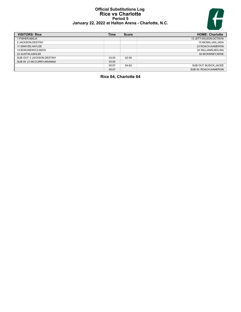# **Official Substitutions Log Rice vs Charlotte Period 5 January 22, 2022 at Halton Arena - Charlotte, N.C.**



| <b>VISITORS: Rice</b>       | Time  | <b>Score</b> | <b>HOME: Charlotte</b>  |
|-----------------------------|-------|--------------|-------------------------|
| 1 FISHER, MALIA             |       |              | 13 JETT-WILSON, OCTAVIA |
| 5 JACKSON, DESTINY          |       |              | 15 MCMILLIAN, JADA      |
| 11 SWAYZE.HAYLEE            |       |              | 23 ROACH, KAMERON       |
| 14 BOKUNEWICZ.MAYA          |       |              | 24 WILLIAMS.MOLINA      |
| 22 AUSTIN, ASHLEE           |       |              | 40 MCKINNEY.KEKE        |
| SUB OUT: 5 JACKSON, DESTINY | 03:05 | 62-59        |                         |
| SUB IN: 21 MCCURRY, ARIANNA | 03:05 |              |                         |
|                             | 00:07 | 64-62        | SUB OUT: BUSICK, JACEE  |
|                             | 00:07 |              | SUB IN: ROACH.KAMERON   |

# **Rice 64, Charlotte 64**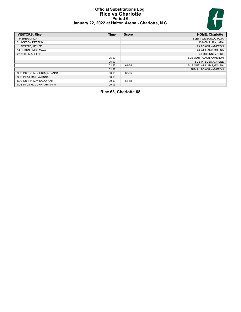# **Official Substitutions Log Rice vs Charlotte Period 6 January 22, 2022 at Halton Arena - Charlotte, N.C.**



| <b>VISITORS: Rice</b>       | Time  | <b>Score</b>             | <b>HOME: Charlotte</b>    |
|-----------------------------|-------|--------------------------|---------------------------|
| 1 FISHER.MALIA              |       |                          | 13 JETT-WILSON, OCTAVIA   |
| 5 JACKSON, DESTINY          |       |                          | 15 MCMILLIAN, JADA        |
| 11 SWAYZE, HAYLEE           |       |                          | 23 ROACH, KAMERON         |
| 14 BOKUNEWICZ.MAYA          |       |                          | 24 WILLIAMS.MOLINA        |
| 22 AUSTIN.ASHLEE            |       |                          | 40 MCKINNEY.KEKE          |
|                             | 05:00 | $\overline{\phantom{a}}$ | SUB OUT: ROACH, KAMERON   |
|                             | 05:00 |                          | SUB IN: BUSICK, JACEE     |
|                             | 02:52 | 64-65                    | SUB OUT: WILLIAMS, MOLINA |
|                             | 02:52 |                          | SUB IN: ROACH, KAMERON    |
| SUB OUT: 21 MCCURRY.ARIANNA | 00:10 | 68-65                    |                           |
| SUB IN: 51 MAY, SAVANNAH    | 00:10 |                          |                           |
| SUB OUT: 51 MAY.SAVANNAH    | 00:03 | 68-68                    |                           |
| SUB IN: 21 MCCURRY, ARIANNA | 00:03 |                          |                           |

# **Rice 68, Charlotte 68**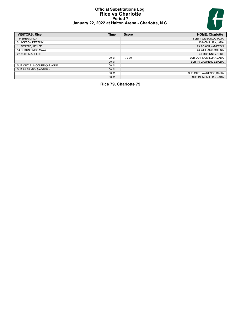# **Official Substitutions Log Rice vs Charlotte Period 7 January 22, 2022 at Halton Arena - Charlotte, N.C.**



| <b>VISITORS: Rice</b>        | <b>Time</b> | <b>Score</b> | <b>HOME: Charlotte</b>   |
|------------------------------|-------------|--------------|--------------------------|
| 1 FISHER.MALIA               |             |              | 13 JETT-WILSON, OCTAVIA  |
| 5 JACKSON.DESTINY            |             |              | 15 MCMILLIAN, JADA       |
| 11 SWAYZE, HAYLEE            |             |              | 23 ROACH, KAMERON        |
| 14 BOKUNEWICZ, MAYA          |             |              | 24 WILLIAMS, MOLINA      |
| 22 AUSTIN, ASHLEE            |             |              | 40 MCKINNEY, KEKE        |
|                              | 00:01       | 79-79        | SUB OUT: MCMILLIAN, JADA |
|                              | 00:01       |              | SUB IN: LAWRENCE, DAZIA  |
| SUB OUT: 21 MCCURRY, ARIANNA | 00:01       |              |                          |
| SUB IN: 51 MAY, SAVANNAH     | 00:01       |              |                          |
|                              | 00:01       |              | SUB OUT: LAWRENCE.DAZIA  |
|                              | 00:01       |              | SUB IN: MCMILLIAN.JADA   |

**Rice 79, Charlotte 79**